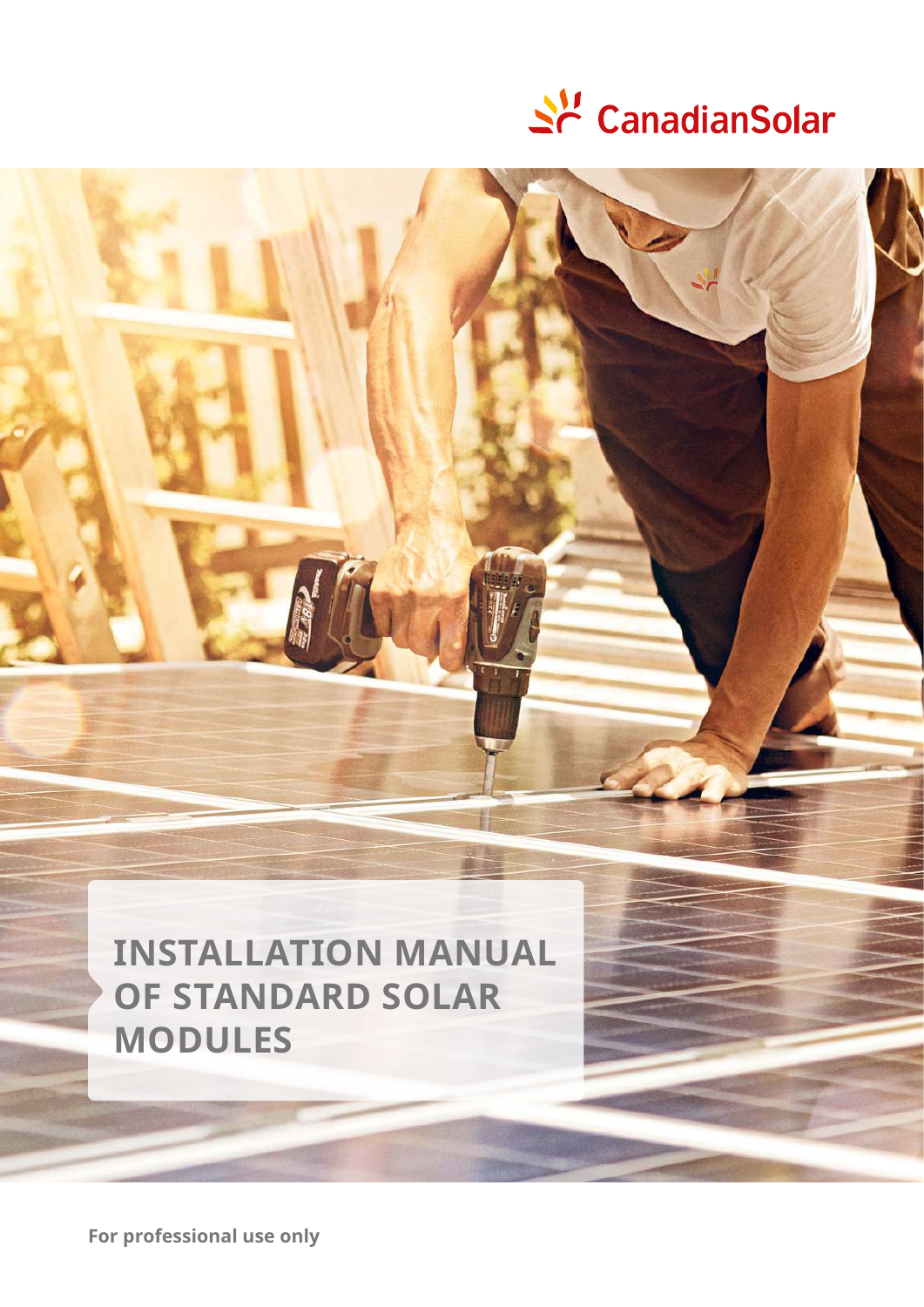

# **InstallatIon manual of stanDaRD solaR moDules**

**for professional use only**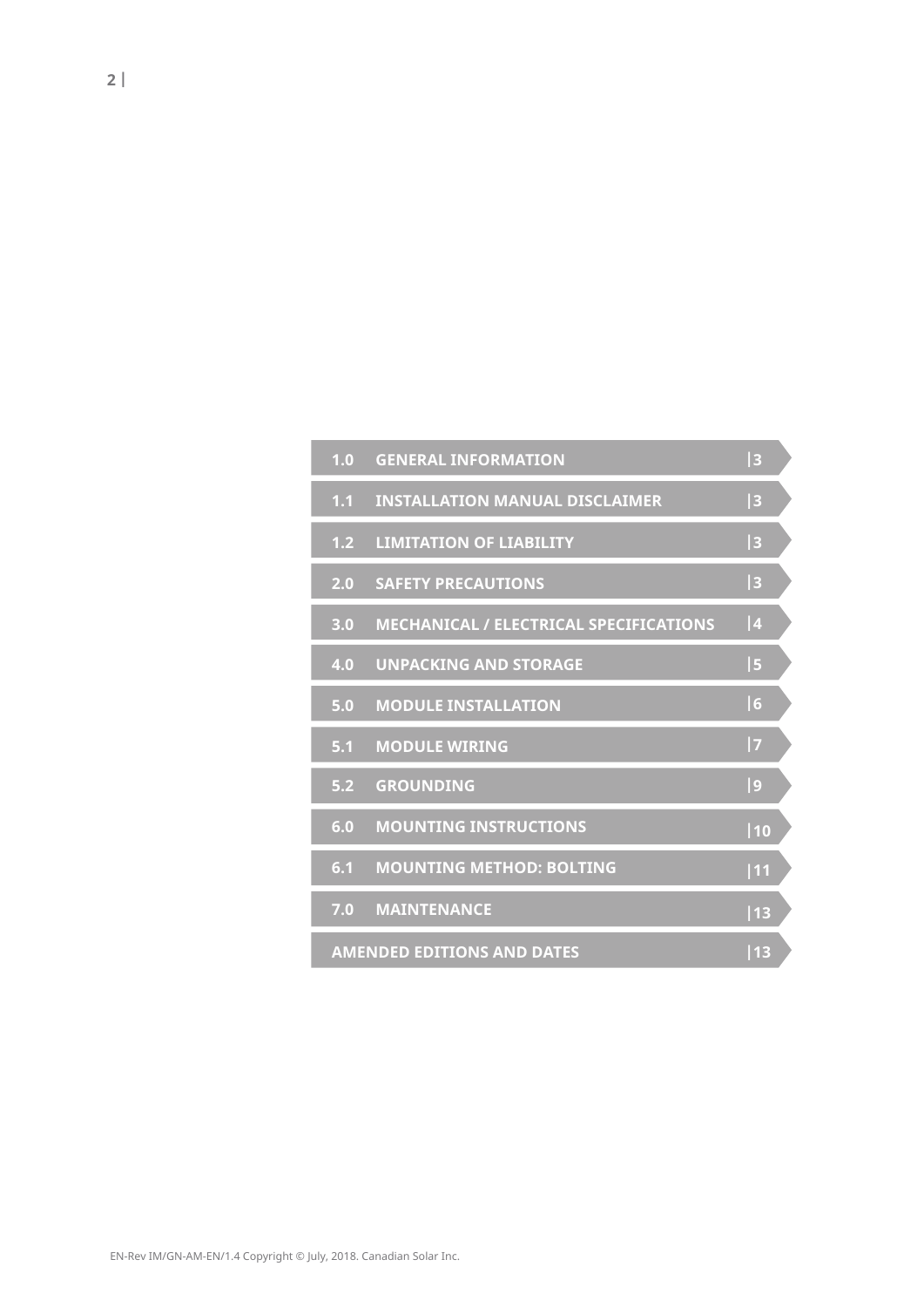| 1.0 | <b>GENERAL INFORMATION</b>                    | 3  |  |
|-----|-----------------------------------------------|----|--|
| 1.1 | <b>INSTALLATION MANUAL DISCLAIMER</b>         | 3  |  |
| 1.2 | <b>LIMITATION OF LIABILITY</b>                | 3  |  |
| 2.0 | <b>SAFETY PRECAUTIONS</b>                     | 3  |  |
| 3.0 | <b>MECHANICAL / ELECTRICAL SPECIFICATIONS</b> | 4  |  |
| 4.0 | <b>UNPACKING AND STORAGE</b>                  | 5  |  |
| 5.0 | <b>MODULE INSTALLATION</b>                    | 6  |  |
| 5.1 | <b>MODULE WIRING</b>                          | 7  |  |
| 5.2 | <b>GROUNDING</b>                              | 9  |  |
| 6.0 | <b>MOUNTING INSTRUCTIONS</b>                  | 10 |  |
| 6.1 | <b>MOUNTING METHOD: BOLTING</b>               | 11 |  |
| 7.0 | <b>MAINTENANCE</b>                            | 13 |  |
|     | <b>AMENDED EDITIONS AND DATES</b>             | 13 |  |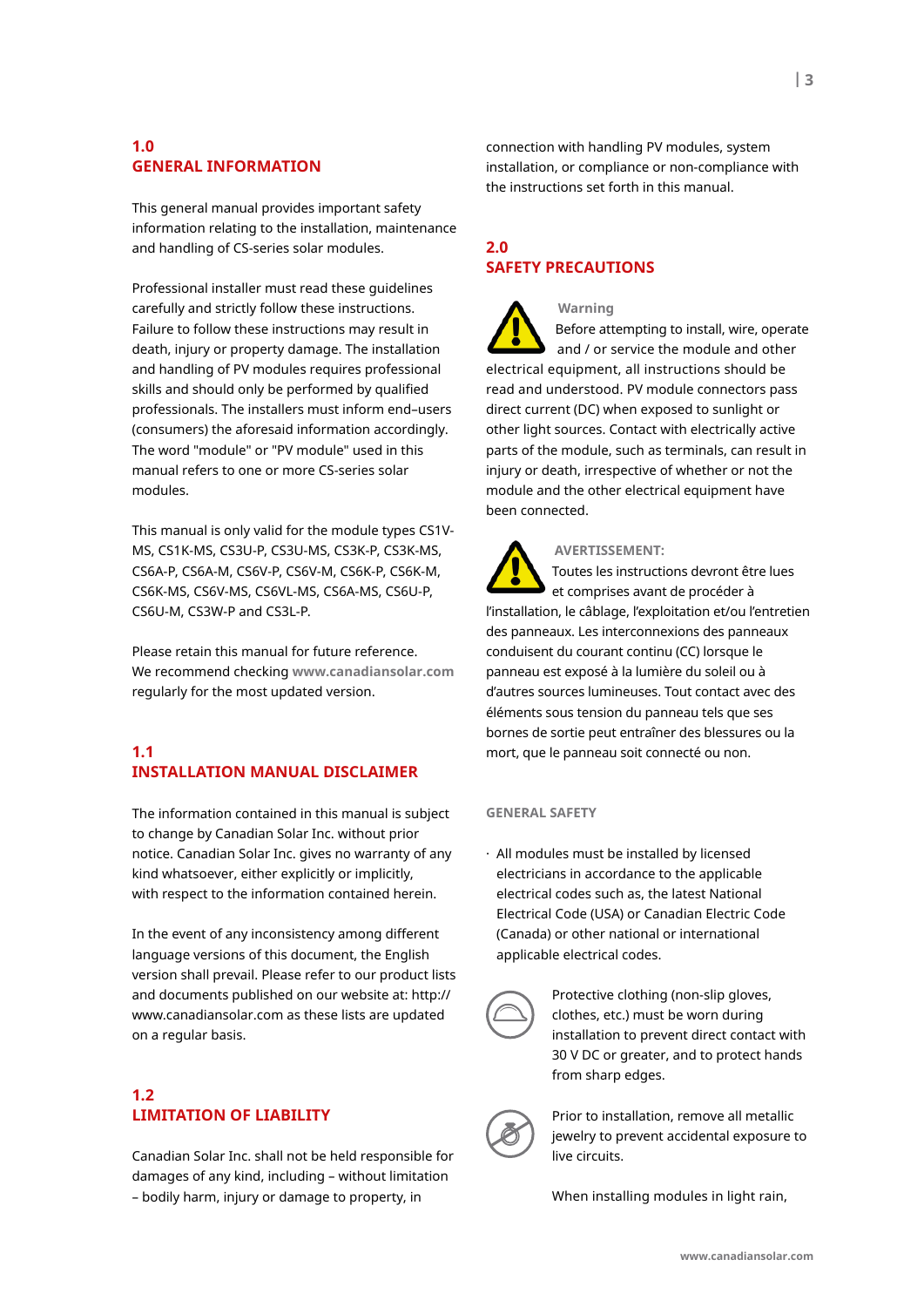# **1.0 GeneRal InfoRmatIon**

This general manual provides important safety information relating to the installation, maintenance and handling of CS-series solar modules.

Professional installer must read these guidelines carefully and strictly follow these instructions. Failure to follow these instructions may result in death, injury or property damage. The installation and handling of PV modules requires professional skills and should only be performed by qualified professionals. The installers must inform end–users (consumers) the aforesaid information accordingly. The word "module" or "PV module" used in this manual refers to one or more CS-series solar modules.

This manual is only valid for the module types CS1V-MS, CS1K-MS, CS3U-P, CS3U-MS, CS3K-P, CS3K-MS, CS6A-P, CS6A-M, CS6V-P, CS6V-M, CS6K-P, CS6K-M, CS6K-MS, CS6V-MS, CS6VL-MS, CS6A-MS, CS6U-P, CS6U-M, CS3W-P and CS3L-P.

Please retain this manual for future reference. We recommend checking **www.canadiansolar.com** regularly for the most updated version.

# **1.1 InstallatIon manual DIsClaImeR**

The information contained in this manual is subject to change by Canadian Solar Inc. without prior notice. Canadian Solar Inc. gives no warranty of any kind whatsoever, either explicitly or implicitly, with respect to the information contained herein.

In the event of any inconsistency among different language versions of this document, the English version shall prevail. Please refer to our product lists and documents published on our website at: http:// www.canadiansolar.com as these lists are updated on a regular basis.

# **1.2 lImItatIon of lIaBIlItY**

Canadian Solar Inc. shall not be held responsible for damages of any kind, including – without limitation – bodily harm, injury or damage to property, in

connection with handling PV modules, system installation, or compliance or non-compliance with the instructions set forth in this manual.

# **2.0 safetY PReCautIons**

 **Warning** Before attempting to install, wire, operate and / or service the module and other electrical equipment, all instructions should be read and understood. PV module connectors pass direct current (DC) when exposed to sunlight or other light sources. Contact with electrically active parts of the module, such as terminals, can result in injury or death, irrespective of whether or not the module and the other electrical equipment have been connected.

 **aveRtIssement:**

 Toutes les instructions devront être lues et comprises avant de procéder à l'installation, le câblage, l'exploitation et/ou l'entretien des panneaux. Les interconnexions des panneaux conduisent du courant continu (CC) lorsque le panneau est exposé à la lumière du soleil ou à d'autres sources lumineuses. Tout contact avec des éléments sous tension du panneau tels que ses bornes de sortie peut entraîner des blessures ou la mort, que le panneau soit connecté ou non.

#### **GeneRal safetY**

· All modules must be installed by licensed electricians in accordance to the applicable electrical codes such as, the latest National Electrical Code (USA) or Canadian Electric Code (Canada) or other national or international applicable electrical codes.



Protective clothing (non-slip gloves, clothes, etc.) must be worn during installation to prevent direct contact with 30 V DC or greater, and to protect hands from sharp edges.



Prior to installation, remove all metallic jewelry to prevent accidental exposure to live circuits.

When installing modules in light rain,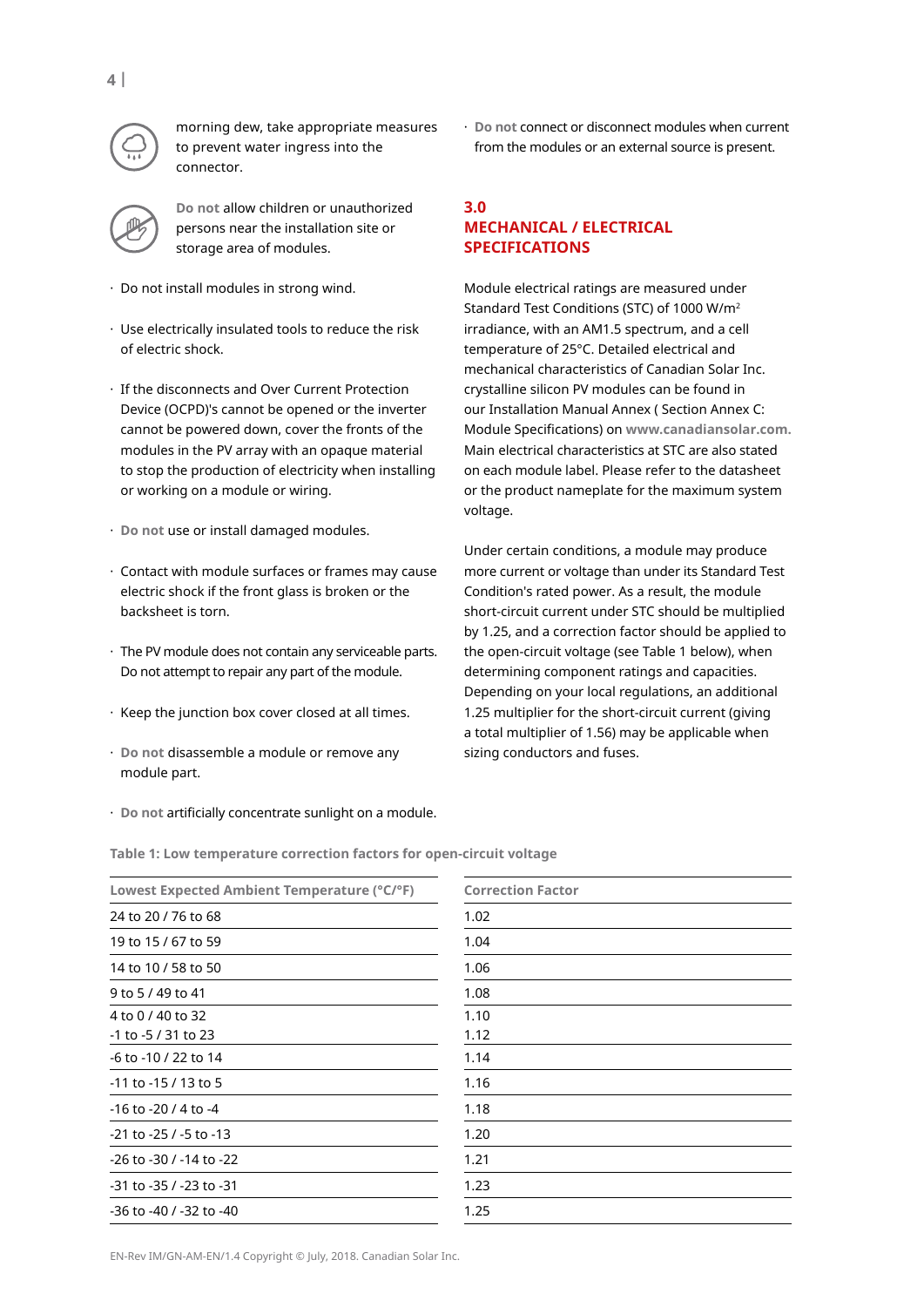

morning dew, take appropriate measures to prevent water ingress into the connector.

**Do not** allow children or unauthorized persons near the installation site or storage area of modules.

- · Do not install modules in strong wind.
- · Use electrically insulated tools to reduce the risk of electric shock.
- · If the disconnects and Over Current Protection Device (OCPD)'s cannot be opened or the inverter cannot be powered down, cover the fronts of the modules in the PV array with an opaque material to stop the production of electricity when installing or working on a module or wiring.
- · **Do not** use or install damaged modules.
- · Contact with module surfaces or frames may cause electric shock if the front glass is broken or the backsheet is torn.
- · The PV module does not contain any serviceable parts. Do not attempt to repair any part of the module.
- · Keep the junction box cover closed at all times.
- · **Do not** disassemble a module or remove any module part.
- · **Do not** artificially concentrate sunlight on a module.

· **Do not** connect or disconnect modules when current from the modules or an external source is present.

# **3.0 meCHanICal / eleCtRICal sPeCIfICatIons**

Module electrical ratings are measured under Standard Test Conditions (STC) of 1000 W/m<sup>2</sup> irradiance, with an AM1.5 spectrum, and a cell temperature of 25°C. Detailed electrical and mechanical characteristics of Canadian Solar Inc. crystalline silicon PV modules can be found in our Installation Manual Annex ( Section Annex C: Module Specifications) on **www.canadiansolar.com.** Main electrical characteristics at STC are also stated on each module label. Please refer to the datasheet or the product nameplate for the maximum system voltage.

Under certain conditions, a module may produce more current or voltage than under its Standard Test Condition's rated power. As a result, the module short-circuit current under STC should be multiplied by 1.25, and a correction factor should be applied to the open-circuit voltage (see Table 1 below), when determining component ratings and capacities. Depending on your local regulations, an additional 1.25 multiplier for the short-circuit current (giving a total multiplier of 1.56) may be applicable when sizing conductors and fuses.

**table 1: low temperature correction factors for open-circuit voltage**

| Lowest Expected Ambient Temperature (°C/°F) | <b>Correction Factor</b> |
|---------------------------------------------|--------------------------|
| 24 to 20 / 76 to 68                         | 1.02                     |
| 19 to 15 / 67 to 59                         | 1.04                     |
| 14 to 10 / 58 to 50                         | 1.06                     |
| 9 to 5 / 49 to 41                           | 1.08                     |
| 4 to 0 / 40 to 32                           | 1.10                     |
| -1 to -5 / 31 to 23                         | 1.12                     |
| -6 to -10 / 22 to 14                        | 1.14                     |
| -11 to -15 / 13 to 5                        | 1.16                     |
| $-16$ to $-20/4$ to $-4$                    | 1.18                     |
| $-21$ to $-25$ / $-5$ to $-13$              | 1.20                     |
| -26 to -30 / -14 to -22                     | 1.21                     |
| -31 to -35 / -23 to -31                     | 1.23                     |
| -36 to -40 / -32 to -40                     | 1.25                     |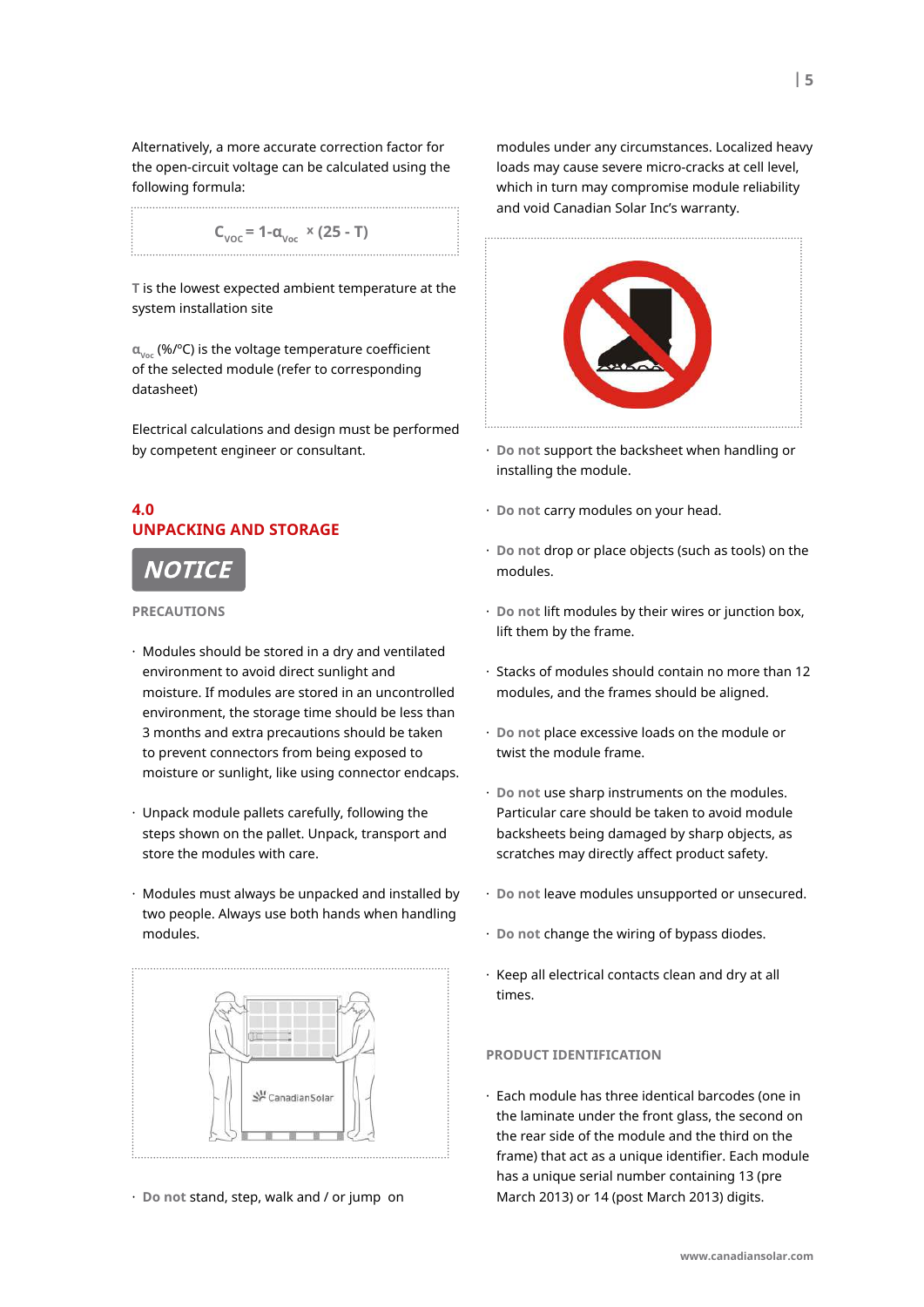Alternatively, a more accurate correction factor for the open-circuit voltage can be calculated using the following formula:

$$
C_{\text{VOC}} = 1 - \alpha_{\text{Voc}} \times (25 - T)
$$

**t** is the lowest expected ambient temperature at the system installation site

**αvoc** (%/ºC) is the voltage temperature coefficient of the selected module (refer to corresponding datasheet)

Electrical calculations and design must be performed by competent engineer or consultant.

# **4.0 unPaCKInG anD stoRaGe**

# NOTIC

**PReCautIons** 

- · Modules should be stored in a dry and ventilated environment to avoid direct sunlight and moisture. If modules are stored in an uncontrolled environment, the storage time should be less than 3 months and extra precautions should be taken to prevent connectors from being exposed to moisture or sunlight, like using connector endcaps.
- · Unpack module pallets carefully, following the steps shown on the pallet. Unpack, transport and store the modules with care.
- · Modules must always be unpacked and installed by two people. Always use both hands when handling modules.



· **Do not** stand, step, walk and / or jump on

modules under any circumstances. Localized heavy loads may cause severe micro-cracks at cell level, which in turn may compromise module reliability and void Canadian Solar Inc's warranty.



- · **Do not** support the backsheet when handling or installing the module.
- · **Do not** carry modules on your head.
- · **Do not** drop or place objects (such as tools) on the modules.
- · **Do not** lift modules by their wires or junction box, lift them by the frame.
- · Stacks of modules should contain no more than 12 modules, and the frames should be aligned.
- · **Do not** place excessive loads on the module or twist the module frame.
- · **Do not** use sharp instruments on the modules. Particular care should be taken to avoid module backsheets being damaged by sharp objects, as scratches may directly affect product safety.
- · **Do not** leave modules unsupported or unsecured.
- · **Do not** change the wiring of bypass diodes.
- · Keep all electrical contacts clean and dry at all times.

#### **PRoDuCt IDentIfICatIon**

· Each module has three identical barcodes (one in the laminate under the front glass, the second on the rear side of the module and the third on the frame) that act as a unique identifier. Each module has a unique serial number containing 13 (pre March 2013) or 14 (post March 2013) digits.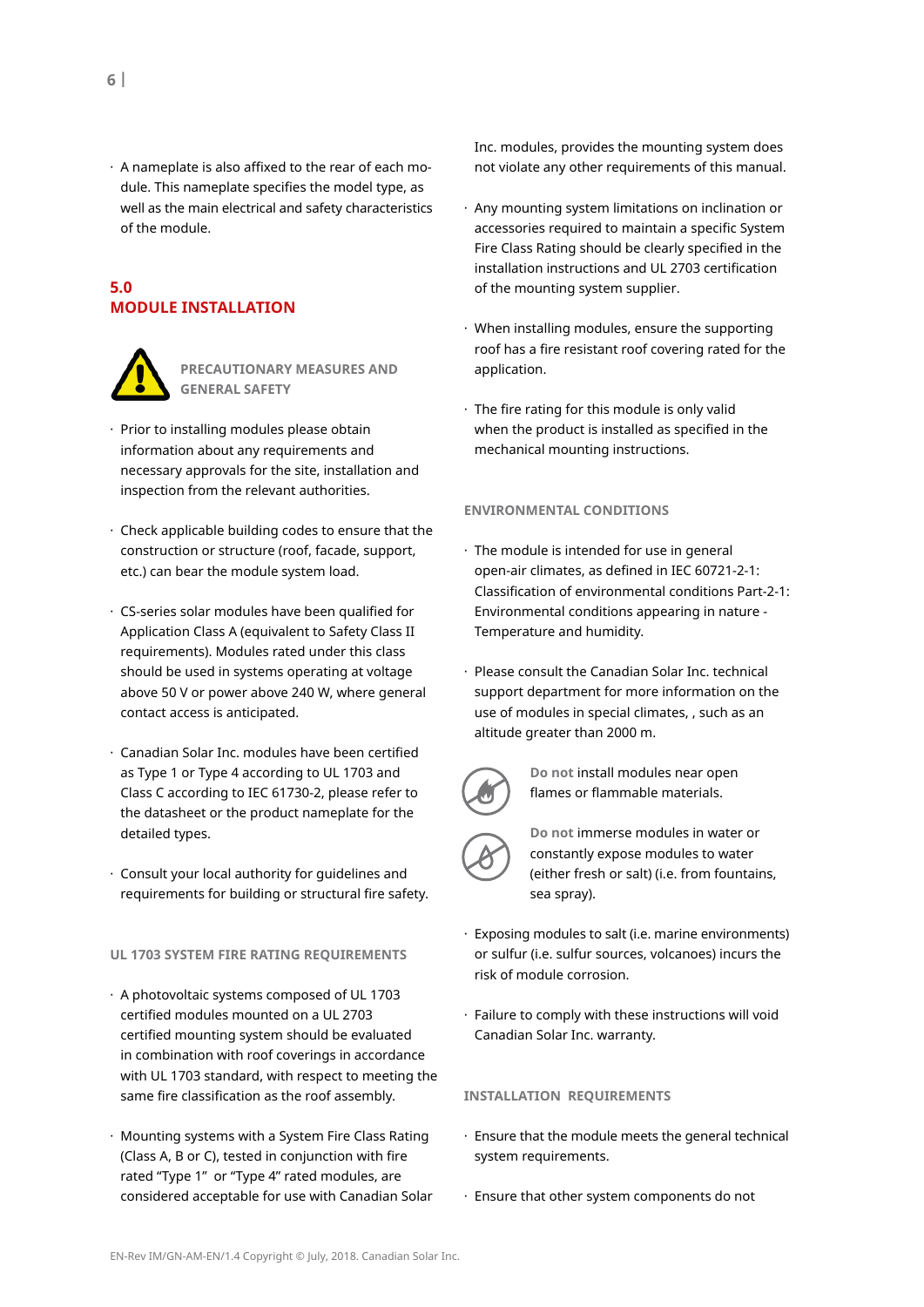· A nameplate is also affixed to the rear of each module. This nameplate specifies the model type, as well as the main electrical and safety characteristics of the module.

# **5.0 moDule InstallatIon**



**PReCautIonaRY measuRes anD GeneRal safetY**

- · Prior to installing modules please obtain information about any requirements and necessary approvals for the site, installation and inspection from the relevant authorities.
- $\cdot$  Check applicable building codes to ensure that the construction or structure (roof, facade, support, etc.) can bear the module system load.
- · CS-series solar modules have been qualified for Application Class A (equivalent to Safety Class II requirements). Modules rated under this class should be used in systems operating at voltage above 50 V or power above 240 W, where general contact access is anticipated.
- · Canadian Solar Inc. modules have been certified as Type 1 or Type 4 according to UL 1703 and Class C according to IEC 61730-2, please refer to the datasheet or the product nameplate for the detailed types.
- · Consult your local authority for guidelines and requirements for building or structural fire safety.

#### **ul 1703 sYstem fIRe RatInG RequIRements**

- · A photovoltaic systems composed of UL 1703 certified modules mounted on a UL 2703 certified mounting system should be evaluated in combination with roof coverings in accordance with UL 1703 standard, with respect to meeting the same fire classification as the roof assembly.
- · Mounting systems with a System Fire Class Rating (Class A, B or C), tested in conjunction with fire rated "Type 1" or "Type 4" rated modules, are considered acceptable for use with Canadian Solar

Inc. modules, provides the mounting system does not violate any other requirements of this manual.

- · Any mounting system limitations on inclination or accessories required to maintain a specific System Fire Class Rating should be clearly specified in the installation instructions and UL 2703 certification of the mounting system supplier.
- · When installing modules, ensure the supporting roof has a fire resistant roof covering rated for the application.
- · The fire rating for this module is only valid when the product is installed as specified in the mechanical mounting instructions.

#### **envIRonmental ConDItIons**

- · The module is intended for use in general open-air climates, as defined in IEC 60721-2-1: Classification of environmental conditions Part-2-1: Environmental conditions appearing in nature - Temperature and humidity.
- · Please consult the Canadian Solar Inc. technical support department for more information on the use of modules in special climates, , such as an altitude greater than 2000 m.



**Do not** install modules near open flames or flammable materials.



**Do not** immerse modules in water or constantly expose modules to water (either fresh or salt) (i.e. from fountains, sea spray).

- · Exposing modules to salt (i.e. marine environments) or sulfur (i.e. sulfur sources, volcanoes) incurs the risk of module corrosion.
- · Failure to comply with these instructions will void Canadian Solar Inc. warranty.

#### **InstallatIon RequIRements**

- · Ensure that the module meets the general technical system requirements.
- · Ensure that other system components do not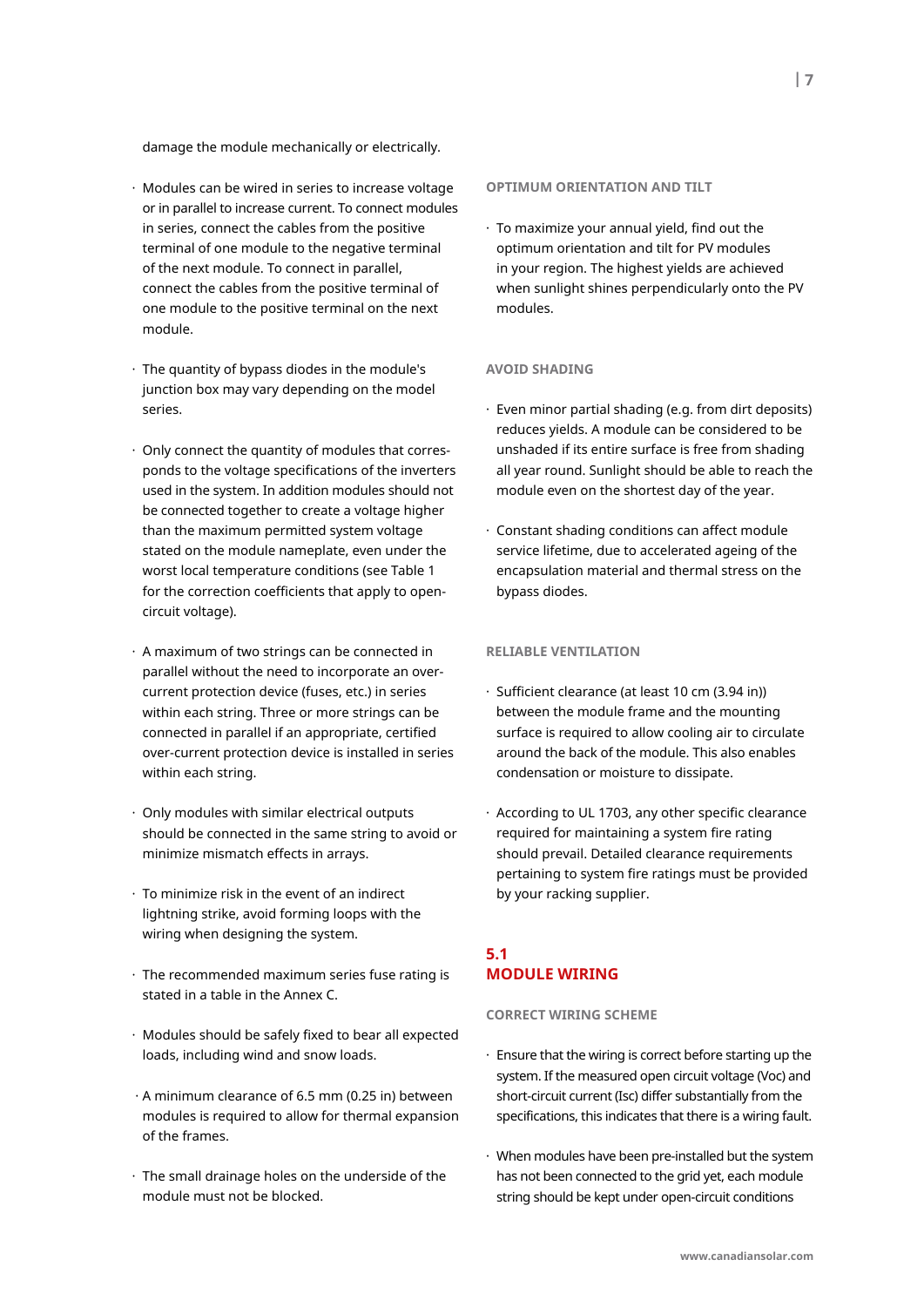damage the module mechanically or electrically.

- · Modules can be wired in series to increase voltage or in parallel to increase current. To connect modules in series, connect the cables from the positive terminal of one module to the negative terminal of the next module. To connect in parallel, connect the cables from the positive terminal of one module to the positive terminal on the next module.
- $\cdot$  The quantity of bypass diodes in the module's junction box may vary depending on the model series.
- · Only connect the quantity of modules that corresponds to the voltage specifications of the inverters used in the system. In addition modules should not be connected together to create a voltage higher than the maximum permitted system voltage stated on the module nameplate, even under the worst local temperature conditions (see Table 1 for the correction coefficients that apply to opencircuit voltage).
- · A maximum of two strings can be connected in parallel without the need to incorporate an overcurrent protection device (fuses, etc.) in series within each string. Three or more strings can be connected in parallel if an appropriate, certified over-current protection device is installed in series within each string.
- · Only modules with similar electrical outputs should be connected in the same string to avoid or minimize mismatch effects in arrays.
- · To minimize risk in the event of an indirect lightning strike, avoid forming loops with the wiring when designing the system.
- · The recommended maximum series fuse rating is stated in a table in the Annex C.
- · Modules should be safely fixed to bear all expected loads, including wind and snow loads.
- · A minimum clearance of 6.5 mm (0.25 in) between modules is required to allow for thermal expansion of the frames.
- · The small drainage holes on the underside of the module must not be blocked.

#### **oPtImum oRIentatIon anD tIlt**

· To maximize your annual yield, find out the optimum orientation and tilt for PV modules in your region. The highest yields are achieved when sunlight shines perpendicularly onto the PV modules.

#### **avoID sHaDInG**

- · Even minor partial shading (e.g. from dirt deposits) reduces yields. A module can be considered to be unshaded if its entire surface is free from shading all year round. Sunlight should be able to reach the module even on the shortest day of the year.
- · Constant shading conditions can affect module service lifetime, due to accelerated ageing of the encapsulation material and thermal stress on the bypass diodes.

#### **RelIaBle ventIlatIon**

- · Sufficient clearance (at least 10 cm (3.94 in)) between the module frame and the mounting surface is required to allow cooling air to circulate around the back of the module. This also enables condensation or moisture to dissipate.
- · According to UL 1703, any other specific clearance required for maintaining a system fire rating should prevail. Detailed clearance requirements pertaining to system fire ratings must be provided by your racking supplier.

# **5.1 moDule WIRInG**

#### **CoRReCt WIRInG sCHeme**

- · Ensure that the wiring is correct before starting up the system. If the measured open circuit voltage (Voc) and short-circuit current (Isc) differ substantially from the specifications, this indicates that there is a wiring fault.
- · When modules have been pre-installed but the system has not been connected to the grid yet, each module string should be kept under open-circuit conditions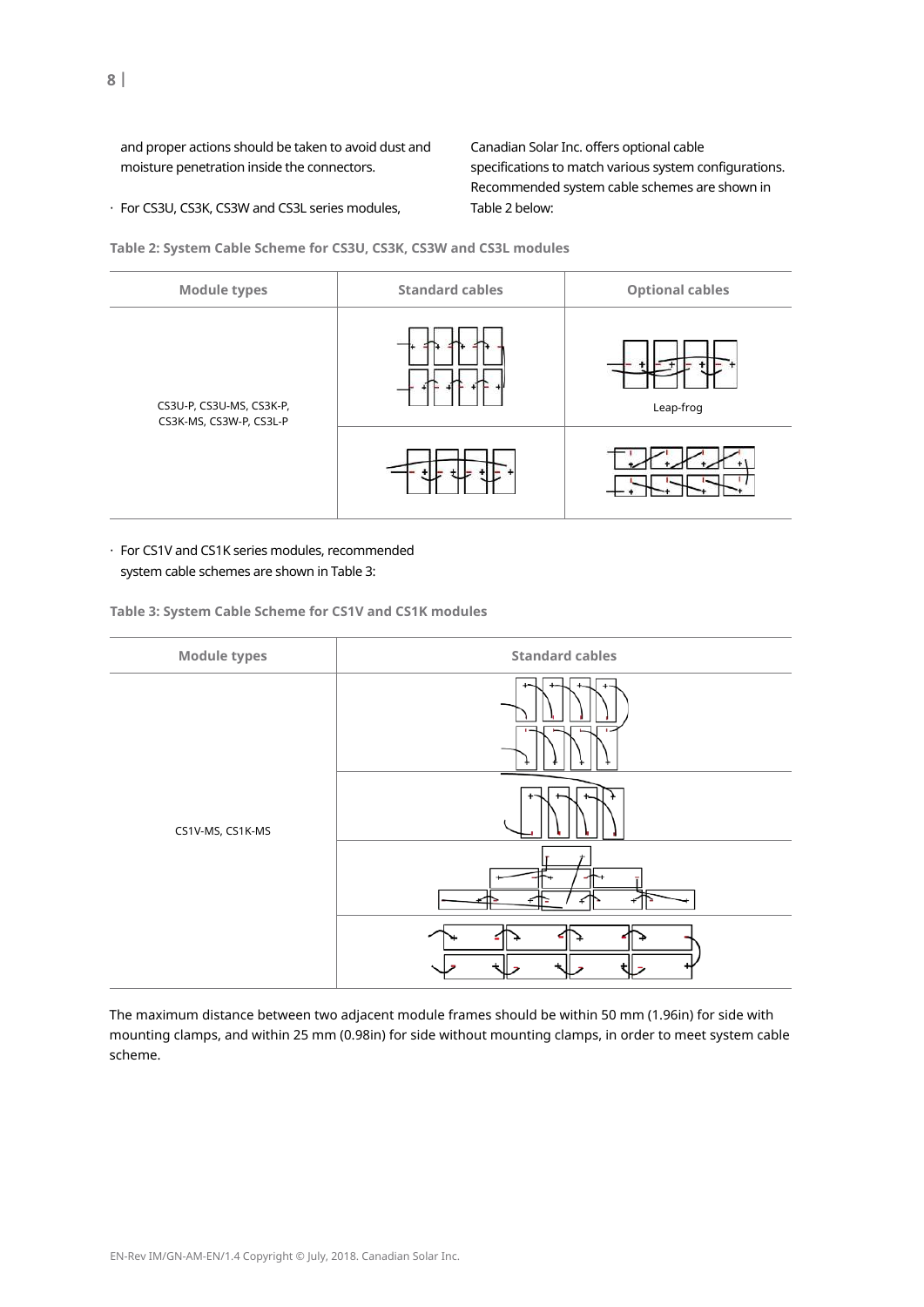and proper actions should be taken to avoid dust and moisture penetration inside the connectors.

Canadian Solar Inc. offers optional cable specifications to match various system configurations. Recommended system cable schemes are shown in Table 2 below:

· For CS3U, CS3K, CS3W and CS3L series modules,

**table 2: system Cable scheme for Cs3u, Cs3K, Cs3W and Cs3l modules**



· For CS1V and CS1K series modules, recommended system cable schemes are shown in Table 3:

**table 3: system Cable scheme for Cs1v and Cs1K modules**



The maximum distance between two adjacent module frames should be within 50 mm (1.96in) for side with mounting clamps, and within 25 mm (0.98in) for side without mounting clamps, in order to meet system cable scheme.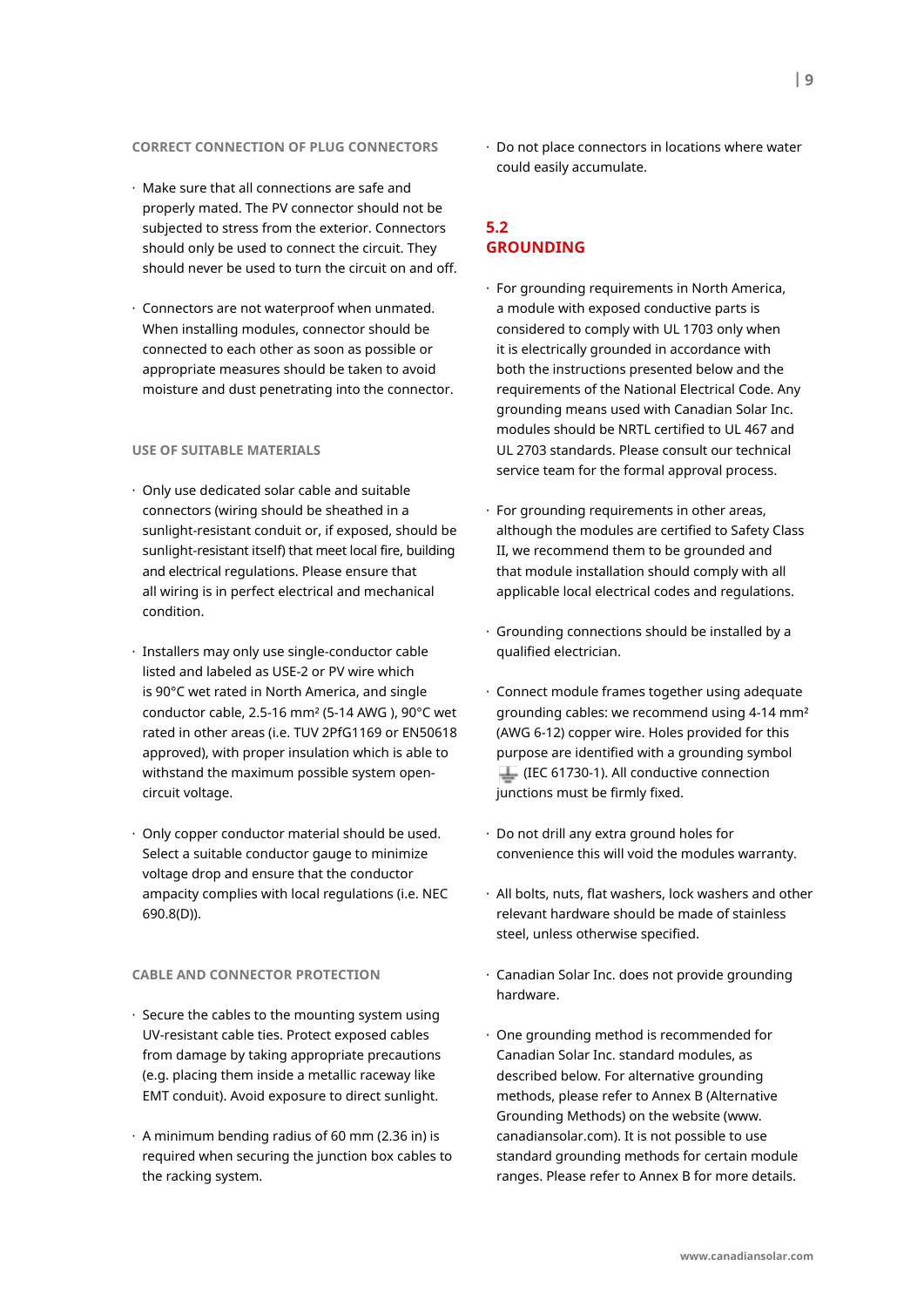- · Make sure that all connections are safe and properly mated. The PV connector should not be subjected to stress from the exterior. Connectors should only be used to connect the circuit. They should never be used to turn the circuit on and off.
- · Connectors are not waterproof when unmated. When installing modules, connector should be connected to each other as soon as possible or appropriate measures should be taken to avoid moisture and dust penetrating into the connector.

#### **use of suItaBle mateRIals**

- · Only use dedicated solar cable and suitable connectors (wiring should be sheathed in a sunlight-resistant conduit or, if exposed, should be sunlight-resistant itself) that meet local fire, building and electrical regulations. Please ensure that all wiring is in perfect electrical and mechanical condition.
- · Installers may only use single-conductor cable listed and labeled as USE-2 or PV wire which is 90°C wet rated in North America, and single conductor cable, 2.5-16 mm² (5-14 AWG ), 90°C wet rated in other areas (i.e. TUV 2PfG1169 or EN50618 approved), with proper insulation which is able to withstand the maximum possible system opencircuit voltage.
- · Only copper conductor material should be used. Select a suitable conductor gauge to minimize voltage drop and ensure that the conductor ampacity complies with local regulations (i.e. NEC 690.8(D)).

# **CaBle anD ConneCtoR PRoteCtIon**

- · Secure the cables to the mounting system using UV-resistant cable ties. Protect exposed cables from damage by taking appropriate precautions (e.g. placing them inside a metallic raceway like EMT conduit). Avoid exposure to direct sunlight.
- $\cdot$  A minimum bending radius of 60 mm (2.36 in) is required when securing the junction box cables to the racking system.

· Do not place connectors in locations where water could easily accumulate.

# **5.2 GRounDInG**

- · For grounding requirements in North America, a module with exposed conductive parts is considered to comply with UL 1703 only when it is electrically grounded in accordance with both the instructions presented below and the requirements of the National Electrical Code. Any grounding means used with Canadian Solar Inc. modules should be NRTL certified to UL 467 and UL 2703 standards. Please consult our technical service team for the formal approval process.
- · For grounding requirements in other areas, although the modules are certified to Safety Class II, we recommend them to be grounded and that module installation should comply with all applicable local electrical codes and regulations.
- · Grounding connections should be installed by a qualified electrician.
- · Connect module frames together using adequate grounding cables: we recommend using 4-14 mm² (AWG 6-12) copper wire. Holes provided for this purpose are identified with a grounding symbol (IEC 61730-1). All conductive connection junctions must be firmly fixed.
- · Do not drill any extra ground holes for convenience this will void the modules warranty.
- · All bolts, nuts, flat washers, lock washers and other relevant hardware should be made of stainless steel, unless otherwise specified.
- · Canadian Solar Inc. does not provide grounding hardware.
- · One grounding method is recommended for Canadian Solar Inc. standard modules, as described below. For alternative grounding methods, please refer to Annex B (Alternative Grounding Methods) on the website (www. canadiansolar.com). It is not possible to use standard grounding methods for certain module ranges. Please refer to Annex B for more details.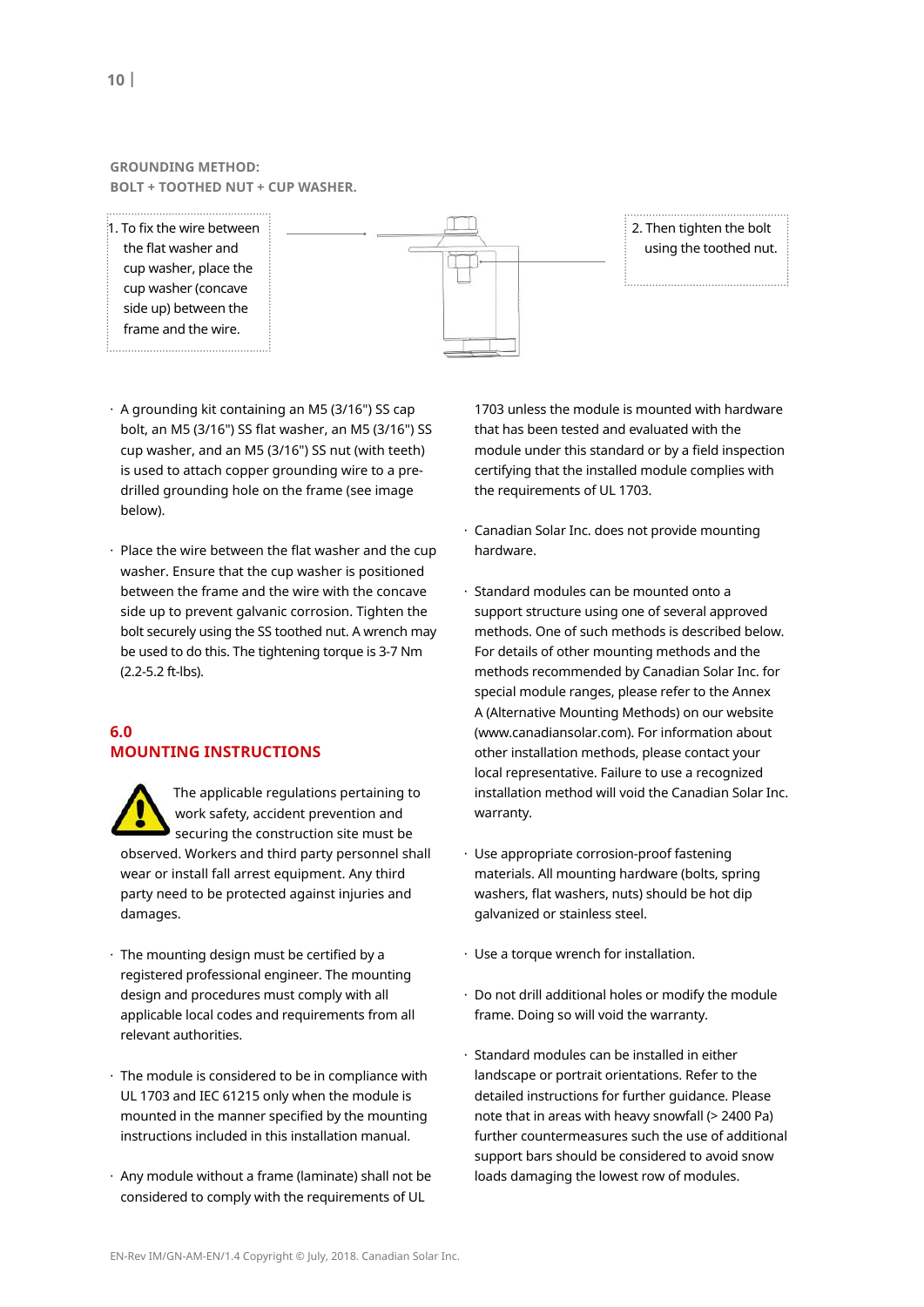#### **GROUNDING METHOD: Bolt + tootHeD nut + CuP WasHeR.**

 $1.$  To fix the wire between the flat washer and cup washer, place the cup washer (concave side up) between the frame and the wire. 





- · A grounding kit containing an M5 (3/16") SS cap bolt, an M5 (3/16") SS flat washer, an M5 (3/16") SS cup washer, and an M5 (3/16") SS nut (with teeth) is used to attach copper grounding wire to a predrilled grounding hole on the frame (see image below).
- · Place the wire between the flat washer and the cup washer. Ensure that the cup washer is positioned between the frame and the wire with the concave side up to prevent galvanic corrosion. Tighten the bolt securely using the SS toothed nut. A wrench may be used to do this. The tightening torque is 3-7 Nm (2.2-5.2 ft-lbs).

# **6.0 mountInG InstRuCtIons**

 The applicable regulations pertaining to work safety, accident prevention and securing the construction site must be observed. Workers and third party personnel shall wear or install fall arrest equipment. Any third party need to be protected against injuries and damages.

- · The mounting design must be certified by a registered professional engineer. The mounting design and procedures must comply with all applicable local codes and requirements from all relevant authorities.
- · The module is considered to be in compliance with UL 1703 and IEC 61215 only when the module is mounted in the manner specified by the mounting instructions included in this installation manual.
- · Any module without a frame (laminate) shall not be considered to comply with the requirements of UL

1703 unless the module is mounted with hardware that has been tested and evaluated with the module under this standard or by a field inspection certifying that the installed module complies with the requirements of UL 1703.

- · Canadian Solar Inc. does not provide mounting hardware.
- · Standard modules can be mounted onto a support structure using one of several approved methods. One of such methods is described below. For details of other mounting methods and the methods recommended by Canadian Solar Inc. for special module ranges, please refer to the Annex A (Alternative Mounting Methods) on our website (www.canadiansolar.com). For information about other installation methods, please contact your local representative. Failure to use a recognized installation method will void the Canadian Solar Inc. warranty.
- · Use appropriate corrosion-proof fastening materials. All mounting hardware (bolts, spring washers, flat washers, nuts) should be hot dip galvanized or stainless steel.
- · Use a torque wrench for installation.
- · Do not drill additional holes or modify the module frame. Doing so will void the warranty.
- · Standard modules can be installed in either landscape or portrait orientations. Refer to the detailed instructions for further guidance. Please note that in areas with heavy snowfall (> 2400 Pa) further countermeasures such the use of additional support bars should be considered to avoid snow loads damaging the lowest row of modules.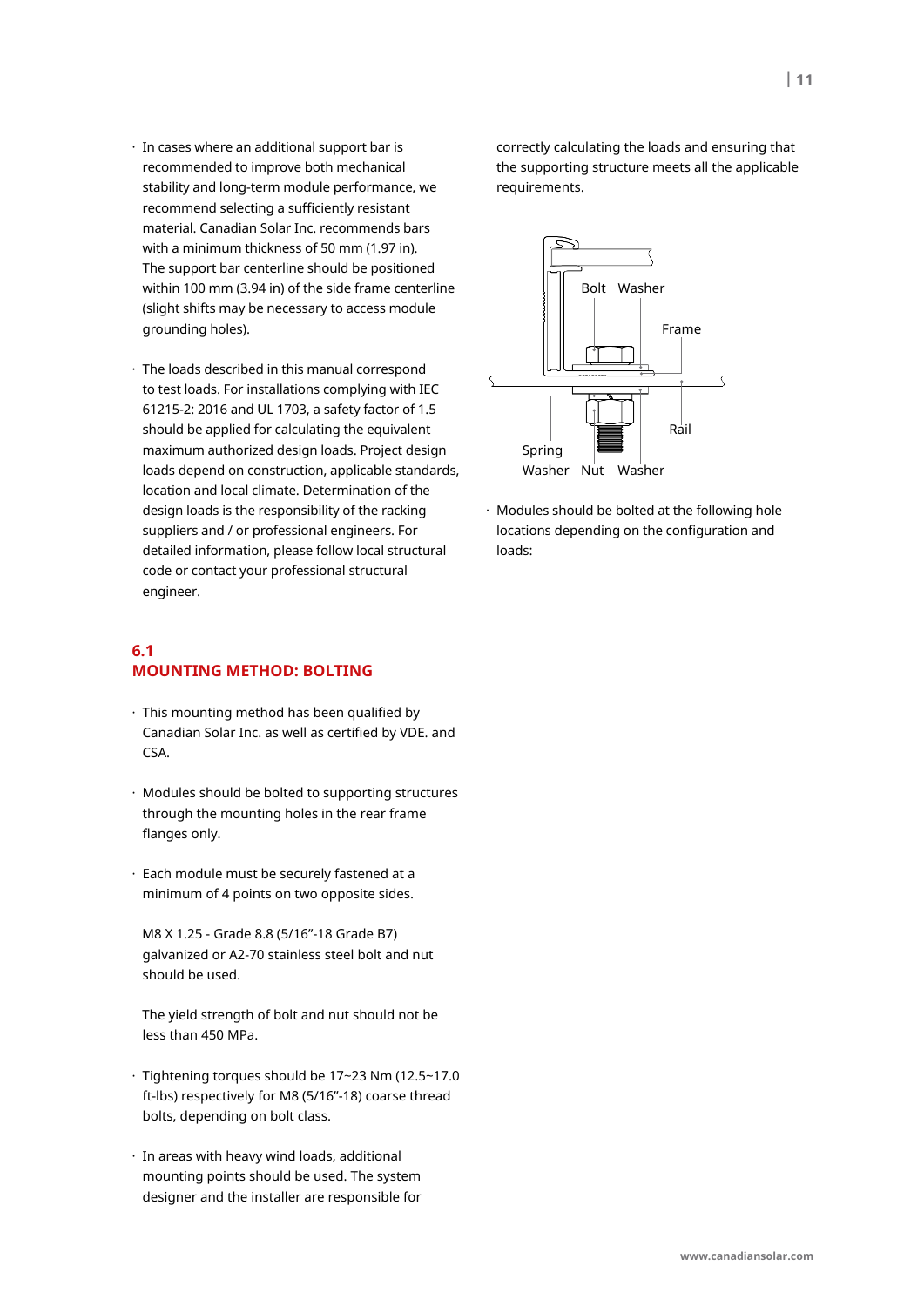- · In cases where an additional support bar is recommended to improve both mechanical stability and long-term module performance, we recommend selecting a sufficiently resistant material. Canadian Solar Inc. recommends bars with a minimum thickness of 50 mm (1.97 in). The support bar centerline should be positioned within 100 mm (3.94 in) of the side frame centerline (slight shifts may be necessary to access module grounding holes).
- · The loads described in this manual correspond to test loads. For installations complying with IEC 61215-2: 2016 and UL 1703, a safety factor of 1.5 should be applied for calculating the equivalent maximum authorized design loads. Project design loads depend on construction, applicable standards, location and local climate. Determination of the design loads is the responsibility of the racking suppliers and / or professional engineers. For detailed information, please follow local structural code or contact your professional structural engineer.

# **6.1 mountInG metHoD: BoltInG**

- · This mounting method has been qualified by Canadian Solar Inc. as well as certified by VDE. and CSA.
- · Modules should be bolted to supporting structures through the mounting holes in the rear frame flanges only.
- · Each module must be securely fastened at a minimum of 4 points on two opposite sides.

 M8 X 1.25 - Grade 8.8 (5/16"-18 Grade B7) galvanized or A2-70 stainless steel bolt and nut should be used.

 The yield strength of bolt and nut should not be less than 450 MPa.

- · Tightening torques should be 17~23 Nm (12.5~17.0 ft-lbs) respectively for M8 (5/16"-18) coarse thread bolts, depending on bolt class.
- · In areas with heavy wind loads, additional mounting points should be used. The system designer and the installer are responsible for

correctly calculating the loads and ensuring that the supporting structure meets all the applicable requirements.



· Modules should be bolted at the following hole locations depending on the configuration and loads: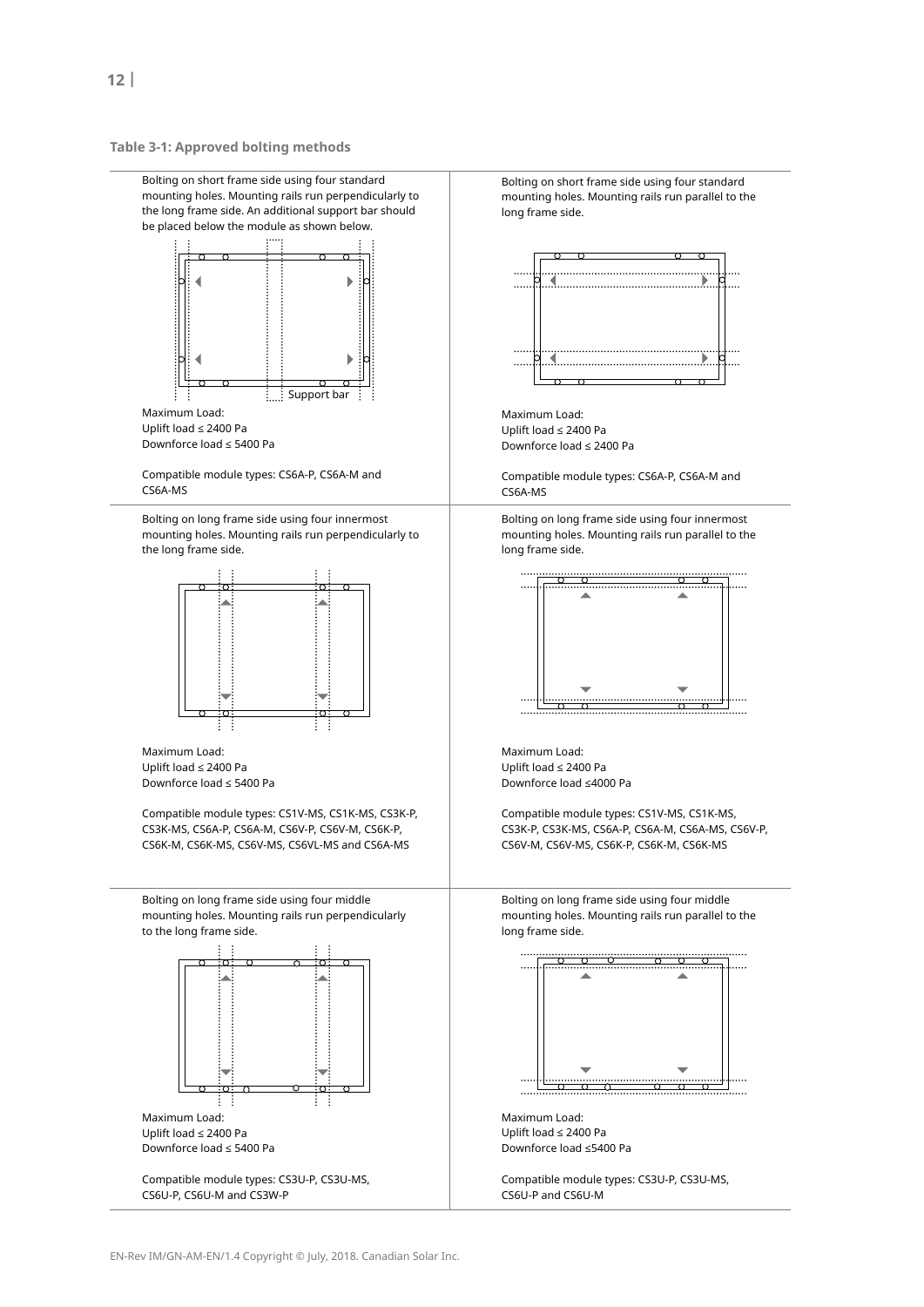**table 3-1: approved bolting methods**



Compatible module types: CS3U-P, CS3U-MS, CS6U-P, CS6U-M and CS3W-P

Bolting on short frame side using four standard mounting holes. Mounting rails run parallel to the long frame side.



Maximum Load: Uplift load ≤ 2400 Pa Downforce load ≤ 2400 Pa

Compatible module types: CS6A-P, CS6A-M and

Bolting on long frame side using four innermost mounting holes. Mounting rails run parallel to the long frame side.



Maximum Load: Uplift load ≤ 2400 Pa Downforce load ≤4000 Pa

Compatible module types: CS1V-MS, CS1K-MS, CS3K-P, CS3K-MS, CS6A-P, CS6A-M, CS6A-MS, CS6V-P, CS6V-M, CS6V-MS, CS6K-P, CS6K-M, CS6K-MS

Bolting on long frame side using four middle mounting holes. Mounting rails run parallel to the long frame side.



Maximum Load: Uplift load ≤ 2400 Pa Downforce load ≤5400 Pa

Compatible module types: CS3U-P, CS3U-MS, CS6U-P and CS6U-M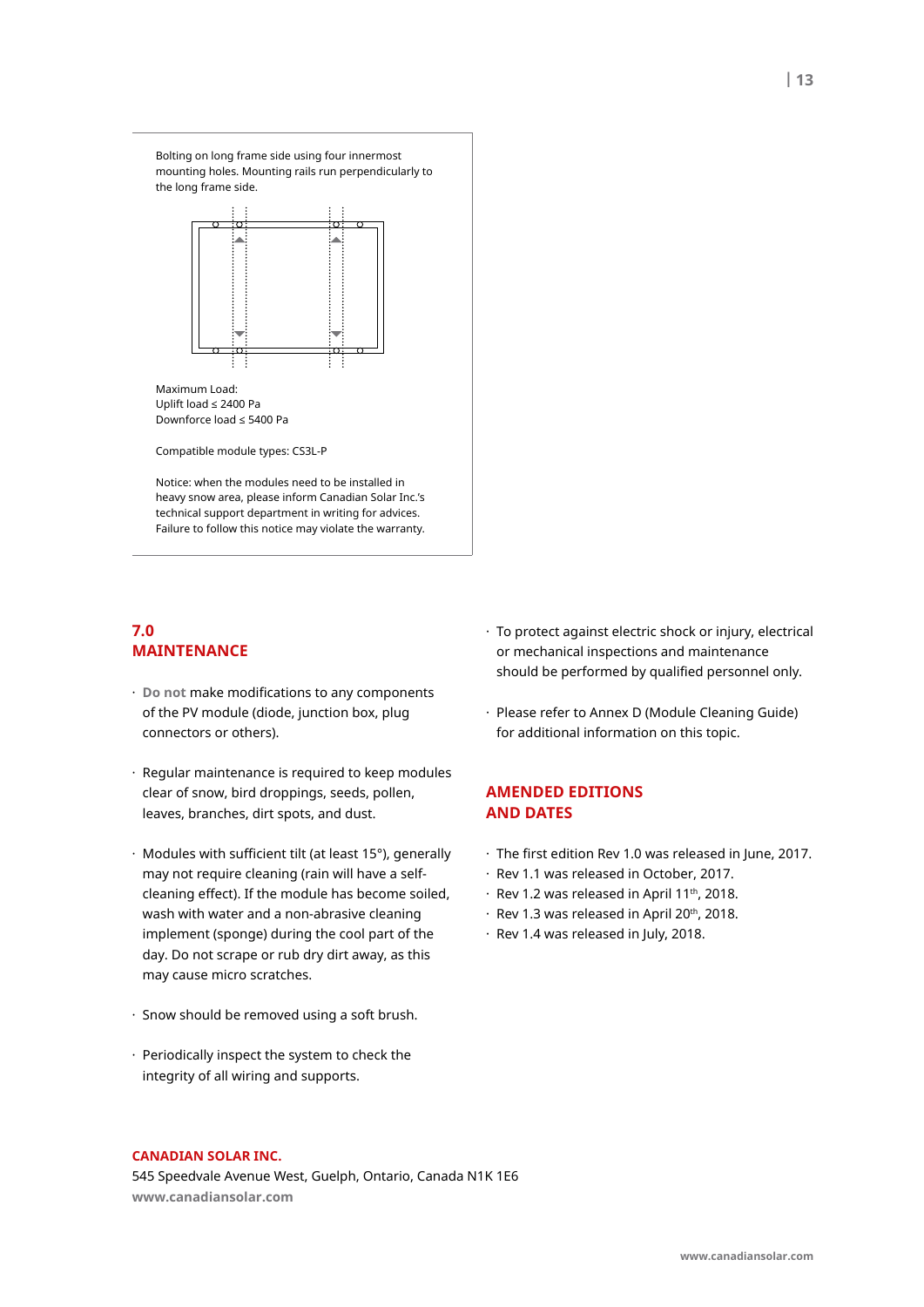Bolting on long frame side using four innermost mounting holes. Mounting rails run perpendicularly to the long frame side.



Maximum Load: Uplift load ≤ 2400 Pa Downforce load ≤ 5400 Pa

Compatible module types: CS3L-P

Notice: when the modules need to be installed in heavy snow area, please inform Canadian Solar Inc.'s technical support department in writing for advices. Failure to follow this notice may violate the warranty.

# **7.0 maIntenanCe**

- · **Do not** make modifications to any components of the PV module (diode, junction box, plug connectors or others).
- · Regular maintenance is required to keep modules clear of snow, bird droppings, seeds, pollen, leaves, branches, dirt spots, and dust.
- · Modules with sufficient tilt (at least 15°), generally may not require cleaning (rain will have a selfcleaning effect). If the module has become soiled, wash with water and a non-abrasive cleaning implement (sponge) during the cool part of the day. Do not scrape or rub dry dirt away, as this may cause micro scratches.
- · Snow should be removed using a soft brush.
- · Periodically inspect the system to check the integrity of all wiring and supports.
- · To protect against electric shock or injury, electrical or mechanical inspections and maintenance should be performed by qualified personnel only.
- · Please refer to Annex D (Module Cleaning Guide) for additional information on this topic.

## **AMENDED EDITIONS anD Dates**

- · The first edition Rev 1.0 was released in June, 2017.
- · Rev 1.1 was released in October, 2017.
- $\cdot$  Rev 1.2 was released in April 11<sup>th</sup>, 2018.
- · Rev 1.3 was released in April 20th, 2018.
- · Rev 1.4 was released in July, 2018.

#### **CanaDIan solaR InC.**

545 Speedvale Avenue West, Guelph, Ontario, Canada N1K 1E6 **www.canadiansolar.com**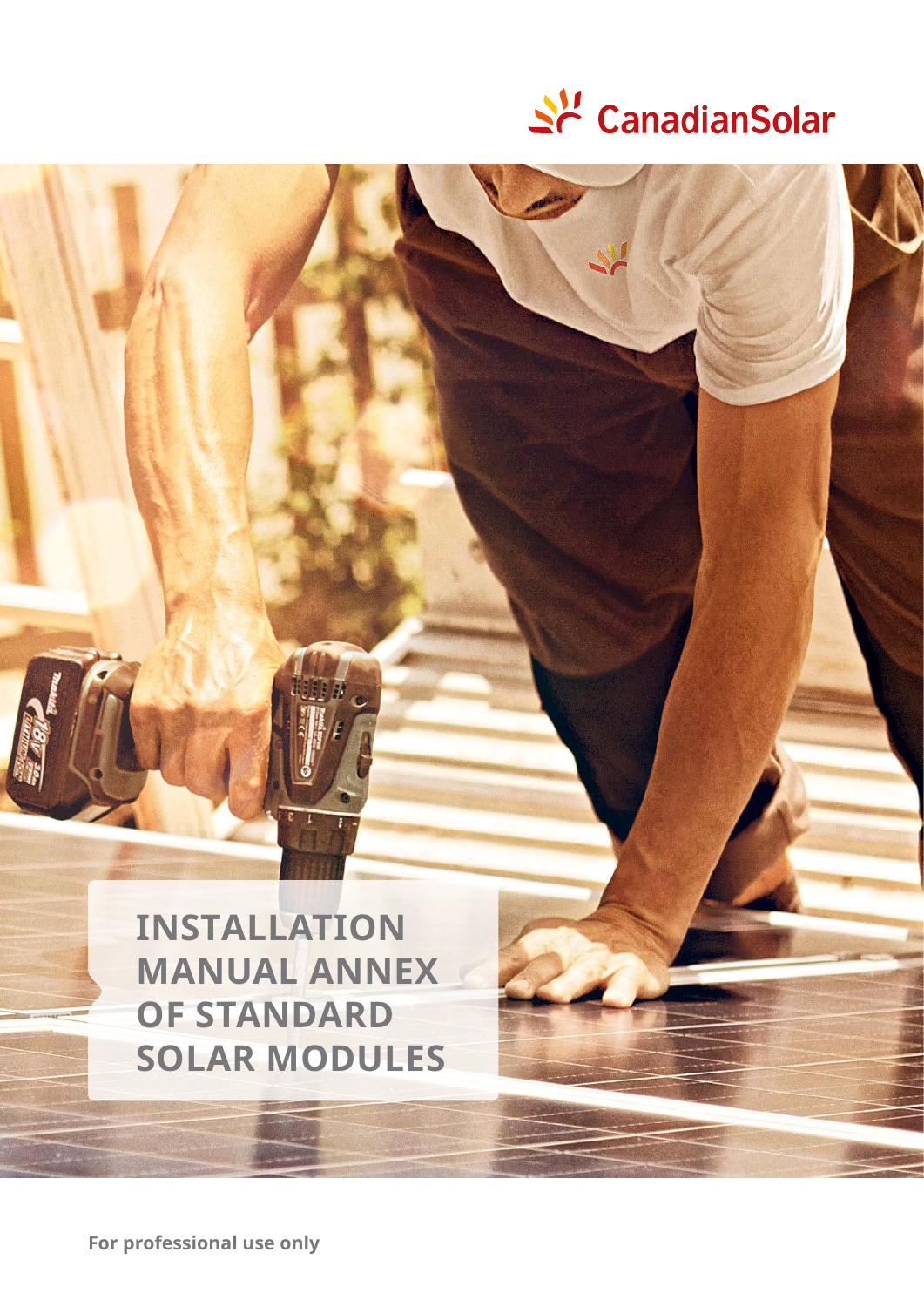

# **InstallatIon manual anneX of stanDaRD solaR moDules**

**for professional use only**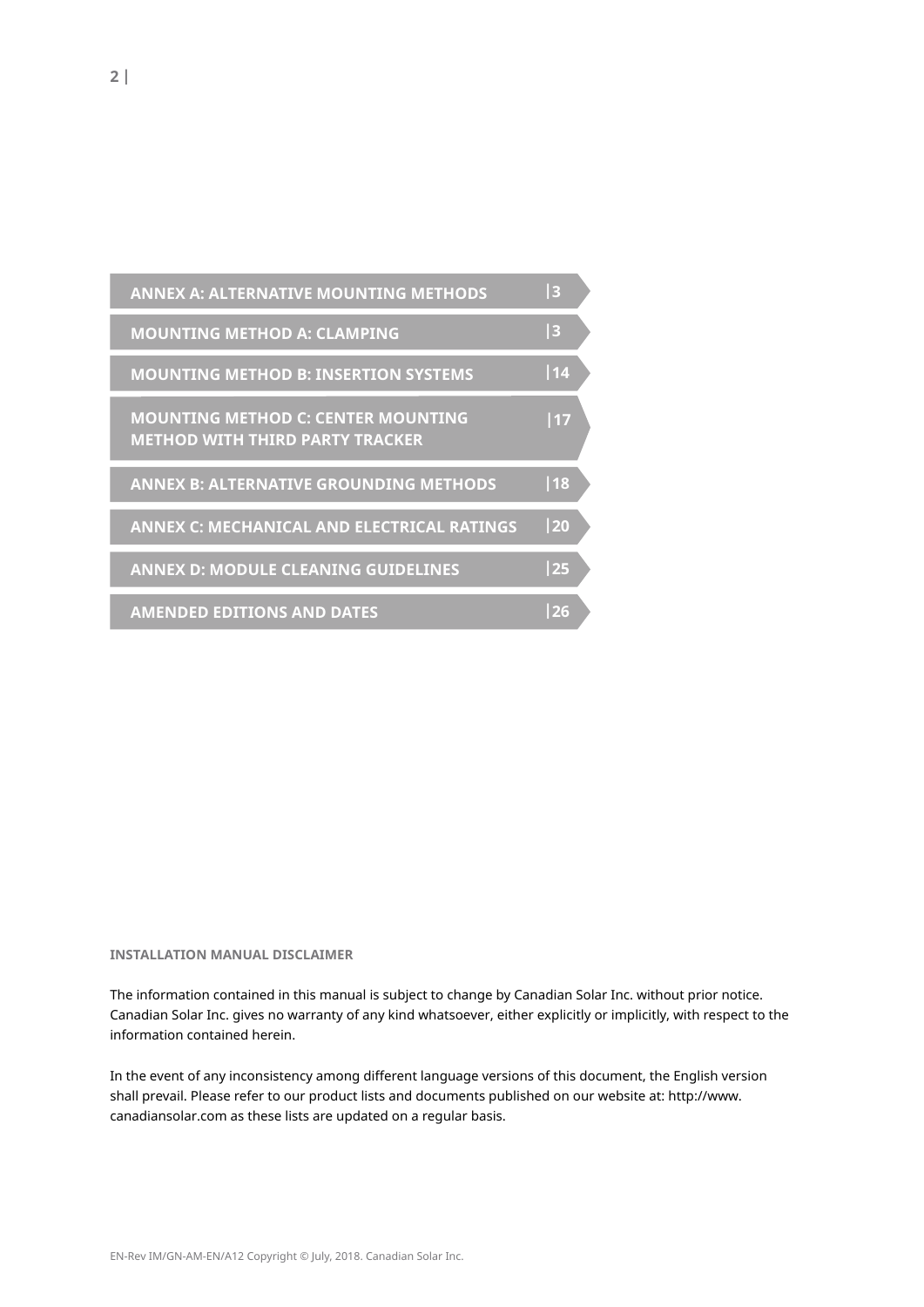| <b>ANNEX A: ALTERNATIVE MOUNTING METHODS</b>                                        | 3  |  |
|-------------------------------------------------------------------------------------|----|--|
| <b>MOUNTING METHOD A: CLAMPING</b>                                                  | 3  |  |
| <b>MOUNTING METHOD B: INSERTION SYSTEMS</b>                                         | 14 |  |
| <b>MOUNTING METHOD C: CENTER MOUNTING</b><br><b>METHOD WITH THIRD PARTY TRACKER</b> | 17 |  |
| <b>ANNEX B: ALTERNATIVE GROUNDING METHODS</b>                                       | 18 |  |
| <b>ANNEX C: MECHANICAL AND ELECTRICAL RATINGS</b>                                   | 20 |  |
| <b>ANNEX D: MODULE CLEANING GUIDELINES</b>                                          | 25 |  |
| <b>AMENDED EDITIONS AND DATES</b>                                                   | 26 |  |

#### **InstallatIon manual DIsClaImeR**

The information contained in this manual is subject to change by Canadian Solar Inc. without prior notice. Canadian Solar Inc. gives no warranty of any kind whatsoever, either explicitly or implicitly, with respect to the information contained herein.

In the event of any inconsistency among different language versions of this document, the English version shall prevail. Please refer to our product lists and documents published on our website at: http://www. canadiansolar.com as these lists are updated on a regular basis.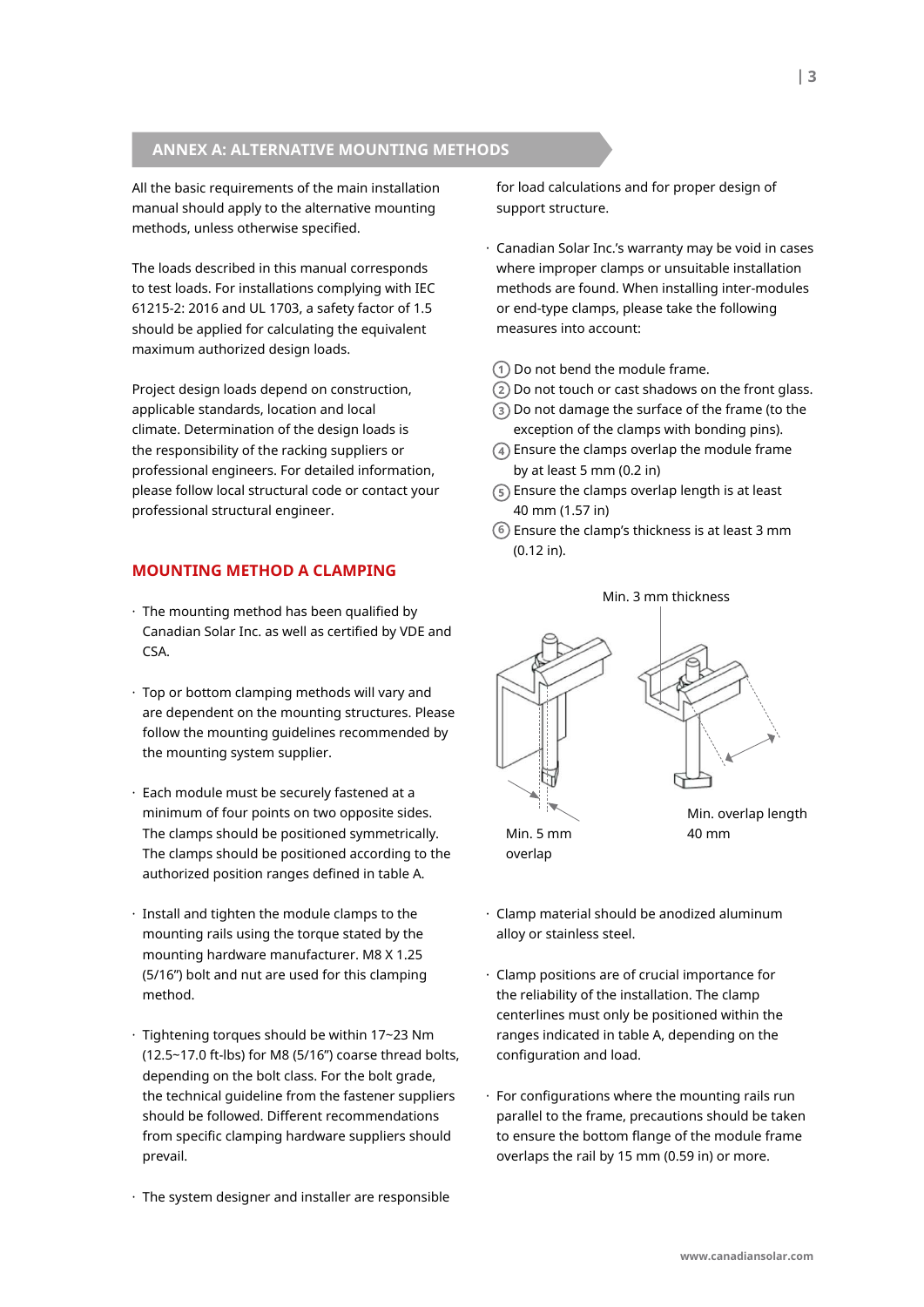# **anneX a: alteRnatIve mountInG metHoDs**

All the basic requirements of the main installation manual should apply to the alternative mounting methods, unless otherwise specified.

The loads described in this manual corresponds to test loads. For installations complying with IEC 61215-2: 2016 and UL 1703, a safety factor of 1.5 should be applied for calculating the equivalent maximum authorized design loads.

Project design loads depend on construction, applicable standards, location and local climate. Determination of the design loads is the responsibility of the racking suppliers or professional engineers. For detailed information, please follow local structural code or contact your professional structural engineer.

# **mountInG metHoD a ClamPInG**

- · The mounting method has been qualified by Canadian Solar Inc. as well as certified by VDE and CSA.
- · Top or bottom clamping methods will vary and are dependent on the mounting structures. Please follow the mounting guidelines recommended by the mounting system supplier.
- · Each module must be securely fastened at a minimum of four points on two opposite sides. The clamps should be positioned symmetrically. The clamps should be positioned according to the authorized position ranges defined in table A.
- · Install and tighten the module clamps to the mounting rails using the torque stated by the mounting hardware manufacturer. M8 X 1.25 (5/16") bolt and nut are used for this clamping method.
- · Tightening torques should be within 17~23 Nm (12.5~17.0 ft-lbs) for M8 (5/16") coarse thread bolts, depending on the bolt class. For the bolt grade, the technical guideline from the fastener suppliers should be followed. Different recommendations from specific clamping hardware suppliers should prevail.
- · The system designer and installer are responsible

for load calculations and for proper design of support structure.

- · Canadian Solar Inc.'s warranty may be void in cases where improper clamps or unsuitable installation methods are found. When installing inter-modules or end-type clamps, please take the following measures into account:
- Do not bend the module frame.
- Do not touch or cast shadows on the front glass.
- Do not damage the surface of the frame (to the exception of the clamps with bonding pins).
- Ensure the clamps overlap the module frame by at least 5 mm (0.2 in)
- $(5)$  Ensure the clamps overlap length is at least 40 mm (1.57 in)
- Ensure the clamp's thickness is at least 3 mm **6** (0.12 in).



- · Clamp material should be anodized aluminum alloy or stainless steel.
- · Clamp positions are of crucial importance for the reliability of the installation. The clamp centerlines must only be positioned within the ranges indicated in table A, depending on the configuration and load.
- $\cdot$  For configurations where the mounting rails run parallel to the frame, precautions should be taken to ensure the bottom flange of the module frame overlaps the rail by 15 mm (0.59 in) or more.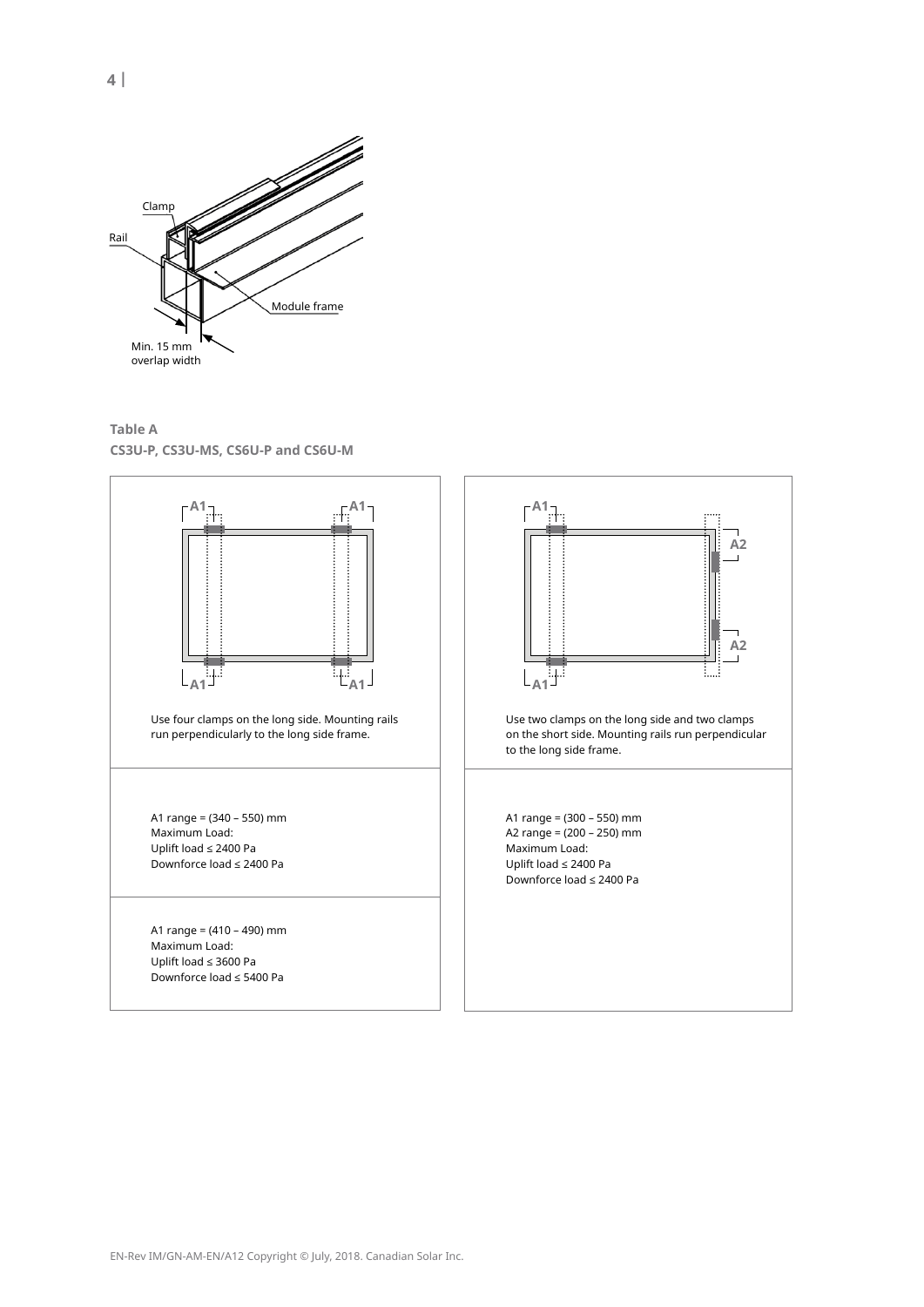

**table a Cs3u-P, Cs3u-ms, Cs6u-P and Cs6u-m**



**4 |**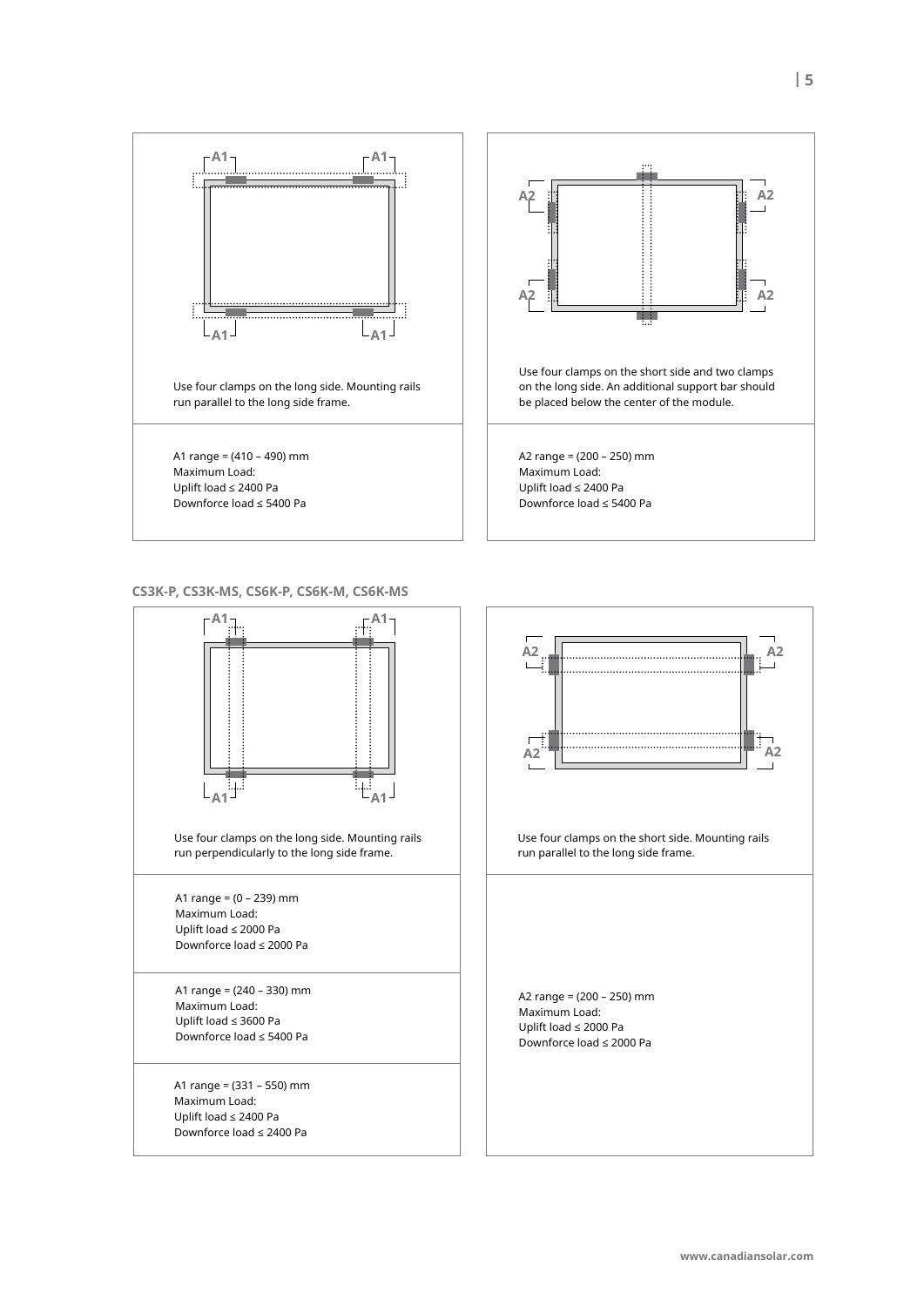

**Cs3K-P, Cs3K-ms, Cs6K-P, Cs6K-m, Cs6K-ms**

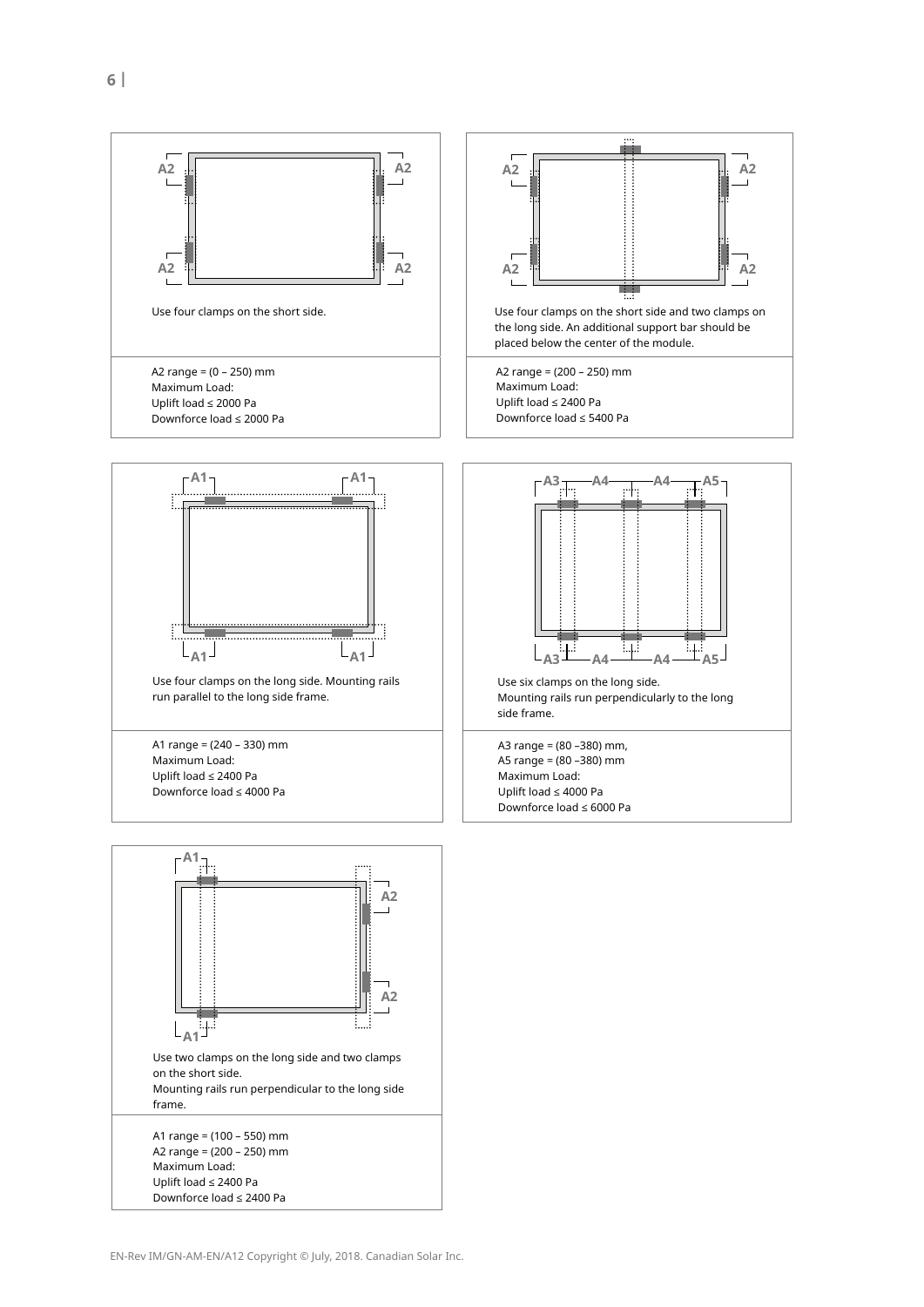

Uplift load ≤ 2400 Pa Downforce load ≤ 2400 Pa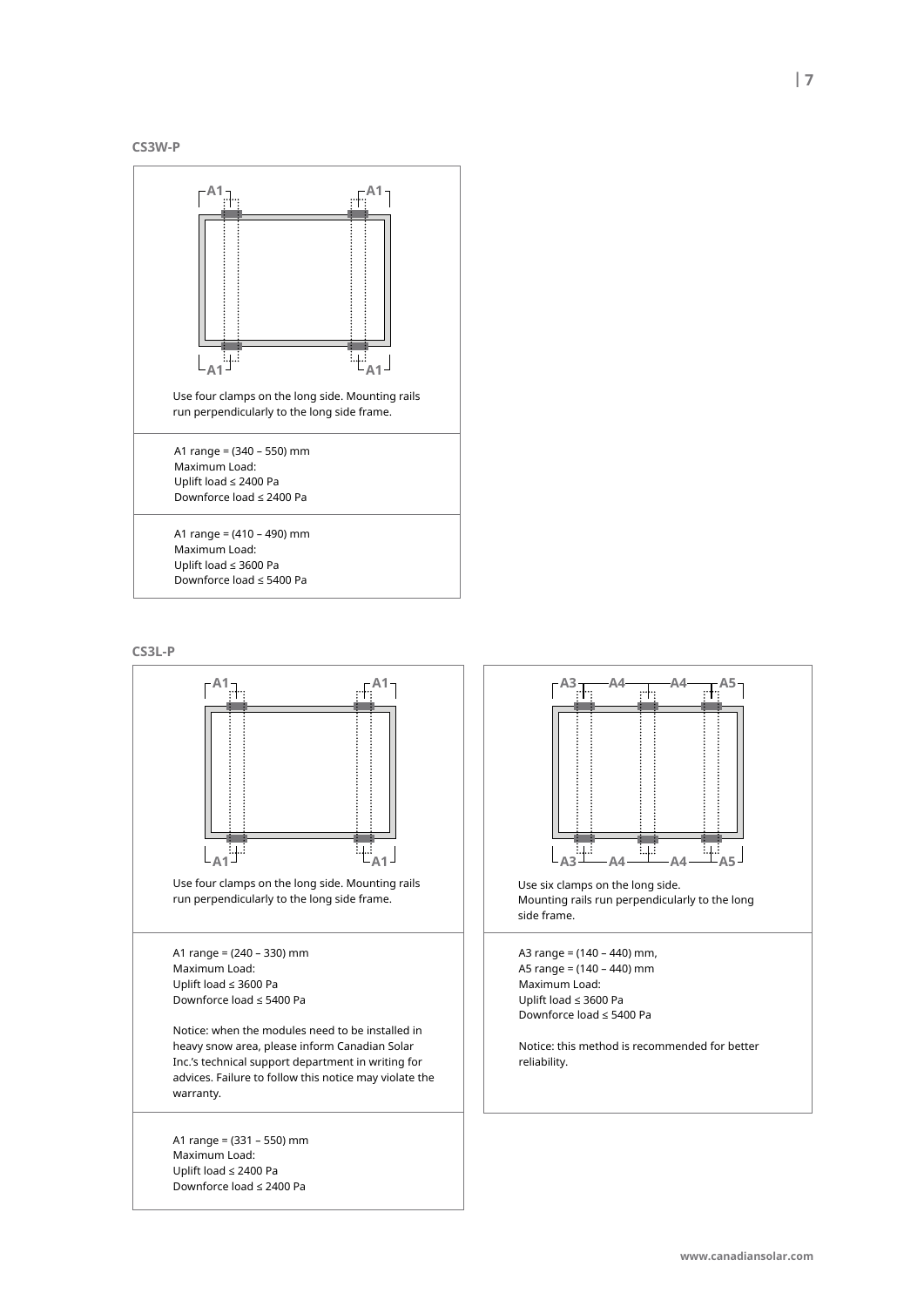





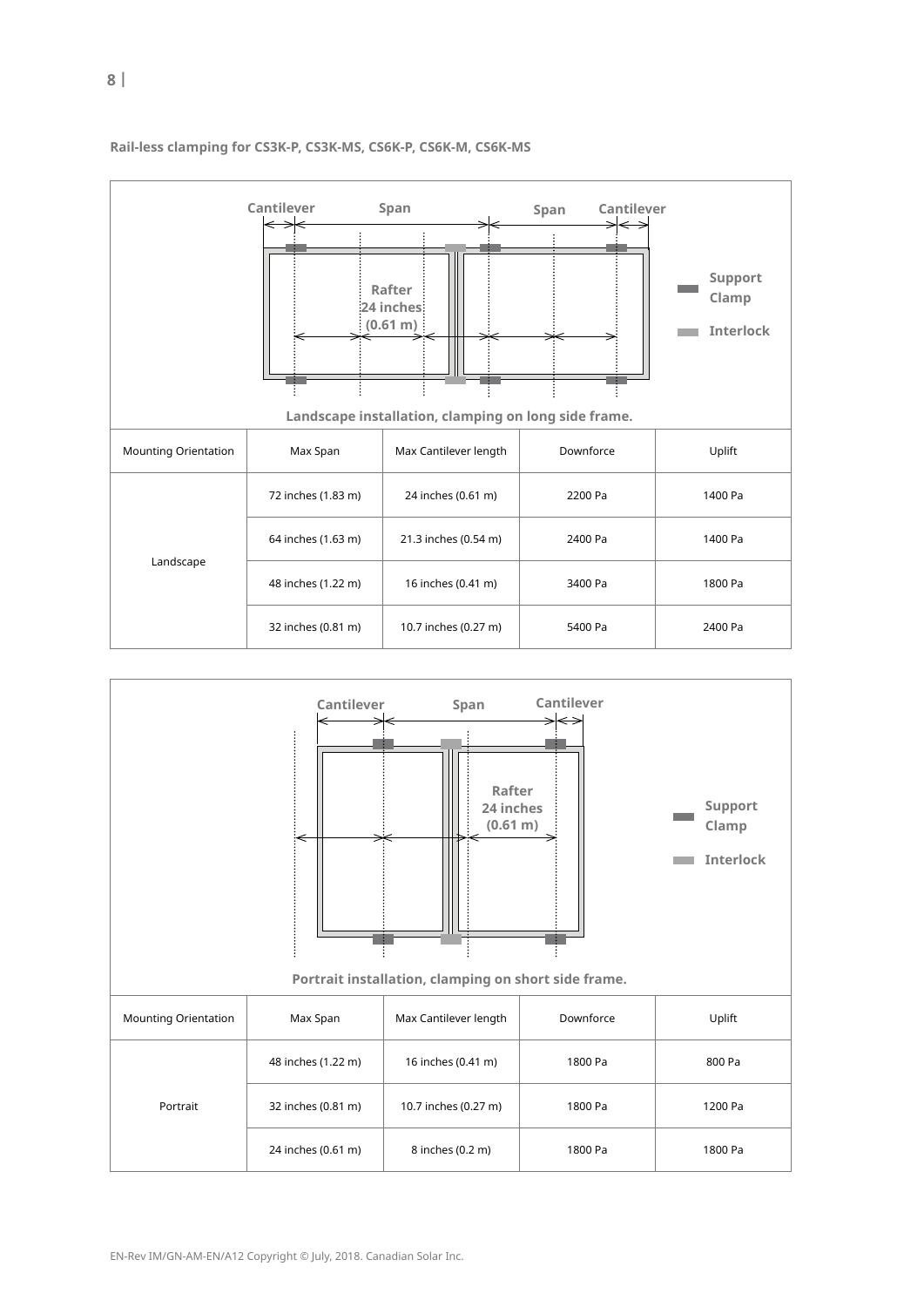

|                             | Cantilever<br>$\hookleftarrow$ | Span<br>Rafter<br>24 inches:<br>(0.61 m)<br>Landscape installation, clamping on long side frame. | Span<br>Cantilever | Support<br>Clamp<br><b>Interlock</b> |
|-----------------------------|--------------------------------|--------------------------------------------------------------------------------------------------|--------------------|--------------------------------------|
| <b>Mounting Orientation</b> | Max Span                       | Max Cantilever length                                                                            | Downforce          | Uplift                               |
|                             | 72 inches (1.83 m)             | 24 inches (0.61 m)                                                                               | 2200 Pa            | 1400 Pa                              |
|                             | 64 inches (1.63 m)             | 21.3 inches (0.54 m)                                                                             | 2400 Pa            | 1400 Pa                              |
| Landscape                   | 48 inches (1.22 m)             | 16 inches (0.41 m)                                                                               | 3400 Pa            | 1800 Pa                              |
|                             | 32 inches (0.81 m)             | 10.7 inches (0.27 m)                                                                             | 5400 Pa            | 2400 Pa                              |

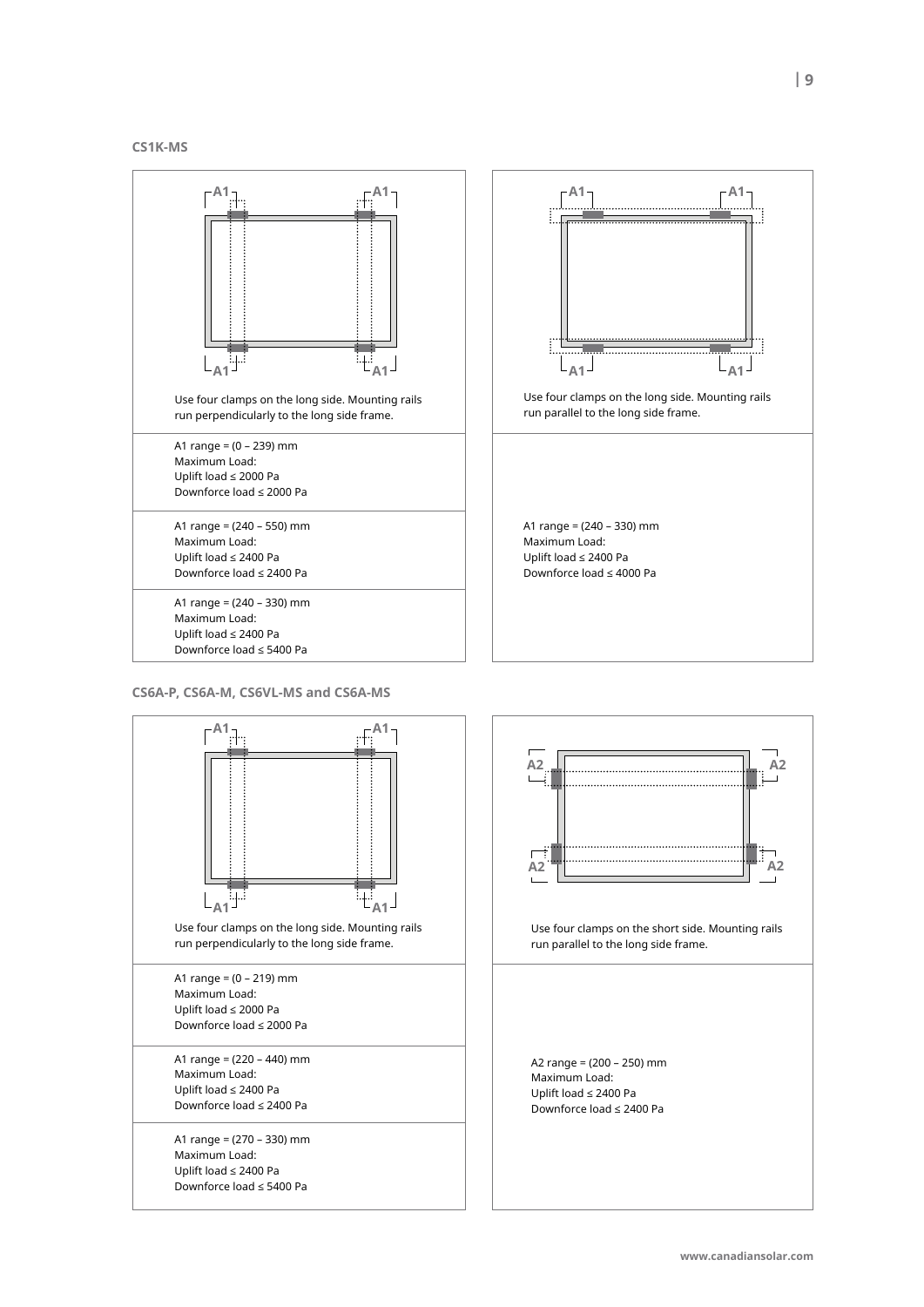#### **Cs1K-ms**



**Cs6a-P, Cs6a-m, Cs6vl-ms and Cs6a-ms**

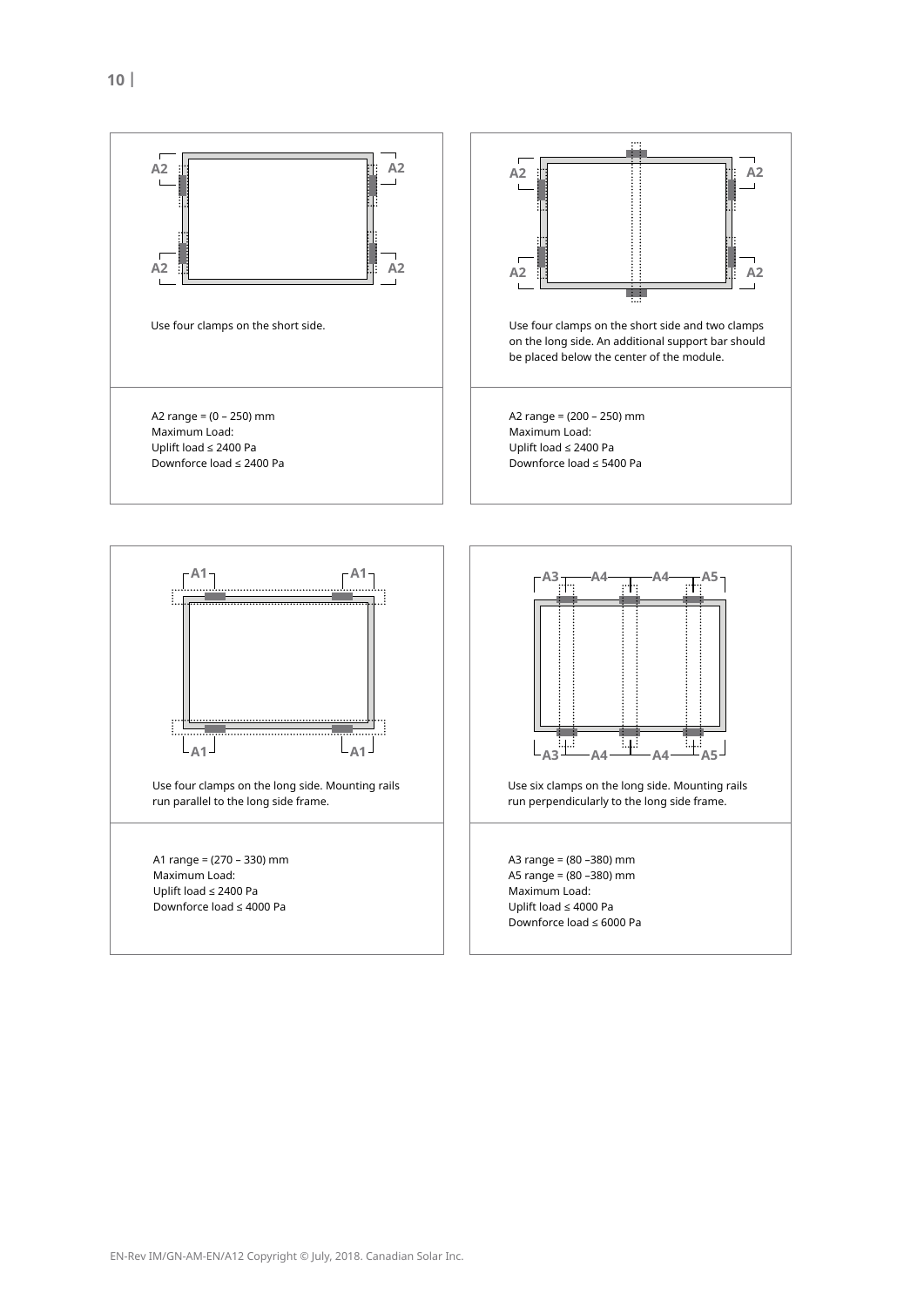







**a3 a**<sub>4</sub> **a**<sub>4</sub> **a**<sub>4</sub> **a**<sub>4</sub> **a**<sub>4</sub> **a**<sub>4</sub> **a**<sub>5</sub>

**a4 a4**

Use six clamps on the long side. Mounting rails run perpendicularly to the long side frame.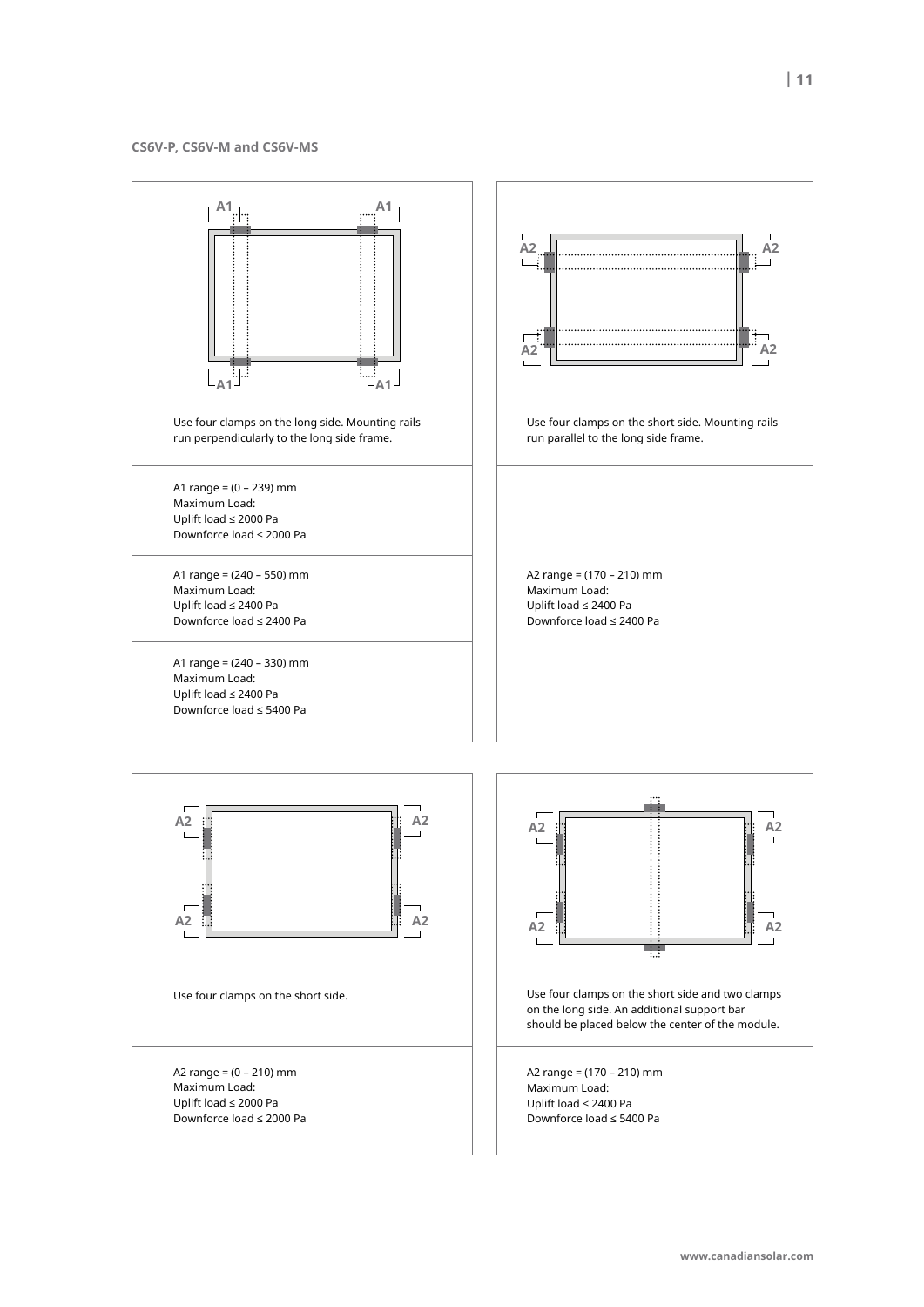**Cs6v-P, Cs6v-m and Cs6v-ms**

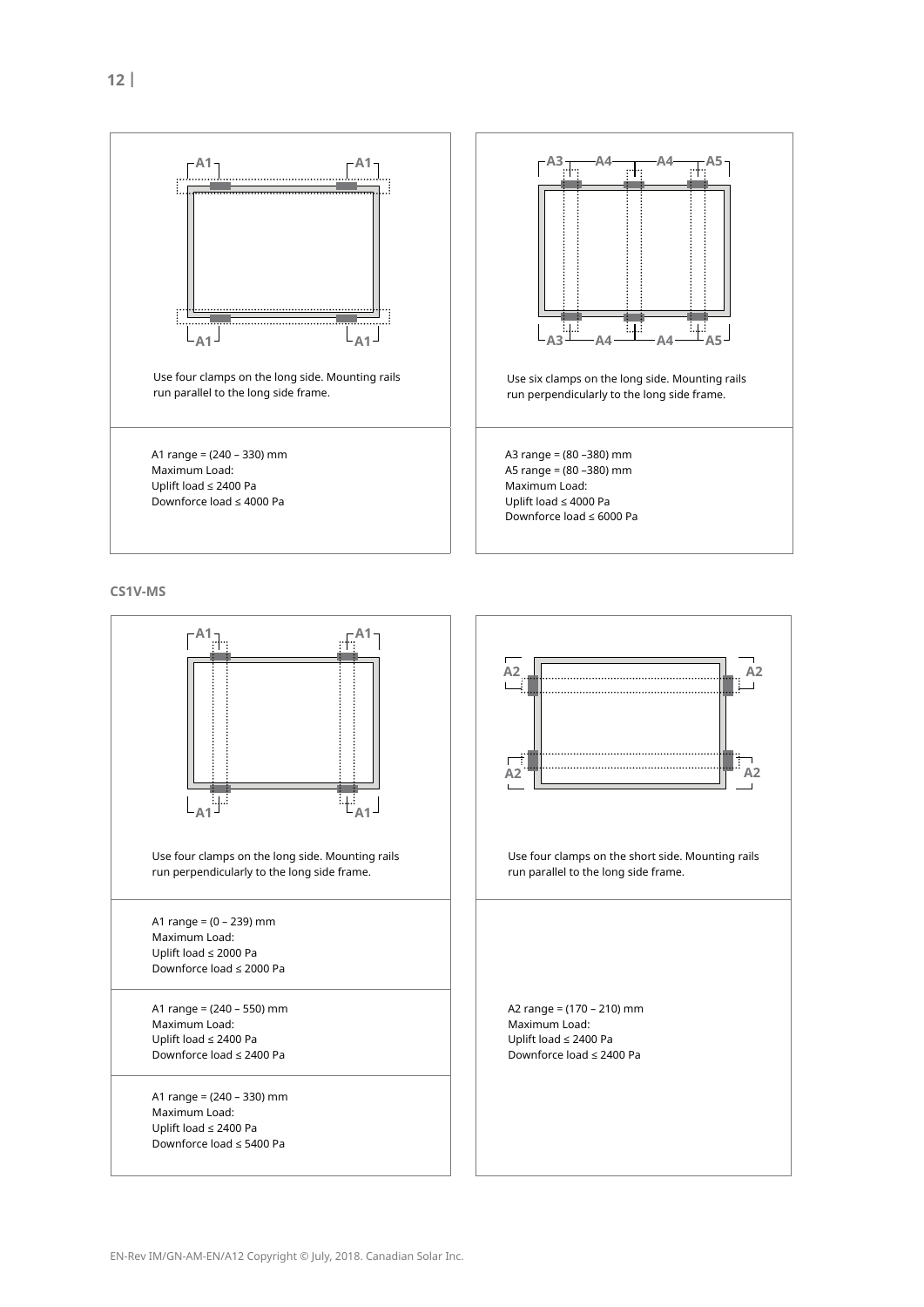

**Cs1v-ms**

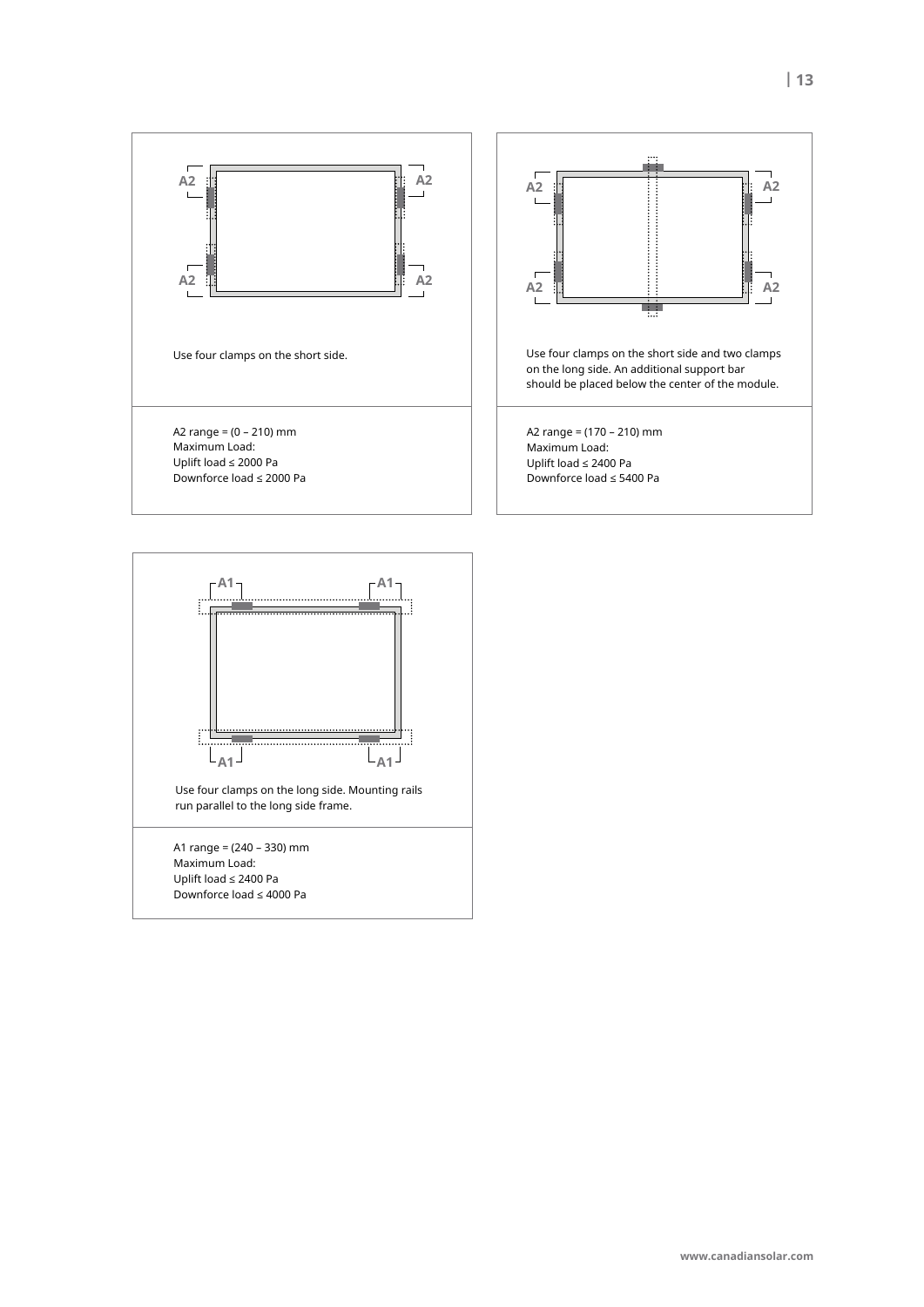

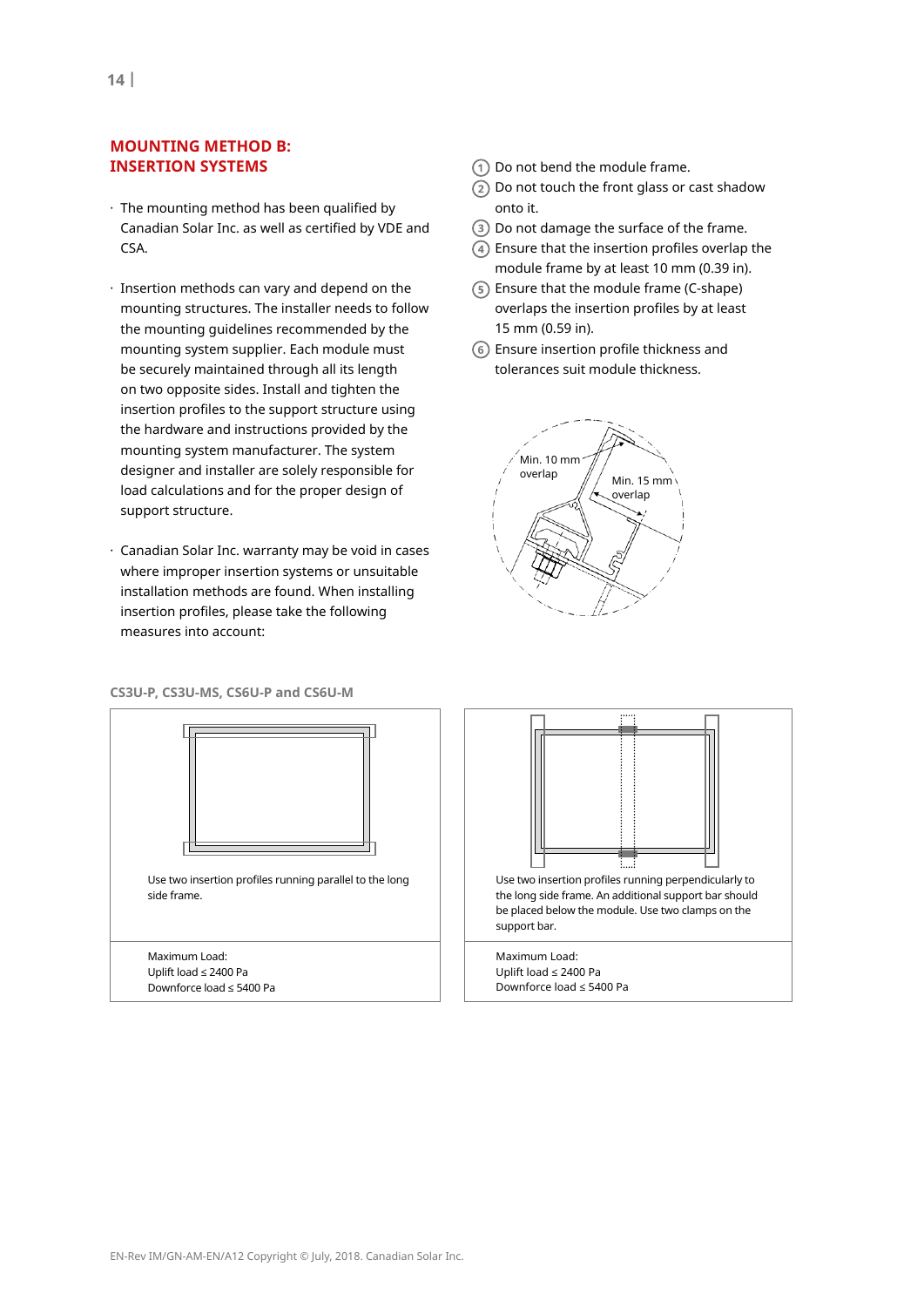## **mountInG metHoD B: InseRtIon sYstems**

- · The mounting method has been qualified by Canadian Solar Inc. as well as certified by VDE and CSA.
- · Insertion methods can vary and depend on the mounting structures. The installer needs to follow the mounting guidelines recommended by the mounting system supplier. Each module must be securely maintained through all its length on two opposite sides. Install and tighten the insertion profiles to the support structure using the hardware and instructions provided by the mounting system manufacturer. The system designer and installer are solely responsible for load calculations and for the proper design of support structure.
- · Canadian Solar Inc. warranty may be void in cases where improper insertion systems or unsuitable installation methods are found. When installing insertion profiles, please take the following measures into account:
- Do not bend the module frame.
- $(2)$  Do not touch the front glass or cast shadow onto it.
- Do not damage the surface of the frame.
- $\sqrt{4}$ ) Ensure that the insertion profiles overlap the module frame by at least 10 mm (0.39 in).
- Ensure that the module frame (C-shape) overlaps the insertion profiles by at least 15 mm (0.59 in).
- Ensure insertion profile thickness and **6** tolerances suit module thickness.



#### **Cs3u-P, Cs3u-ms, Cs6u-P and Cs6u-m**



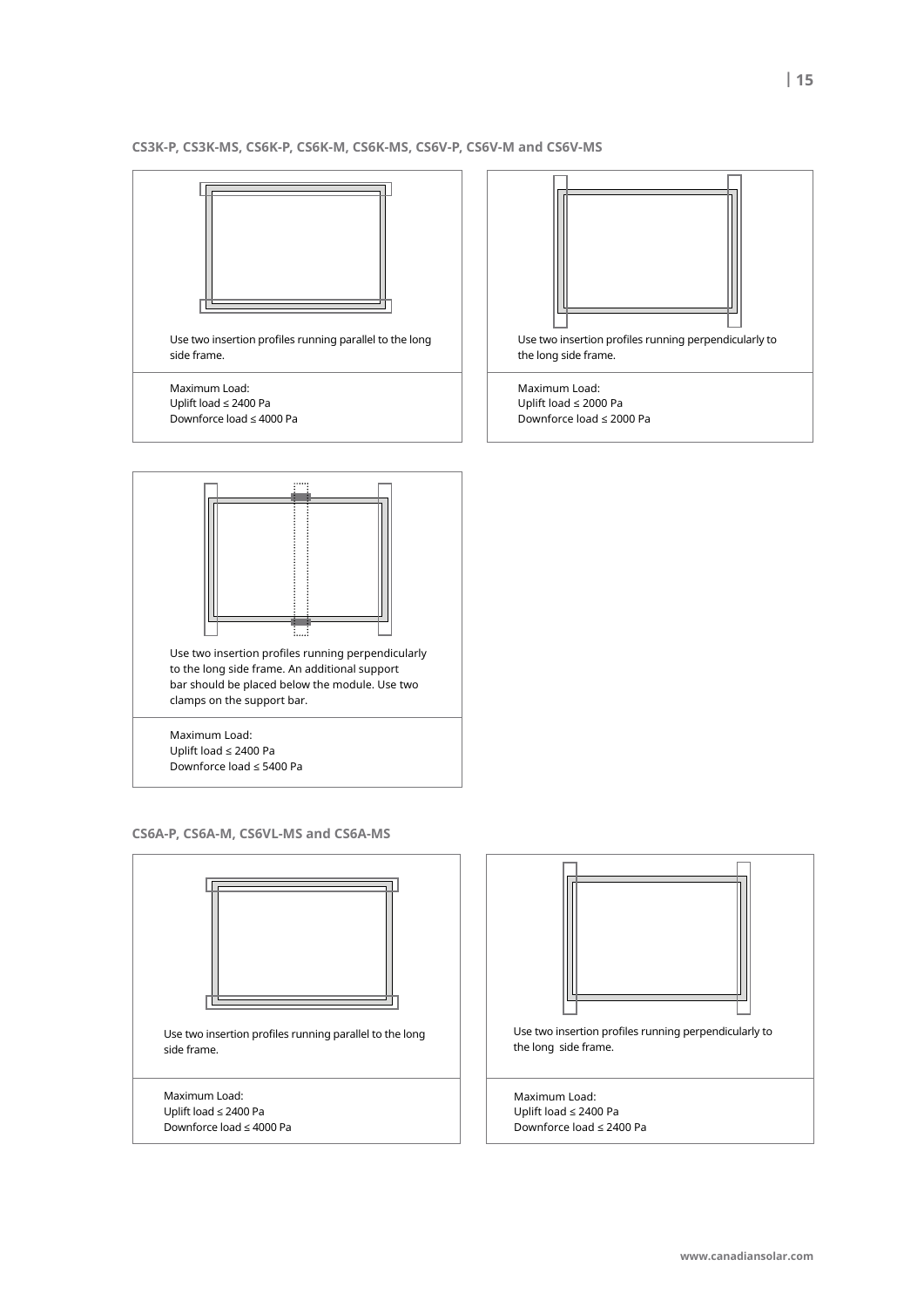#### **Cs3K-P, Cs3K-ms, Cs6K-P, Cs6K-m, Cs6K-ms, Cs6v-P, Cs6v-m and Cs6v-ms**



**Cs6a-P, Cs6a-m, Cs6vl-ms and Cs6a-ms**



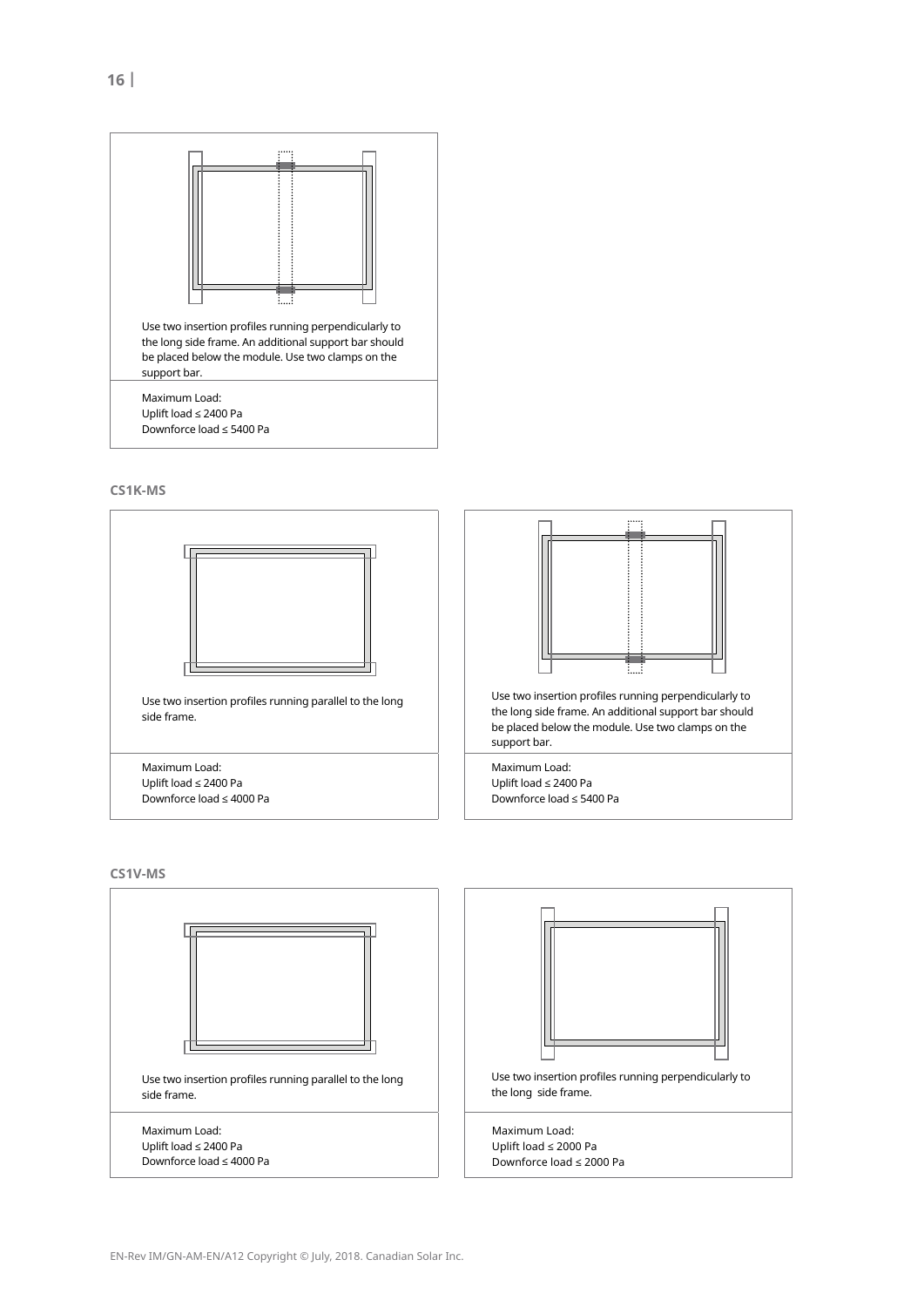





**Cs1v-ms**

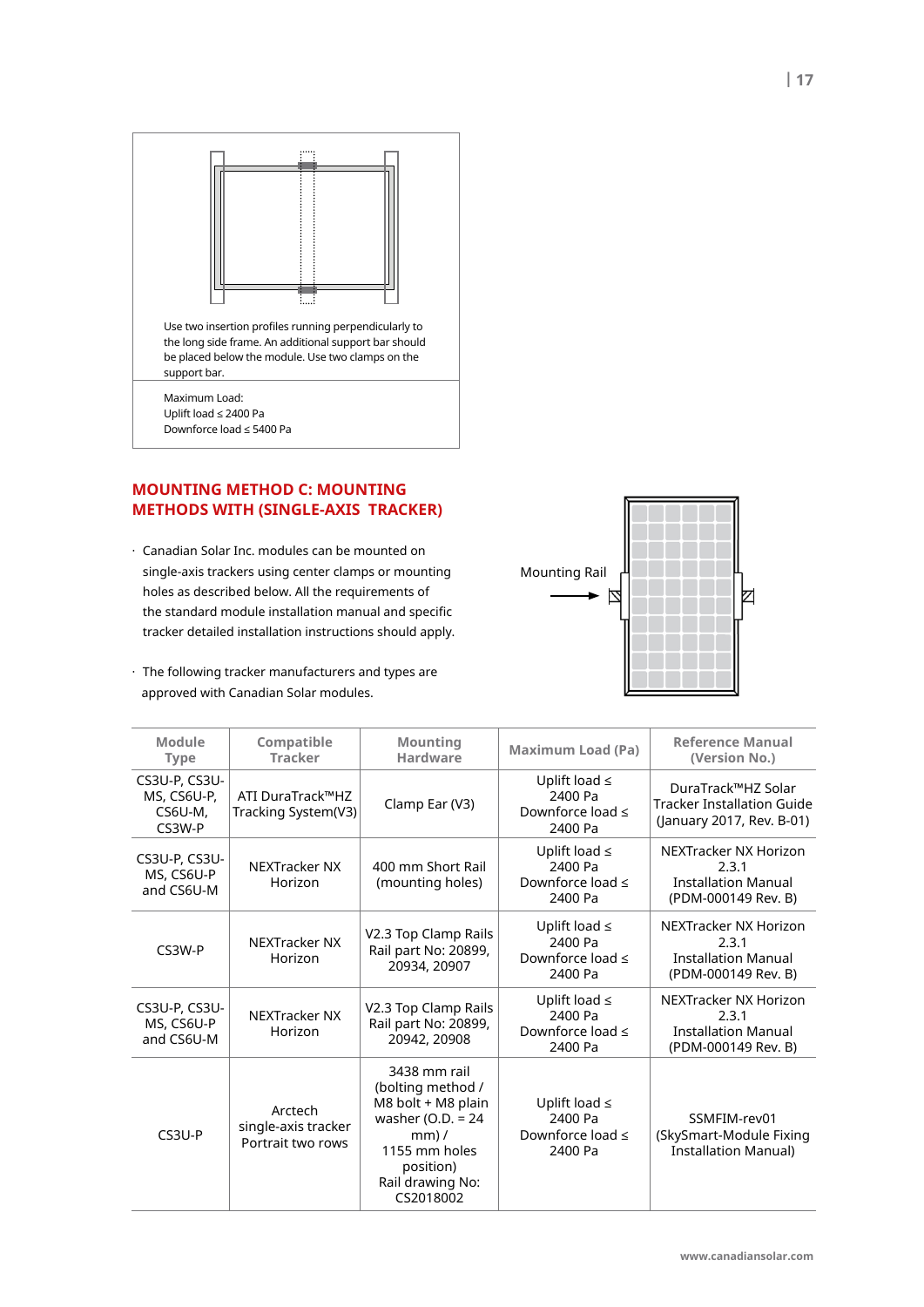

# **mountInG metHoD C: mountInG metHoDs WItH (sInGle-aXIs tRaCKeR)**

- · Canadian Solar Inc. modules can be mounted on single-axis trackers using center clamps or mounting holes as described below. All the requirements of the standard module installation manual and specific tracker detailed installation instructions should apply.
- · The following tracker manufacturers and types are approved with Canadian Solar modules.



| Module<br><b>Type</b>                             | Compatible<br><b>Tracker</b>                        | <b>Mounting</b><br><b>Maximum Load (Pa)</b><br><b>Hardware</b>                                                                                            |                                                                   | <b>Reference Manual</b><br>(Version No.)                                             |
|---------------------------------------------------|-----------------------------------------------------|-----------------------------------------------------------------------------------------------------------------------------------------------------------|-------------------------------------------------------------------|--------------------------------------------------------------------------------------|
| CS3U-P, CS3U-<br>MS, CS6U-P,<br>CS6U-M,<br>CS3W-P | ATI DuraTrack™HZ<br>Tracking System(V3)             | Clamp Ear (V3)                                                                                                                                            | Uplift load $\leq$<br>2400 Pa<br>Downforce load $\leq$<br>2400 Pa | DuraTrack™HZ Solar<br><b>Tracker Installation Guide</b><br>(January 2017, Rev. B-01) |
| CS3U-P, CS3U-<br>MS, CS6U-P<br>and CS6U-M         | <b>NEXTracker NX</b><br>Horizon                     | 400 mm Short Rail<br>(mounting holes)                                                                                                                     | Uplift load $\leq$<br>2400 Pa<br>Downforce load $\leq$<br>2400 Pa | NEXTracker NX Horizon<br>2.3.1<br><b>Installation Manual</b><br>(PDM-000149 Rev. B)  |
| CS3W-P                                            | <b>NEXTracker NX</b><br>Horizon                     | V2.3 Top Clamp Rails<br>Rail part No: 20899,<br>20934, 20907                                                                                              | Uplift load $\leq$<br>2400 Pa<br>Downforce load $\leq$<br>2400 Pa | NEXTracker NX Horizon<br>2.3.1<br><b>Installation Manual</b><br>(PDM-000149 Rev. B)  |
| CS3U-P, CS3U-<br>MS, CS6U-P<br>and CS6U-M         | <b>NEXTracker NX</b><br>Horizon                     | V2.3 Top Clamp Rails<br>Rail part No: 20899,<br>20942, 20908                                                                                              | Uplift load $\leq$<br>2400 Pa<br>Downforce load $\leq$<br>2400 Pa | NEXTracker NX Horizon<br>2.3.1<br><b>Installation Manual</b><br>(PDM-000149 Rev. B)  |
| $CS3U-P$                                          | Arctech<br>single-axis tracker<br>Portrait two rows | 3438 mm rail<br>(bolting method /<br>M8 bolt + M8 plain<br>washer (O.D. $= 24$<br>$mm$ ) /<br>1155 mm holes<br>position)<br>Rail drawing No:<br>CS2018002 | Uplift load $\leq$<br>2400 Pa<br>Downforce load $\leq$<br>2400 Pa | SSMFIM-rev01<br>(SkySmart-Module Fixing<br><b>Installation Manual)</b>               |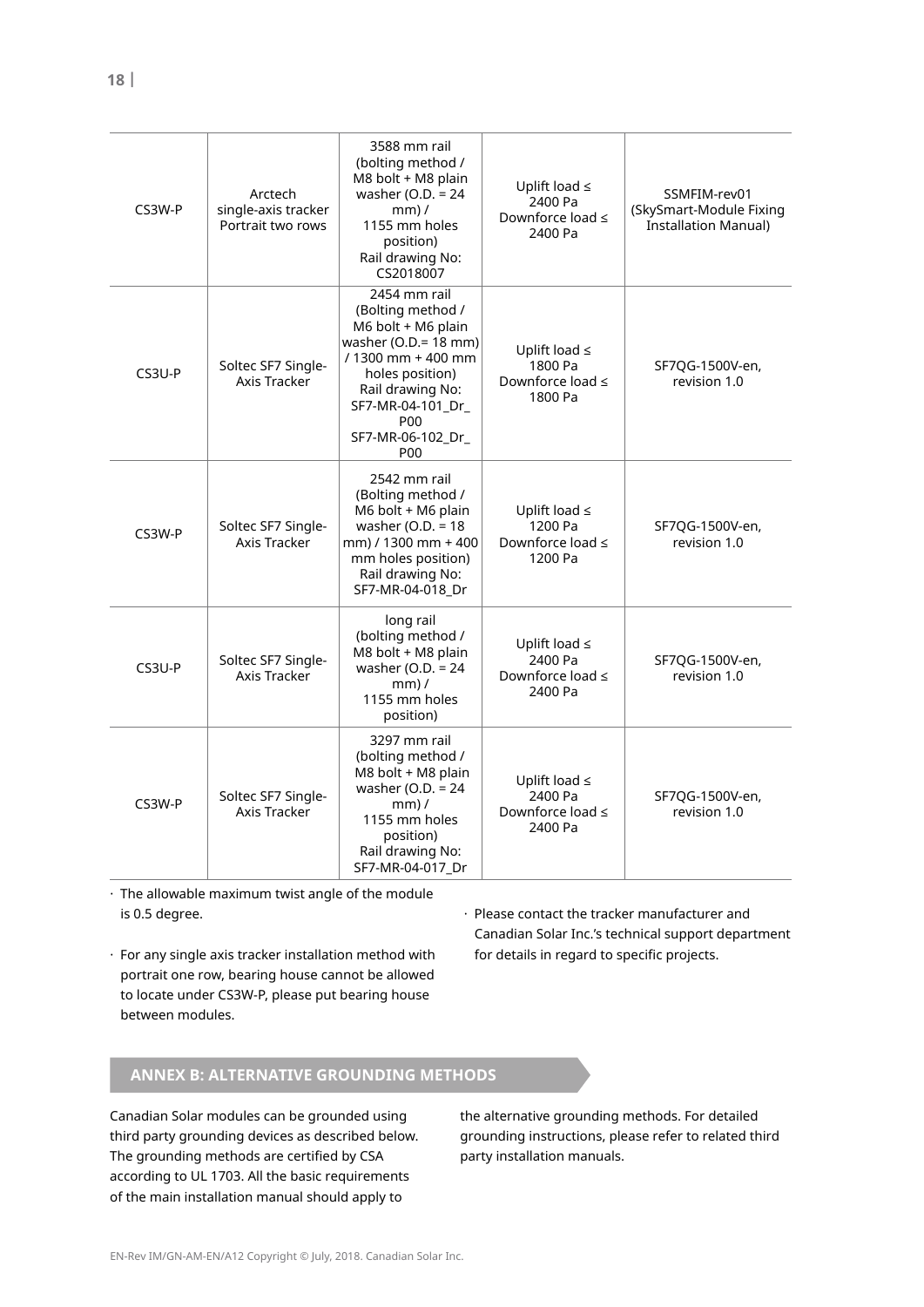| CS3W-P   | Arctech<br>single-axis tracker<br>Portrait two rows | 3588 mm rail<br>(bolting method /<br>M8 bolt + M8 plain<br>washer (O.D. $= 24$<br>$mm$ /<br>1155 mm holes<br>position)<br>Rail drawing No:<br>CS2018007                                                              | Uplift load $\leq$<br>2400 Pa<br>Downforce load $\leq$<br>2400 Pa | SSMFIM-rev01<br>(SkySmart-Module Fixing<br><b>Installation Manual)</b> |
|----------|-----------------------------------------------------|----------------------------------------------------------------------------------------------------------------------------------------------------------------------------------------------------------------------|-------------------------------------------------------------------|------------------------------------------------------------------------|
| $CS3U-P$ | Soltec SF7 Single-<br>Axis Tracker                  | 2454 mm rail<br>(Bolting method /<br>M6 bolt + M6 plain<br>washer ( $O.D.=18$ mm)<br>/ 1300 mm + 400 mm<br>holes position)<br>Rail drawing No:<br>SF7-MR-04-101_Dr_<br><b>P00</b><br>SF7-MR-06-102_Dr_<br><b>P00</b> | Uplift load $\leq$<br>1800 Pa<br>Downforce load ≤<br>1800 Pa      | SF7QG-1500V-en,<br>revision 1.0                                        |
| CS3W-P   | Soltec SF7 Single-<br>Axis Tracker                  | 2542 mm rail<br>(Bolting method /<br>M6 bolt + M6 plain<br>washer (O.D. = $18$<br>mm) / 1300 mm + 400<br>mm holes position)<br>Rail drawing No:<br>SF7-MR-04-018 Dr                                                  | Uplift load $\leq$<br>1200 Pa<br>Downforce load $\leq$<br>1200 Pa | SF7QG-1500V-en,<br>revision 1.0                                        |
| $CS3U-P$ | Soltec SF7 Single-<br><b>Axis Tracker</b>           | long rail<br>(bolting method /<br>M8 bolt + M8 plain<br>washer (O.D. $= 24$<br>$mm)$ /<br>1155 mm holes<br>position)                                                                                                 | Uplift load $\leq$<br>2400 Pa<br>Downforce load $\leq$<br>2400 Pa | SF7QG-1500V-en,<br>revision 1.0                                        |
| CS3W-P   | Soltec SF7 Single-<br>Axis Tracker                  | 3297 mm rail<br>(bolting method /<br>M8 bolt + M8 plain<br>washer (O.D. = $24$<br>$mm$ ) /<br>1155 mm holes<br>position)<br>Rail drawing No:<br>SF7-MR-04-017_Dr                                                     | Uplift load $\leq$<br>2400 Pa<br>Downforce load ≤<br>2400 Pa      | SF7QG-1500V-en,<br>revision 1.0                                        |

 $\cdot$  The allowable maximum twist angle of the module is 0.5 degree.

· For any single axis tracker installation method with portrait one row, bearing house cannot be allowed to locate under CS3W-P, please put bearing house between modules.

· Please contact the tracker manufacturer and Canadian Solar Inc.'s technical support department for details in regard to specific projects.

# **anneX B: alteRnatIve GRounDInG metHoDs**

Canadian Solar modules can be grounded using third party grounding devices as described below. The grounding methods are certified by CSA according to UL 1703. All the basic requirements of the main installation manual should apply to

the alternative grounding methods. For detailed grounding instructions, please refer to related third party installation manuals.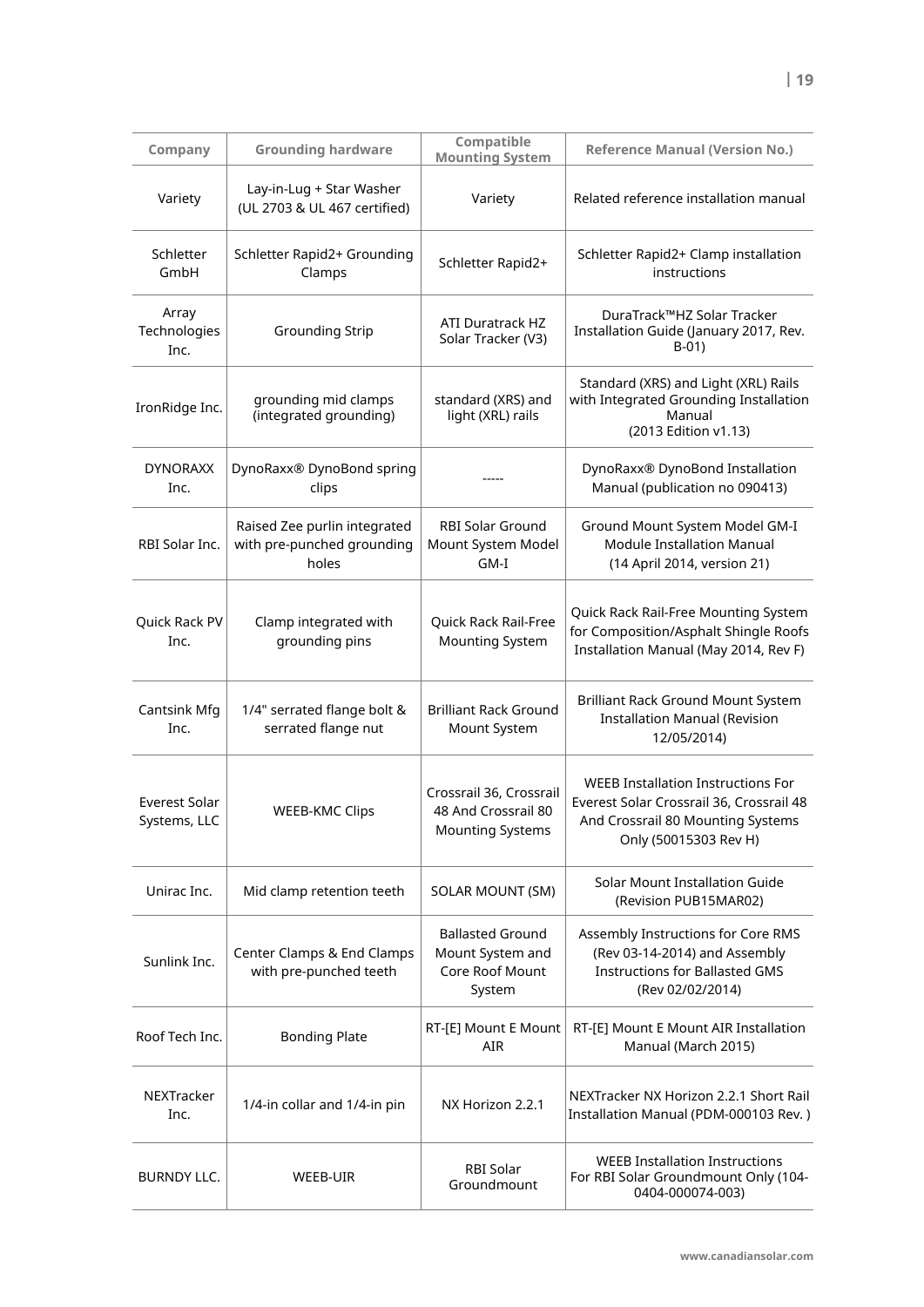|                                      |                                                                     | Compatible                                                                |                                                                                                                                                     |
|--------------------------------------|---------------------------------------------------------------------|---------------------------------------------------------------------------|-----------------------------------------------------------------------------------------------------------------------------------------------------|
| Company                              | <b>Grounding hardware</b>                                           | <b>Mounting System</b>                                                    | <b>Reference Manual (Version No.)</b>                                                                                                               |
| Variety                              | Lay-in-Lug + Star Washer<br>(UL 2703 & UL 467 certified)            | Variety                                                                   | Related reference installation manual                                                                                                               |
| Schletter<br>GmbH                    | Schletter Rapid2+ Grounding<br>Clamps                               | Schletter Rapid2+                                                         | Schletter Rapid2+ Clamp installation<br>instructions                                                                                                |
| Array<br>Technologies<br>Inc.        | <b>Grounding Strip</b>                                              | <b>ATI Duratrack HZ</b><br>Solar Tracker (V3)                             | DuraTrack™HZ Solar Tracker<br>Installation Guide (January 2017, Rev.<br>$B-01$                                                                      |
| IronRidge Inc.                       | grounding mid clamps<br>(integrated grounding)                      | standard (XRS) and<br>light (XRL) rails                                   | Standard (XRS) and Light (XRL) Rails<br>with Integrated Grounding Installation<br>Manual<br>(2013 Edition v1.13)                                    |
| <b>DYNORAXX</b><br>Inc.              | DynoRaxx® DynoBond spring<br>clips                                  |                                                                           | DynoRaxx® DynoBond Installation<br>Manual (publication no 090413)                                                                                   |
| RBI Solar Inc.                       | Raised Zee purlin integrated<br>with pre-punched grounding<br>holes | <b>RBI Solar Ground</b><br>Mount System Model<br>GM-I                     | Ground Mount System Model GM-I<br><b>Module Installation Manual</b><br>(14 April 2014, version 21)                                                  |
| Quick Rack PV<br>Inc.                | Clamp integrated with<br>grounding pins                             | Quick Rack Rail-Free<br><b>Mounting System</b>                            | Quick Rack Rail-Free Mounting System<br>for Composition/Asphalt Shingle Roofs<br>Installation Manual (May 2014, Rev F)                              |
| Cantsink Mfg<br>Inc.                 | 1/4" serrated flange bolt &<br>serrated flange nut                  | <b>Brilliant Rack Ground</b><br>Mount System                              | Brilliant Rack Ground Mount System<br><b>Installation Manual (Revision</b><br>12/05/2014)                                                           |
| <b>Everest Solar</b><br>Systems, LLC | <b>WEEB-KMC Clips</b>                                               | Crossrail 36, Crossrail<br>48 And Crossrail 80<br><b>Mounting Systems</b> | <b>WEEB Installation Instructions For</b><br>Everest Solar Crossrail 36, Crossrail 48<br>And Crossrail 80 Mounting Systems<br>Only (50015303 Rev H) |
| Unirac Inc.                          | Mid clamp retention teeth                                           | SOLAR MOUNT (SM)                                                          | Solar Mount Installation Guide<br>(Revision PUB15MAR02)                                                                                             |
| Sunlink Inc.                         | Center Clamps & End Clamps<br>with pre-punched teeth                | <b>Ballasted Ground</b><br>Mount System and<br>Core Roof Mount<br>System  | Assembly Instructions for Core RMS<br>(Rev 03-14-2014) and Assembly<br><b>Instructions for Ballasted GMS</b><br>(Rev 02/02/2014)                    |
| Roof Tech Inc.                       | <b>Bonding Plate</b>                                                | RT-[E] Mount E Mount<br><b>AIR</b>                                        | RT-[E] Mount E Mount AIR Installation<br>Manual (March 2015)                                                                                        |
| NEXTracker<br>Inc.                   | 1/4-in collar and 1/4-in pin                                        | NX Horizon 2.2.1                                                          | NEXTracker NX Horizon 2.2.1 Short Rail<br>Installation Manual (PDM-000103 Rev.)                                                                     |
| <b>BURNDY LLC.</b>                   | WEEB-UIR                                                            | RBI Solar<br>Groundmount                                                  | <b>WEEB Installation Instructions</b><br>For RBI Solar Groundmount Only (104-<br>0404-000074-003)                                                   |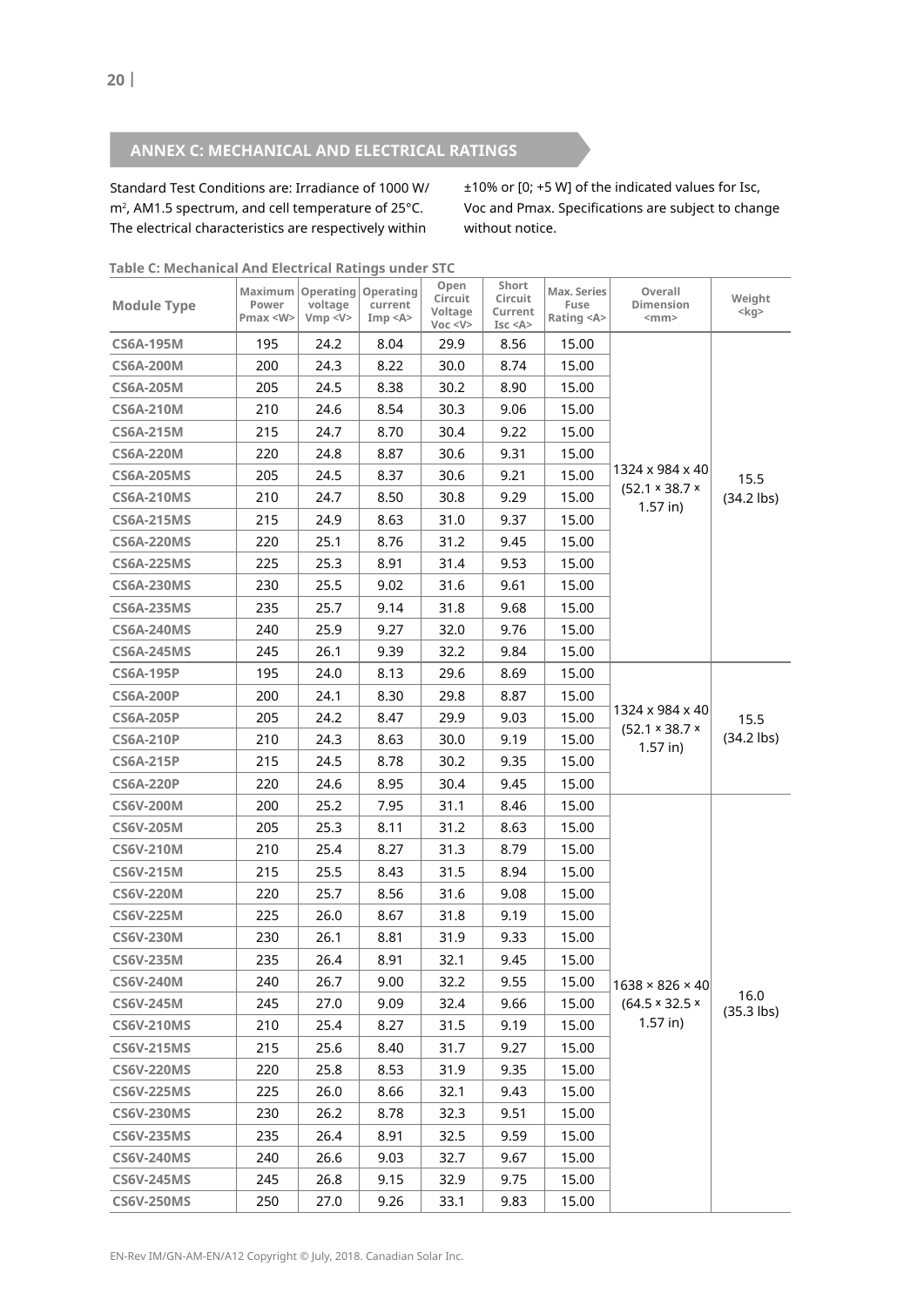# **anneX C: meCHanICal anD eleCtRICal RatInGs**

Standard Test Conditions are: Irradiance of 1000 W/  $m<sup>2</sup>$ , AM1.5 spectrum, and cell temperature of 25 $^{\circ}$ C. The electrical characteristics are respectively within

±10% or [0; +5 W] of the indicated values for Isc, Voc and Pmax. Specifications are subject to change without notice.

| <b>Module Type</b> | Power<br>Pmax <w></w> | Maximum   Operating   Operating<br>voltage<br>Vmp < V> | current<br>Imp < A | Open<br>Circuit<br>Voltage<br>Voc < V | Short<br>Circuit<br>Current<br>Isc < A | Max. Series<br>Fuse<br>Rating <a></a> | Overall<br>Dimension<br>$<$ mm $>$                          | Weight<br>$<$ kg>    |
|--------------------|-----------------------|--------------------------------------------------------|--------------------|---------------------------------------|----------------------------------------|---------------------------------------|-------------------------------------------------------------|----------------------|
| <b>CS6A-195M</b>   | 195                   | 24.2                                                   | 8.04               | 29.9                                  | 8.56                                   | 15.00                                 |                                                             |                      |
| <b>CS6A-200M</b>   | 200                   | 24.3                                                   | 8.22               | 30.0                                  | 8.74                                   | 15.00                                 |                                                             |                      |
| <b>CS6A-205M</b>   | 205                   | 24.5                                                   | 8.38               | 30.2                                  | 8.90                                   | 15.00                                 |                                                             |                      |
| <b>CS6A-210M</b>   | 210                   | 24.6                                                   | 8.54               | 30.3                                  | 9.06                                   | 15.00                                 |                                                             |                      |
| <b>CS6A-215M</b>   | 215                   | 24.7                                                   | 8.70               | 30.4                                  | 9.22                                   | 15.00                                 |                                                             |                      |
| <b>CS6A-220M</b>   | 220                   | 24.8                                                   | 8.87               | 30.6                                  | 9.31                                   | 15.00                                 | 1324 x 984 x 40                                             |                      |
| <b>CS6A-205MS</b>  | 205                   | 24.5                                                   | 8.37               | 30.6                                  | 9.21                                   | 15.00                                 |                                                             | 15.5                 |
| <b>CS6A-210MS</b>  | 210                   | 24.7                                                   | 8.50               | 30.8                                  | 9.29                                   | 15.00                                 | $(52.1 \times 38.7 \times$                                  | $(34.2$ lbs)         |
| <b>CS6A-215MS</b>  | 215                   | 24.9                                                   | 8.63               | 31.0                                  | 9.37                                   | 15.00                                 | $1.57$ in)                                                  |                      |
| <b>CS6A-220MS</b>  | 220                   | 25.1                                                   | 8.76               | 31.2                                  | 9.45                                   | 15.00                                 |                                                             |                      |
| <b>CS6A-225MS</b>  | 225                   | 25.3                                                   | 8.91               | 31.4                                  | 9.53                                   | 15.00                                 |                                                             |                      |
| <b>CS6A-230MS</b>  | 230                   | 25.5                                                   | 9.02               | 31.6                                  | 9.61                                   | 15.00                                 |                                                             |                      |
| <b>CS6A-235MS</b>  | 235                   | 25.7                                                   | 9.14               | 31.8                                  | 9.68                                   | 15.00                                 |                                                             |                      |
| <b>CS6A-240MS</b>  | 240                   | 25.9                                                   | 9.27               | 32.0                                  | 9.76                                   | 15.00                                 |                                                             |                      |
| <b>CS6A-245MS</b>  | 245                   | 26.1                                                   | 9.39               | 32.2                                  | 9.84                                   | 15.00                                 |                                                             |                      |
| <b>CS6A-195P</b>   | 195                   | 24.0                                                   | 8.13               | 29.6                                  | 8.69                                   | 15.00                                 |                                                             |                      |
| <b>CS6A-200P</b>   | 200                   | 24.1                                                   | 8.30               | 29.8                                  | 8.87                                   | 15.00                                 | 1324 x 984 x 40<br>$(52.1 \times 38.7 \times$<br>$1.57$ in) | 15.5<br>$(34.2$ lbs) |
| <b>CS6A-205P</b>   | 205                   | 24.2                                                   | 8.47               | 29.9                                  | 9.03                                   | 15.00                                 |                                                             |                      |
| <b>CS6A-210P</b>   | 210                   | 24.3                                                   | 8.63               | 30.0                                  | 9.19                                   | 15.00                                 |                                                             |                      |
| <b>CS6A-215P</b>   | 215                   | 24.5                                                   | 8.78               | 30.2                                  | 9.35                                   | 15.00                                 |                                                             |                      |
| <b>CS6A-220P</b>   | 220                   | 24.6                                                   | 8.95               | 30.4                                  | 9.45                                   | 15.00                                 |                                                             |                      |
| <b>CS6V-200M</b>   | 200                   | 25.2                                                   | 7.95               | 31.1                                  | 8.46                                   | 15.00                                 |                                                             |                      |
| <b>CS6V-205M</b>   | 205                   | 25.3                                                   | 8.11               | 31.2                                  | 8.63                                   | 15.00                                 |                                                             |                      |
| <b>CS6V-210M</b>   | 210                   | 25.4                                                   | 8.27               | 31.3                                  | 8.79                                   | 15.00                                 |                                                             |                      |
| <b>CS6V-215M</b>   | 215                   | 25.5                                                   | 8.43               | 31.5                                  | 8.94                                   | 15.00                                 |                                                             |                      |
| <b>CS6V-220M</b>   | 220                   | 25.7                                                   | 8.56               | 31.6                                  | 9.08                                   | 15.00                                 |                                                             |                      |
| <b>CS6V-225M</b>   | 225                   | 26.0                                                   | 8.67               | 31.8                                  | 9.19                                   | 15.00                                 |                                                             |                      |
| <b>CS6V-230M</b>   | 230                   | 26.1                                                   | 8.81               | 31.9                                  | 9.33                                   | 15.00                                 |                                                             |                      |
| <b>CS6V-235M</b>   | 235                   | 26.4                                                   | 8.91               | 32.1                                  | 9.45                                   | 15.00                                 |                                                             |                      |
| <b>CS6V-240M</b>   | 240                   | 26.7                                                   | 9.00               | 32.2                                  | 9.55                                   | 15.00                                 | $1638 \times 826 \times 40$                                 |                      |
| <b>CS6V-245M</b>   | 245                   | 27.0                                                   | 9.09               | 32.4                                  | 9.66                                   | 15.00                                 | $(64.5 \times 32.5 \times$                                  | 16.0<br>$(35.3$ lbs) |
| <b>CS6V-210MS</b>  | 210                   | 25.4                                                   | 8.27               | 31.5                                  | 9.19                                   | 15.00                                 | $1.57$ in)                                                  |                      |
| <b>CS6V-215MS</b>  | 215                   | 25.6                                                   | 8.40               | 31.7                                  | 9.27                                   | 15.00                                 |                                                             |                      |
| <b>CS6V-220MS</b>  | 220                   | 25.8                                                   | 8.53               | 31.9                                  | 9.35                                   | 15.00                                 |                                                             |                      |
| <b>CS6V-225MS</b>  | 225                   | 26.0                                                   | 8.66               | 32.1                                  | 9.43                                   | 15.00                                 |                                                             |                      |
| <b>CS6V-230MS</b>  | 230                   | 26.2                                                   | 8.78               | 32.3                                  | 9.51                                   | 15.00                                 |                                                             |                      |
| <b>CS6V-235MS</b>  | 235                   | 26.4                                                   | 8.91               | 32.5                                  | 9.59                                   | 15.00                                 |                                                             |                      |
| <b>CS6V-240MS</b>  | 240                   | 26.6                                                   | 9.03               | 32.7                                  | 9.67                                   | 15.00                                 |                                                             |                      |
| <b>CS6V-245MS</b>  | 245                   | 26.8                                                   | 9.15               | 32.9                                  | 9.75                                   | 15.00                                 |                                                             |                      |
| <b>CS6V-250MS</b>  | 250                   | 27.0                                                   | 9.26               | 33.1                                  | 9.83                                   | 15.00                                 |                                                             |                      |

**table C: mechanical and electrical Ratings under stC**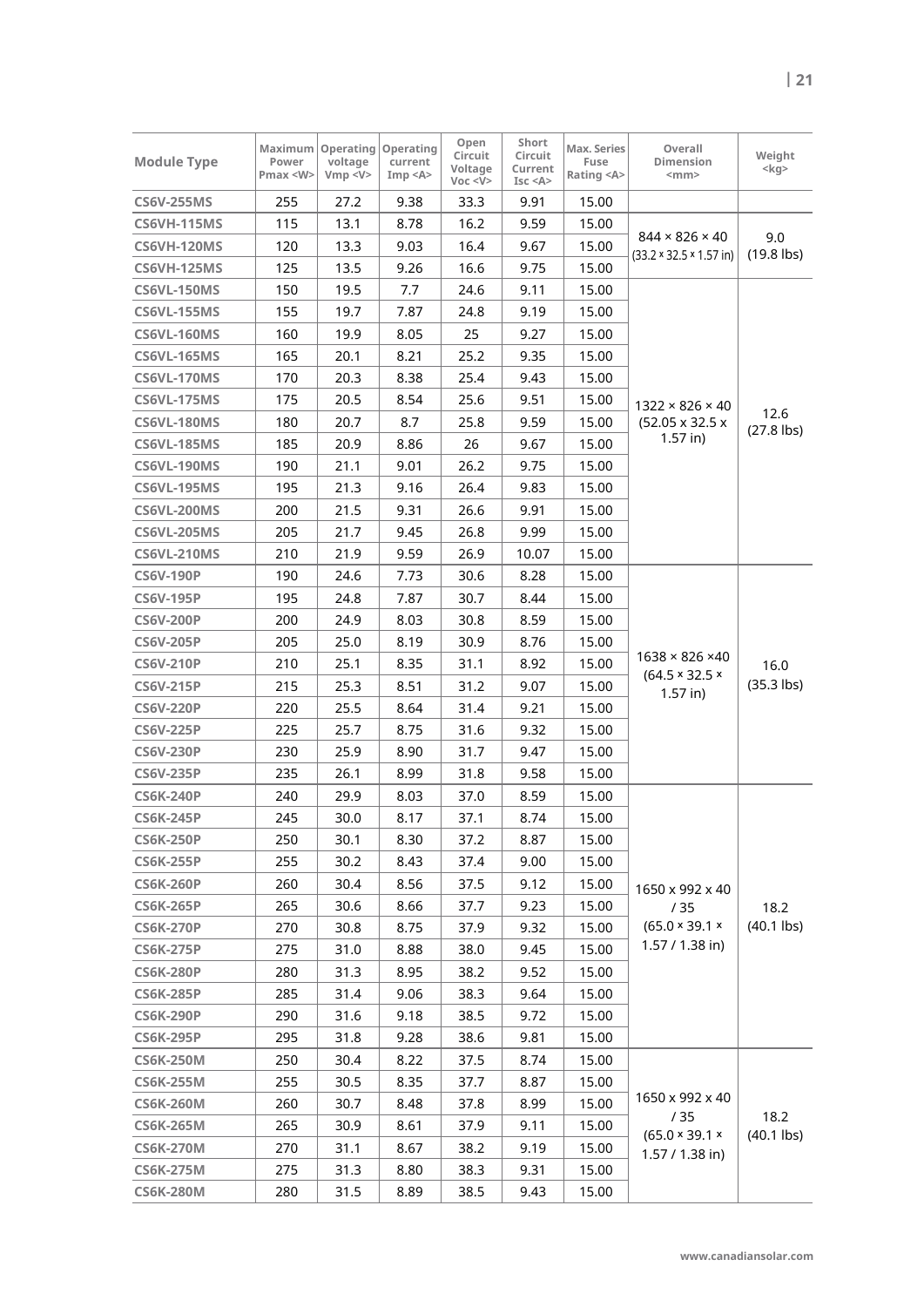| <b>Module Type</b> | Power<br>Pmax <w></w> | Maximum   Operating  <br>voltage<br>Vmp < V> | Operating<br>current<br>Imp < A | Open<br>Circuit<br>Voltage<br>Voc < V | Short<br>Circuit<br>Current<br>Isc < A | Max. Series<br>Fuse<br>Rating <a></a> | Overall<br>Dimension<br>$<$ mm $>$                                 | Weight<br>$<$ kg>    |
|--------------------|-----------------------|----------------------------------------------|---------------------------------|---------------------------------------|----------------------------------------|---------------------------------------|--------------------------------------------------------------------|----------------------|
| <b>CS6V-255MS</b>  | 255                   | 27.2                                         | 9.38                            | 33.3                                  | 9.91                                   | 15.00                                 |                                                                    |                      |
| <b>CS6VH-115MS</b> | 115                   | 13.1                                         | 8.78                            | 16.2                                  | 9.59                                   | 15.00                                 |                                                                    |                      |
| CS6VH-120MS        | 120                   | 13.3                                         | 9.03                            | 16.4                                  | 9.67                                   | 15.00                                 | $844 \times 826 \times 40$<br>$(33.2 \times 32.5 \times 1.57)$ in) | 9.0<br>$(19.8$ lbs)  |
| CS6VH-125MS        | 125                   | 13.5                                         | 9.26                            | 16.6                                  | 9.75                                   | 15.00                                 |                                                                    |                      |
| <b>CS6VL-150MS</b> | 150                   | 19.5                                         | 7.7                             | 24.6                                  | 9.11                                   | 15.00                                 |                                                                    |                      |
| <b>CS6VL-155MS</b> | 155                   | 19.7                                         | 7.87                            | 24.8                                  | 9.19                                   | 15.00                                 |                                                                    |                      |
| CS6VL-160MS        | 160                   | 19.9                                         | 8.05                            | 25                                    | 9.27                                   | 15.00                                 |                                                                    |                      |
| <b>CS6VL-165MS</b> | 165                   | 20.1                                         | 8.21                            | 25.2                                  | 9.35                                   | 15.00                                 |                                                                    |                      |
| CS6VL-170MS        | 170                   | 20.3                                         | 8.38                            | 25.4                                  | 9.43                                   | 15.00                                 |                                                                    |                      |
| <b>CS6VL-175MS</b> | 175                   | 20.5                                         | 8.54                            | 25.6                                  | 9.51                                   | 15.00                                 | $1322 \times 826 \times 40$                                        |                      |
| CS6VL-180MS        | 180                   | 20.7                                         | 8.7                             | 25.8                                  | 9.59                                   | 15.00                                 | $(52.05 \times 32.5 \times$                                        | 12.6<br>$(27.8$ lbs) |
| CS6VL-185MS        | 185                   | 20.9                                         | 8.86                            | 26                                    | 9.67                                   | 15.00                                 | $1.57$ in)                                                         |                      |
| <b>CS6VL-190MS</b> | 190                   | 21.1                                         | 9.01                            | 26.2                                  | 9.75                                   | 15.00                                 |                                                                    |                      |
| CS6VL-195MS        | 195                   | 21.3                                         | 9.16                            | 26.4                                  | 9.83                                   | 15.00                                 |                                                                    |                      |
| CS6VL-200MS        | 200                   | 21.5                                         | 9.31                            | 26.6                                  | 9.91                                   | 15.00                                 |                                                                    |                      |
| CS6VL-205MS        | 205                   | 21.7                                         | 9.45                            | 26.8                                  | 9.99                                   | 15.00                                 |                                                                    |                      |
| <b>CS6VL-210MS</b> | 210                   | 21.9                                         | 9.59                            | 26.9                                  | 10.07                                  | 15.00                                 |                                                                    |                      |
| <b>CS6V-190P</b>   | 190                   | 24.6                                         | 7.73                            | 30.6                                  | 8.28                                   | 15.00                                 |                                                                    |                      |
| <b>CS6V-195P</b>   | 195                   | 24.8                                         | 7.87                            | 30.7                                  | 8.44                                   | 15.00                                 |                                                                    | 16.0<br>$(35.3$ lbs) |
| <b>CS6V-200P</b>   | 200                   | 24.9                                         | 8.03                            | 30.8                                  | 8.59                                   | 15.00                                 | $1638 \times 826 \times 40$                                        |                      |
| <b>CS6V-205P</b>   | 205                   | 25.0                                         | 8.19                            | 30.9                                  | 8.76                                   | 15.00                                 |                                                                    |                      |
| <b>CS6V-210P</b>   | 210                   | 25.1                                         | 8.35                            | 31.1                                  | 8.92                                   | 15.00                                 |                                                                    |                      |
| <b>CS6V-215P</b>   | 215                   | 25.3                                         | 8.51                            | 31.2                                  | 9.07                                   | 15.00                                 | $(64.5 \times 32.5 \times$<br>$1.57$ in)                           |                      |
| <b>CS6V-220P</b>   | 220                   | 25.5                                         | 8.64                            | 31.4                                  | 9.21                                   | 15.00                                 |                                                                    |                      |
| <b>CS6V-225P</b>   | 225                   | 25.7                                         | 8.75                            | 31.6                                  | 9.32                                   | 15.00                                 |                                                                    |                      |
| <b>CS6V-230P</b>   | 230                   | 25.9                                         | 8.90                            | 31.7                                  | 9.47                                   | 15.00                                 |                                                                    |                      |
| <b>CS6V-235P</b>   | 235                   | 26.1                                         | 8.99                            | 31.8                                  | 9.58                                   | 15.00                                 |                                                                    |                      |
| <b>CS6K-240P</b>   | 240                   | 29.9                                         | 8.03                            | 37.0                                  | 8.59                                   | 15.00                                 |                                                                    |                      |
| <b>CS6K-245P</b>   | 245                   | 30.0                                         | 8.17                            | 37.1                                  | 8.74                                   | 15.00                                 |                                                                    |                      |
| <b>CS6K-250P</b>   | 250                   | 30.1                                         | 8.30                            | 37.2                                  | 8.87                                   | 15.00                                 |                                                                    |                      |
| <b>CS6K-255P</b>   | 255                   | 30.2                                         | 8.43                            | 37.4                                  | 9.00                                   | 15.00                                 |                                                                    |                      |
| <b>CS6K-260P</b>   | 260                   | 30.4                                         | 8.56                            | 37.5                                  | 9.12                                   | 15.00                                 | 1650 x 992 x 40                                                    |                      |
| <b>CS6K-265P</b>   | 265                   | 30.6                                         | 8.66                            | 37.7                                  | 9.23                                   | 15.00                                 | /35                                                                | 18.2                 |
| <b>CS6K-270P</b>   | 270                   | 30.8                                         | 8.75                            | 37.9                                  | 9.32                                   | 15.00                                 | (65.0 × 39.1 ×                                                     | $(40.1$ lbs)         |
| <b>CS6K-275P</b>   | 275                   | 31.0                                         | 8.88                            | 38.0                                  | 9.45                                   | 15.00                                 | 1.57 / 1.38 in)                                                    |                      |
| <b>CS6K-280P</b>   | 280                   | 31.3                                         | 8.95                            | 38.2                                  | 9.52                                   | 15.00                                 |                                                                    |                      |
| <b>CS6K-285P</b>   | 285                   | 31.4                                         | 9.06                            | 38.3                                  | 9.64                                   | 15.00                                 |                                                                    |                      |
| <b>CS6K-290P</b>   | 290                   | 31.6                                         | 9.18                            | 38.5                                  | 9.72                                   | 15.00                                 |                                                                    |                      |
| <b>CS6K-295P</b>   | 295                   | 31.8                                         | 9.28                            | 38.6                                  | 9.81                                   | 15.00                                 |                                                                    |                      |
| <b>CS6K-250M</b>   | 250                   | 30.4                                         | 8.22                            | 37.5                                  | 8.74                                   | 15.00                                 |                                                                    |                      |
| <b>CS6K-255M</b>   | 255                   | 30.5                                         | 8.35                            | 37.7                                  | 8.87                                   | 15.00                                 |                                                                    |                      |
| <b>CS6K-260M</b>   | 260                   | 30.7                                         | 8.48                            | 37.8                                  | 8.99                                   | 15.00                                 | 1650 x 992 x 40                                                    |                      |
| <b>CS6K-265M</b>   | 265                   | 30.9                                         | 8.61                            | 37.9                                  | 9.11                                   | 15.00                                 | /35<br>(65.0 × 39.1 ×                                              | 18.2<br>$(40.1$ lbs) |
| <b>CS6K-270M</b>   | 270                   | 31.1                                         | 8.67                            | 38.2                                  | 9.19                                   | 15.00                                 | $1.57 / 1.38$ in)                                                  |                      |
| <b>CS6K-275M</b>   | 275                   | 31.3                                         | 8.80                            | 38.3                                  | 9.31                                   | 15.00                                 |                                                                    |                      |
| <b>CS6K-280M</b>   | 280                   | 31.5                                         | 8.89                            | 38.5                                  | 9.43                                   | 15.00                                 |                                                                    |                      |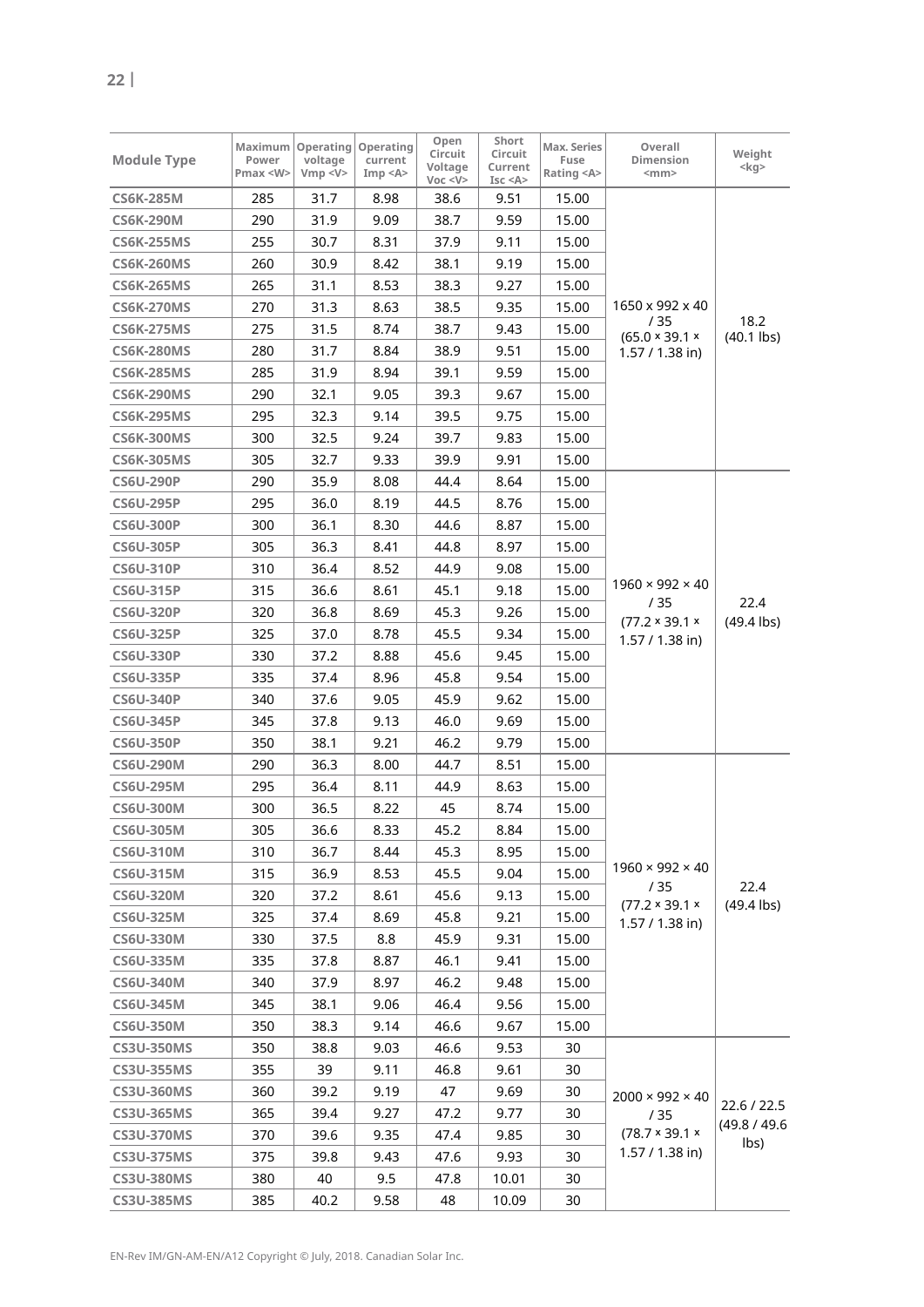| <b>Module Type</b> | Maximum<br>Power<br>Pmax < W | <b>Operating</b><br>voltage<br>Vmp < V> | Operating<br>current<br>Imp < A> | Open<br>Circuit<br>Voltage<br>Voc < V | Short<br>Circuit<br>Current<br>Isc < A | Max. Series<br>Fuse<br>Rating <a></a> | Overall<br>Dimension<br>$<$ mm $>$              | Weight<br>$<$ kg>    |
|--------------------|------------------------------|-----------------------------------------|----------------------------------|---------------------------------------|----------------------------------------|---------------------------------------|-------------------------------------------------|----------------------|
| <b>CS6K-285M</b>   | 285                          | 31.7                                    | 8.98                             | 38.6                                  | 9.51                                   | 15.00                                 |                                                 |                      |
| <b>CS6K-290M</b>   | 290                          | 31.9                                    | 9.09                             | 38.7                                  | 9.59                                   | 15.00                                 |                                                 | 18.2                 |
| <b>CS6K-255MS</b>  | 255                          | 30.7                                    | 8.31                             | 37.9                                  | 9.11                                   | 15.00                                 |                                                 |                      |
| <b>CS6K-260MS</b>  | 260                          | 30.9                                    | 8.42                             | 38.1                                  | 9.19                                   | 15.00                                 |                                                 |                      |
| <b>CS6K-265MS</b>  | 265                          | 31.1                                    | 8.53                             | 38.3                                  | 9.27                                   | 15.00                                 |                                                 |                      |
| <b>CS6K-270MS</b>  | 270                          | 31.3                                    | 8.63                             | 38.5                                  | 9.35                                   | 15.00                                 | 1650 x 992 x 40                                 |                      |
| <b>CS6K-275MS</b>  | 275                          | 31.5                                    | 8.74                             | 38.7                                  | 9.43                                   | 15.00                                 | / 35                                            |                      |
| <b>CS6K-280MS</b>  | 280                          | 31.7                                    | 8.84                             | 38.9                                  | 9.51                                   | 15.00                                 | (65.0 × 39.1 ×<br>$1.57 / 1.38$ in)             | $(40.1$ lbs)         |
| <b>CS6K-285MS</b>  | 285                          | 31.9                                    | 8.94                             | 39.1                                  | 9.59                                   | 15.00                                 |                                                 |                      |
| <b>CS6K-290MS</b>  | 290                          | 32.1                                    | 9.05                             | 39.3                                  | 9.67                                   | 15.00                                 |                                                 |                      |
| <b>CS6K-295MS</b>  | 295                          | 32.3                                    | 9.14                             | 39.5                                  | 9.75                                   | 15.00                                 |                                                 |                      |
| <b>CS6K-300MS</b>  | 300                          | 32.5                                    | 9.24                             | 39.7                                  | 9.83                                   | 15.00                                 |                                                 |                      |
| <b>CS6K-305MS</b>  | 305                          | 32.7                                    | 9.33                             | 39.9                                  | 9.91                                   | 15.00                                 |                                                 |                      |
| <b>CS6U-290P</b>   | 290                          | 35.9                                    | 8.08                             | 44.4                                  | 8.64                                   | 15.00                                 |                                                 |                      |
| <b>CS6U-295P</b>   | 295                          | 36.0                                    | 8.19                             | 44.5                                  | 8.76                                   | 15.00                                 |                                                 |                      |
| <b>CS6U-300P</b>   | 300                          | 36.1                                    | 8.30                             | 44.6                                  | 8.87                                   | 15.00                                 |                                                 |                      |
| <b>CS6U-305P</b>   | 305                          | 36.3                                    | 8.41                             | 44.8                                  | 8.97                                   | 15.00                                 |                                                 |                      |
| <b>CS6U-310P</b>   | 310                          | 36.4                                    | 8.52                             | 44.9                                  | 9.08                                   | 15.00                                 |                                                 | 22.4<br>$(49.4$ lbs) |
| <b>CS6U-315P</b>   | 315                          | 36.6                                    | 8.61                             | 45.1                                  | 9.18                                   | 15.00                                 | $1960 \times 992 \times 40$                     |                      |
| <b>CS6U-320P</b>   | 320                          | 36.8                                    | 8.69                             | 45.3                                  | 9.26                                   | 15.00                                 | /35                                             |                      |
| <b>CS6U-325P</b>   | 325                          | 37.0                                    | 8.78                             | 45.5                                  | 9.34                                   | 15.00                                 | $(77.2 \times 39.1 \times$<br>1.57 / 1.38 in)   |                      |
| <b>CS6U-330P</b>   | 330                          | 37.2                                    | 8.88                             | 45.6                                  | 9.45                                   | 15.00                                 |                                                 |                      |
| <b>CS6U-335P</b>   | 335                          | 37.4                                    | 8.96                             | 45.8                                  | 9.54                                   | 15.00                                 |                                                 |                      |
| <b>CS6U-340P</b>   | 340                          | 37.6                                    | 9.05                             | 45.9                                  | 9.62                                   | 15.00                                 |                                                 |                      |
| <b>CS6U-345P</b>   | 345                          | 37.8                                    | 9.13                             | 46.0                                  | 9.69                                   | 15.00                                 |                                                 |                      |
| <b>CS6U-350P</b>   | 350                          | 38.1                                    | 9.21                             | 46.2                                  | 9.79                                   | 15.00                                 |                                                 |                      |
| <b>CS6U-290M</b>   | 290                          | 36.3                                    | 8.00                             | 44.7                                  | 8.51                                   | 15.00                                 |                                                 |                      |
| <b>CS6U-295M</b>   | 295                          | 36.4                                    | 8.11                             | 44.9                                  | 8.63                                   | 15.00                                 |                                                 |                      |
| <b>CS6U-300M</b>   | 300                          | 36.5                                    | 8.22                             | 45                                    | 8.74                                   | 15.00                                 |                                                 |                      |
| <b>CS6U-305M</b>   | 305                          | 36.6                                    | 8.33                             | 45.2                                  | 8.84                                   | 15.00                                 |                                                 |                      |
| <b>CS6U-310M</b>   | 310                          | 36.7                                    | 8.44                             | 45.3                                  | 8.95                                   | 15.00                                 |                                                 |                      |
| CS6U-315M          | 315                          | 36.9                                    | 8.53                             | 45.5                                  | 9.04                                   | 15.00                                 | $1960 \times 992 \times 40$                     |                      |
| <b>CS6U-320M</b>   | 320                          | 37.2                                    | 8.61                             | 45.6                                  | 9.13                                   | 15.00                                 | /35                                             | 22.4                 |
| <b>CS6U-325M</b>   | 325                          | 37.4                                    | 8.69                             | 45.8                                  | 9.21                                   | 15.00                                 | $(77.2 \times 39.1 \times$<br>$1.57 / 1.38$ in) | $(49.4$ lbs)         |
| <b>CS6U-330M</b>   | 330                          | 37.5                                    | 8.8                              | 45.9                                  | 9.31                                   | 15.00                                 |                                                 |                      |
| <b>CS6U-335M</b>   | 335                          | 37.8                                    | 8.87                             | 46.1                                  | 9.41                                   | 15.00                                 |                                                 |                      |
| <b>CS6U-340M</b>   | 340                          | 37.9                                    | 8.97                             | 46.2                                  | 9.48                                   | 15.00                                 |                                                 |                      |
| <b>CS6U-345M</b>   | 345                          | 38.1                                    | 9.06                             | 46.4                                  | 9.56                                   | 15.00                                 |                                                 |                      |
| <b>CS6U-350M</b>   | 350                          | 38.3                                    | 9.14                             | 46.6                                  | 9.67                                   | 15.00                                 |                                                 |                      |
| <b>CS3U-350MS</b>  | 350                          | 38.8                                    | 9.03                             | 46.6                                  | 9.53                                   | 30                                    |                                                 |                      |
| <b>CS3U-355MS</b>  | 355                          | 39                                      | 9.11                             | 46.8                                  | 9.61                                   | 30                                    |                                                 |                      |
| <b>CS3U-360MS</b>  | 360                          | 39.2                                    | 9.19                             | 47                                    | 9.69                                   | 30                                    | $2000 \times 992 \times 40$                     |                      |
| <b>CS3U-365MS</b>  | 365                          | 39.4                                    | 9.27                             | 47.2                                  | 9.77                                   | 30                                    | /35                                             | 22.6 / 22.5          |
| <b>CS3U-370MS</b>  | 370                          | 39.6                                    | 9.35                             | 47.4                                  | 9.85                                   | 30                                    | $(78.7 \times 39.1 \times$                      | (49.8 / 49.6         |
| <b>CS3U-375MS</b>  | 375                          | 39.8                                    | 9.43                             | 47.6                                  | 9.93                                   | 30                                    | 1.57 / 1.38 in)                                 | lbs)                 |
| <b>CS3U-380MS</b>  | 380                          | 40                                      | 9.5                              | 47.8                                  | 10.01                                  | 30                                    |                                                 |                      |
| <b>CS3U-385MS</b>  | 385                          | 40.2                                    | 9.58                             | 48                                    | 10.09                                  | 30                                    |                                                 |                      |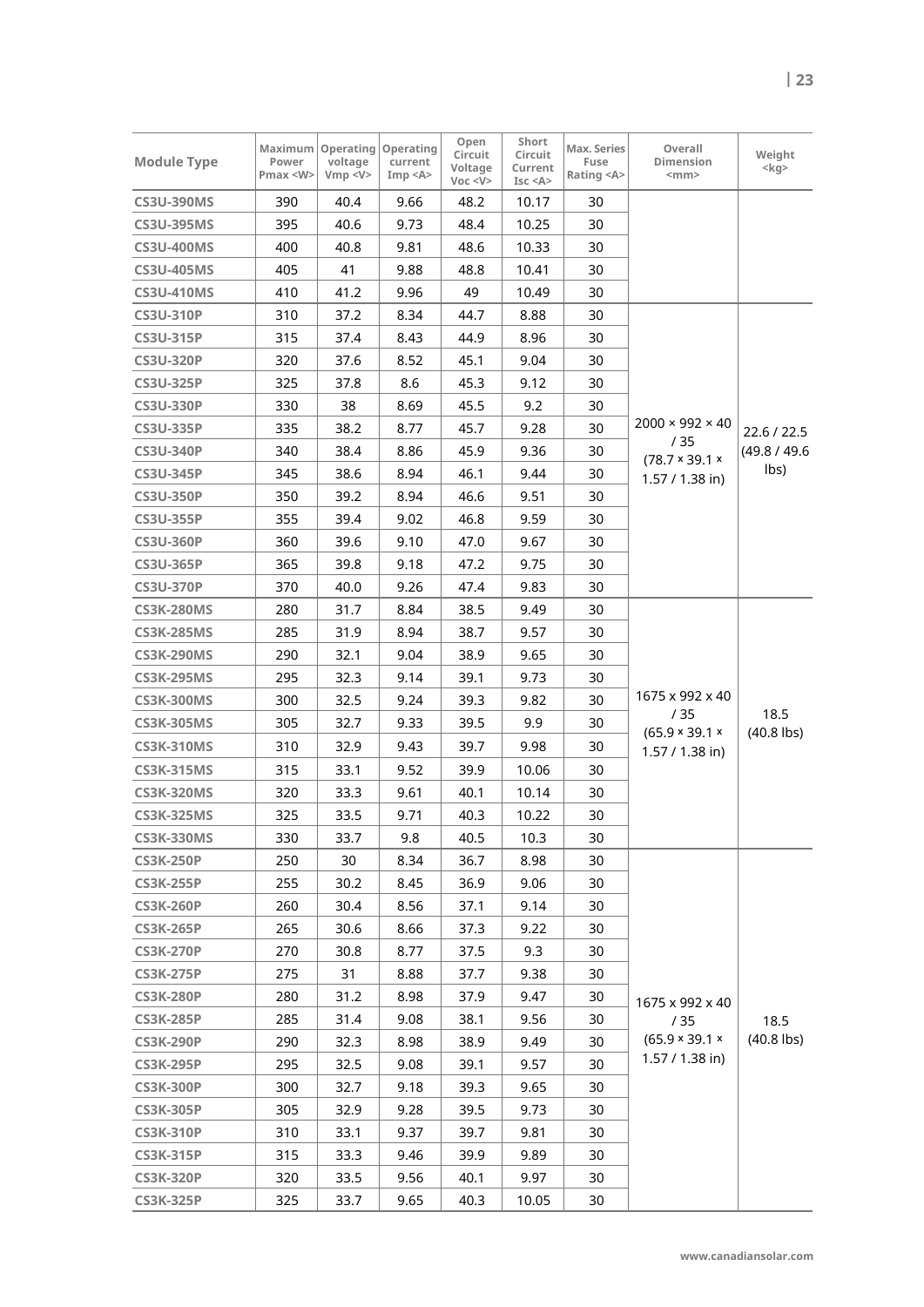| <b>Module Type</b> | Maximum<br>Power<br>Pmax <w></w> | Operating<br>voltage<br>Vmp < V> | Operating<br>current<br>Imp < A> | Open<br>Circuit<br>Voltage<br>Voc < V | Short<br>Circuit<br>Current<br>Isc < A | Max. Series<br>Fuse<br>Rating <a></a> | Overall<br>Dimension<br>$<$ mm $>$ | Weight<br>$<$ kg> |
|--------------------|----------------------------------|----------------------------------|----------------------------------|---------------------------------------|----------------------------------------|---------------------------------------|------------------------------------|-------------------|
| <b>CS3U-390MS</b>  | 390                              | 40.4                             | 9.66                             | 48.2                                  | 10.17                                  | 30                                    |                                    |                   |
| <b>CS3U-395MS</b>  | 395                              | 40.6                             | 9.73                             | 48.4                                  | 10.25                                  | 30                                    |                                    |                   |
| <b>CS3U-400MS</b>  | 400                              | 40.8                             | 9.81                             | 48.6                                  | 10.33                                  | 30                                    |                                    |                   |
| <b>CS3U-405MS</b>  | 405                              | 41                               | 9.88                             | 48.8                                  | 10.41                                  | 30                                    |                                    |                   |
| <b>CS3U-410MS</b>  | 410                              | 41.2                             | 9.96                             | 49                                    | 10.49                                  | 30                                    |                                    |                   |
| <b>CS3U-310P</b>   | 310                              | 37.2                             | 8.34                             | 44.7                                  | 8.88                                   | 30                                    |                                    |                   |
| <b>CS3U-315P</b>   | 315                              | 37.4                             | 8.43                             | 44.9                                  | 8.96                                   | 30                                    |                                    |                   |
| <b>CS3U-320P</b>   | 320                              | 37.6                             | 8.52                             | 45.1                                  | 9.04                                   | 30                                    |                                    |                   |
| <b>CS3U-325P</b>   | 325                              | 37.8                             | 8.6                              | 45.3                                  | 9.12                                   | 30                                    |                                    |                   |
| <b>CS3U-330P</b>   | 330                              | 38                               | 8.69                             | 45.5                                  | 9.2                                    | 30                                    |                                    |                   |
| <b>CS3U-335P</b>   | 335                              | 38.2                             | 8.77                             | 45.7                                  | 9.28                                   | 30                                    | $2000 \times 992 \times 40$        | 22.6 / 22.5       |
| <b>CS3U-340P</b>   | 340                              | 38.4                             | 8.86                             | 45.9                                  | 9.36                                   | 30                                    | /35<br>$(78.7 \times 39.1 \times$  | (49.8 / 49.6      |
| <b>CS3U-345P</b>   | 345                              | 38.6                             | 8.94                             | 46.1                                  | 9.44                                   | 30                                    | $1.57 / 1.38$ in)                  | lbs)              |
| <b>CS3U-350P</b>   | 350                              | 39.2                             | 8.94                             | 46.6                                  | 9.51                                   | 30                                    |                                    |                   |
| <b>CS3U-355P</b>   | 355                              | 39.4                             | 9.02                             | 46.8                                  | 9.59                                   | 30                                    |                                    |                   |
| <b>CS3U-360P</b>   | 360                              | 39.6                             | 9.10                             | 47.0                                  | 9.67                                   | 30                                    |                                    |                   |
| <b>CS3U-365P</b>   | 365                              | 39.8                             | 9.18                             | 47.2                                  | 9.75                                   | 30                                    |                                    |                   |
| <b>CS3U-370P</b>   | 370                              | 40.0                             | 9.26                             | 47.4                                  | 9.83                                   | 30                                    |                                    |                   |
| <b>CS3K-280MS</b>  | 280                              | 31.7                             | 8.84                             | 38.5                                  | 9.49                                   | 30                                    |                                    |                   |
| <b>CS3K-285MS</b>  | 285                              | 31.9                             | 8.94                             | 38.7                                  | 9.57                                   | 30                                    |                                    |                   |
| <b>CS3K-290MS</b>  | 290                              | 32.1                             | 9.04                             | 38.9                                  | 9.65                                   | 30                                    |                                    |                   |
| <b>CS3K-295MS</b>  | 295                              | 32.3                             | 9.14                             | 39.1                                  | 9.73                                   | 30                                    |                                    |                   |
| <b>CS3K-300MS</b>  | 300                              | 32.5                             | 9.24                             | 39.3                                  | 9.82                                   | 30                                    | 1675 x 992 x 40                    |                   |
| <b>CS3K-305MS</b>  | 305                              | 32.7                             | 9.33                             | 39.5                                  | 9.9                                    | 30                                    | /35                                | 18.5              |
| <b>CS3K-310MS</b>  | 310                              | 32.9                             | 9.43                             | 39.7                                  | 9.98                                   | 30                                    | (65.9 × 39.1 ×<br>1.57 / 1.38 in)  | $(40.8$ lbs)      |
| <b>CS3K-315MS</b>  | 315                              | 33.1                             | 9.52                             | 39.9                                  | 10.06                                  | 30                                    |                                    |                   |
| <b>CS3K-320MS</b>  | 320                              | 33.3                             | 9.61                             | 40.1                                  | 10.14                                  | 30                                    |                                    |                   |
| <b>CS3K-325MS</b>  | 325                              | 33.5                             | 9.71                             | 40.3                                  | 10.22                                  | 30                                    |                                    |                   |
| <b>CS3K-330MS</b>  | 330                              | 33.7                             | 9.8                              | 40.5                                  | 10.3                                   | 30                                    |                                    |                   |
| <b>CS3K-250P</b>   | 250                              | 30                               | 8.34                             | 36.7                                  | 8.98                                   | 30                                    |                                    |                   |
| <b>CS3K-255P</b>   | 255                              | 30.2                             | 8.45                             | 36.9                                  | 9.06                                   | 30                                    |                                    |                   |
| <b>CS3K-260P</b>   | 260                              | 30.4                             | 8.56                             | 37.1                                  | 9.14                                   | 30                                    |                                    |                   |
| <b>CS3K-265P</b>   | 265                              | 30.6                             | 8.66                             | 37.3                                  | 9.22                                   | 30                                    |                                    |                   |
| <b>CS3K-270P</b>   | 270                              | 30.8                             | 8.77                             | 37.5                                  | 9.3                                    | 30                                    |                                    |                   |
| <b>CS3K-275P</b>   | 275                              | 31                               | 8.88                             | 37.7                                  | 9.38                                   | 30                                    |                                    |                   |
| <b>CS3K-280P</b>   | 280                              | 31.2                             | 8.98                             | 37.9                                  | 9.47                                   | 30                                    | 1675 x 992 x 40                    |                   |
| <b>CS3K-285P</b>   | 285                              | 31.4                             | 9.08                             | 38.1                                  | 9.56                                   | 30                                    | /35                                | 18.5              |
| <b>CS3K-290P</b>   | 290                              | 32.3                             | 8.98                             | 38.9                                  | 9.49                                   | 30                                    | (65.9 × 39.1 ×                     | $(40.8$ lbs)      |
| <b>CS3K-295P</b>   | 295                              | 32.5                             | 9.08                             | 39.1                                  | 9.57                                   | 30                                    | 1.57 / 1.38 in)                    |                   |
| <b>CS3K-300P</b>   | 300                              | 32.7                             | 9.18                             | 39.3                                  | 9.65                                   | 30                                    |                                    |                   |
| <b>CS3K-305P</b>   | 305                              | 32.9                             | 9.28                             | 39.5                                  | 9.73                                   | 30                                    |                                    |                   |
| <b>CS3K-310P</b>   | 310                              | 33.1                             | 9.37                             | 39.7                                  | 9.81                                   | 30                                    |                                    |                   |
| <b>CS3K-315P</b>   | 315                              | 33.3                             | 9.46                             | 39.9                                  | 9.89                                   | 30                                    |                                    |                   |
| <b>CS3K-320P</b>   | 320                              | 33.5                             | 9.56                             | 40.1                                  | 9.97                                   | 30                                    |                                    |                   |
| <b>CS3K-325P</b>   | 325                              | 33.7                             | 9.65                             | 40.3                                  | 10.05                                  | 30                                    |                                    |                   |
|                    |                                  |                                  |                                  |                                       |                                        |                                       |                                    |                   |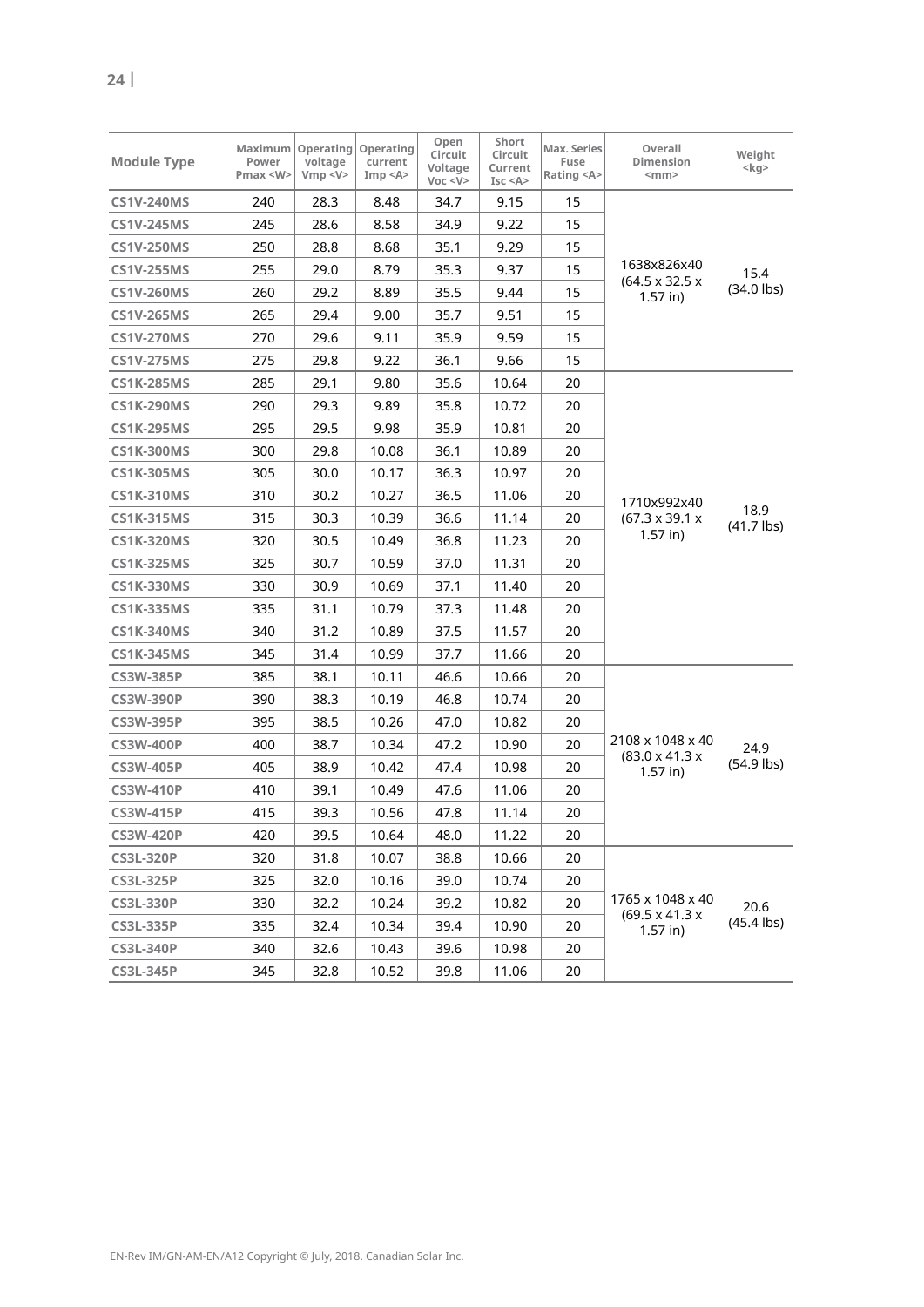| <b>Module Type</b> | Maximum<br>Power<br>Pmax < W | Operating<br>voltage<br>Vmp < V> | Operating<br>current<br>Imp < A> | Open<br>Circuit<br>Voltage<br>Voc < V | Short<br>Circuit<br>Current<br>Isc < A | Max. Series<br>Fuse<br>Rating <a></a> | Overall<br>Dimension<br>$<$ mm $>$       | Weight<br>$<$ kg>    |
|--------------------|------------------------------|----------------------------------|----------------------------------|---------------------------------------|----------------------------------------|---------------------------------------|------------------------------------------|----------------------|
| <b>CS1V-240MS</b>  | 240                          | 28.3                             | 8.48                             | 34.7                                  | 9.15                                   | 15                                    |                                          |                      |
| <b>CS1V-245MS</b>  | 245                          | 28.6                             | 8.58                             | 34.9                                  | 9.22                                   | 15                                    |                                          |                      |
| <b>CS1V-250MS</b>  | 250                          | 28.8                             | 8.68                             | 35.1                                  | 9.29                                   | 15                                    |                                          |                      |
| <b>CS1V-255MS</b>  | 255                          | 29.0                             | 8.79                             | 35.3                                  | 9.37                                   | 15                                    | 1638x826x40                              | 15.4                 |
| <b>CS1V-260MS</b>  | 260                          | 29.2                             | 8.89                             | 35.5                                  | 9.44                                   | 15                                    | $(64.5 \times 32.5 \times$<br>$1.57$ in) | $(34.0$ lbs)         |
| <b>CS1V-265MS</b>  | 265                          | 29.4                             | 9.00                             | 35.7                                  | 9.51                                   | 15                                    |                                          |                      |
| <b>CS1V-270MS</b>  | 270                          | 29.6                             | 9.11                             | 35.9                                  | 9.59                                   | 15                                    |                                          |                      |
| <b>CS1V-275MS</b>  | 275                          | 29.8                             | 9.22                             | 36.1                                  | 9.66                                   | 15                                    |                                          |                      |
| <b>CS1K-285MS</b>  | 285                          | 29.1                             | 9.80                             | 35.6                                  | 10.64                                  | 20                                    |                                          |                      |
| <b>CS1K-290MS</b>  | 290                          | 29.3                             | 9.89                             | 35.8                                  | 10.72                                  | 20                                    |                                          |                      |
| <b>CS1K-295MS</b>  | 295                          | 29.5                             | 9.98                             | 35.9                                  | 10.81                                  | 20                                    |                                          |                      |
| <b>CS1K-300MS</b>  | 300                          | 29.8                             | 10.08                            | 36.1                                  | 10.89                                  | 20                                    |                                          | 18.9<br>$(41.7$ lbs) |
| <b>CS1K-305MS</b>  | 305                          | 30.0                             | 10.17                            | 36.3                                  | 10.97                                  | 20                                    |                                          |                      |
| <b>CS1K-310MS</b>  | 310                          | 30.2                             | 10.27                            | 36.5                                  | 11.06                                  | 20                                    | 1710x992x40                              |                      |
| <b>CS1K-315MS</b>  | 315                          | 30.3                             | 10.39                            | 36.6                                  | 11.14                                  | 20                                    | $(67.3 \times 39.1 \times$<br>$1.57$ in) |                      |
| <b>CS1K-320MS</b>  | 320                          | 30.5                             | 10.49                            | 36.8                                  | 11.23                                  | 20                                    |                                          |                      |
| <b>CS1K-325MS</b>  | 325                          | 30.7                             | 10.59                            | 37.0                                  | 11.31                                  | 20                                    |                                          |                      |
| <b>CS1K-330MS</b>  | 330                          | 30.9                             | 10.69                            | 37.1                                  | 11.40                                  | 20                                    |                                          |                      |
| <b>CS1K-335MS</b>  | 335                          | 31.1                             | 10.79                            | 37.3                                  | 11.48                                  | 20                                    |                                          |                      |
| <b>CS1K-340MS</b>  | 340                          | 31.2                             | 10.89                            | 37.5                                  | 11.57                                  | 20                                    |                                          |                      |
| <b>CS1K-345MS</b>  | 345                          | 31.4                             | 10.99                            | 37.7                                  | 11.66                                  | 20                                    |                                          |                      |
| <b>CS3W-385P</b>   | 385                          | 38.1                             | 10.11                            | 46.6                                  | 10.66                                  | 20                                    |                                          |                      |
| <b>CS3W-390P</b>   | 390                          | 38.3                             | 10.19                            | 46.8                                  | 10.74                                  | 20                                    |                                          |                      |
| <b>CS3W-395P</b>   | 395                          | 38.5                             | 10.26                            | 47.0                                  | 10.82                                  | 20                                    |                                          |                      |
| <b>CS3W-400P</b>   | 400                          | 38.7                             | 10.34                            | 47.2                                  | 10.90                                  | 20                                    | 2108 x 1048 x 40                         | 24.9                 |
| <b>CS3W-405P</b>   | 405                          | 38.9                             | 10.42                            | 47.4                                  | 10.98                                  | 20                                    | $(83.0 \times 41.3 \times$<br>$1.57$ in) | $(54.9$ lbs)         |
| <b>CS3W-410P</b>   | 410                          | 39.1                             | 10.49                            | 47.6                                  | 11.06                                  | 20                                    |                                          |                      |
| <b>CS3W-415P</b>   | 415                          | 39.3                             | 10.56                            | 47.8                                  | 11.14                                  | 20                                    |                                          |                      |
| <b>CS3W-420P</b>   | 420                          | 39.5                             | 10.64                            | 48.0                                  | 11.22                                  | 20                                    |                                          |                      |
| <b>CS3L-320P</b>   | 320                          | 31.8                             | 10.07                            | 38.8                                  | 10.66                                  | 20                                    |                                          |                      |
| <b>CS3L-325P</b>   | 325                          | 32.0                             | 10.16                            | 39.0                                  | 10.74                                  | 20                                    |                                          |                      |
| <b>CS3L-330P</b>   | 330                          | 32.2                             | 10.24                            | 39.2                                  | 10.82                                  | 20                                    | 1765 x 1048 x 40                         | 20.6                 |
| <b>CS3L-335P</b>   | 335                          | 32.4                             | 10.34                            | 39.4                                  | 10.90                                  | 20                                    | $(69.5 \times 41.3 \times$<br>$1.57$ in) | $(45.4$ lbs)         |
| <b>CS3L-340P</b>   | 340                          | 32.6                             | 10.43                            | 39.6                                  | 10.98                                  | 20                                    |                                          |                      |
| <b>CS3L-345P</b>   | 345                          | 32.8                             | 10.52                            | 39.8                                  | 11.06                                  | 20                                    |                                          |                      |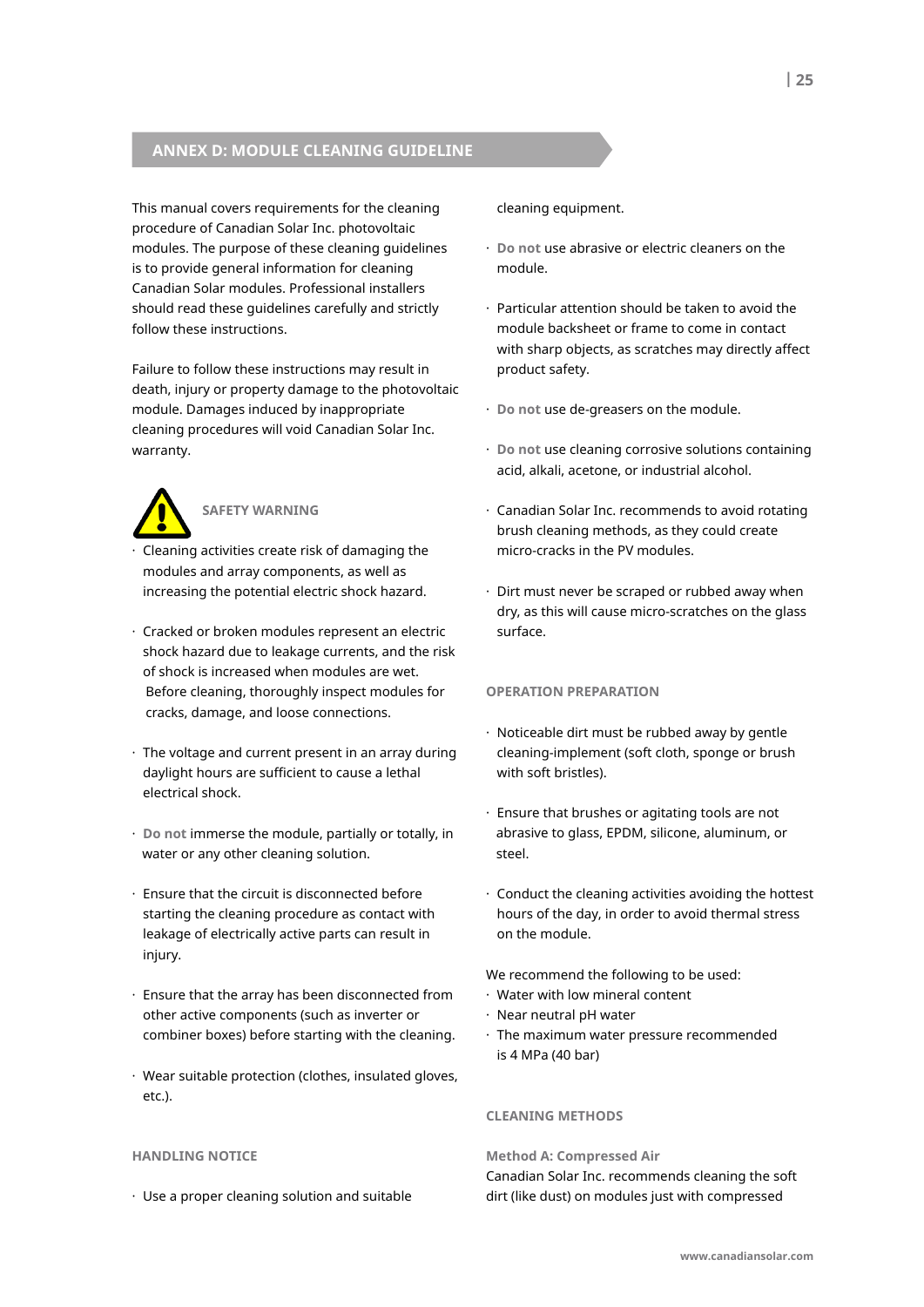# **anneX D: moDule CleanInG GuIDelIne**

This manual covers requirements for the cleaning procedure of Canadian Solar Inc. photovoltaic modules. The purpose of these cleaning guidelines is to provide general information for cleaning Canadian Solar modules. Professional installers should read these guidelines carefully and strictly follow these instructions.

Failure to follow these instructions may result in death, injury or property damage to the photovoltaic module. Damages induced by inappropriate cleaning procedures will void Canadian Solar Inc. warranty.



# **safetY WaRnInG**

- · Cleaning activities create risk of damaging the modules and array components, as well as increasing the potential electric shock hazard.
- · Cracked or broken modules represent an electric shock hazard due to leakage currents, and the risk of shock is increased when modules are wet. Before cleaning, thoroughly inspect modules for cracks, damage, and loose connections.
- · The voltage and current present in an array during daylight hours are sufficient to cause a lethal electrical shock.
- · **Do not** immerse the module, partially or totally, in water or any other cleaning solution.
- · Ensure that the circuit is disconnected before starting the cleaning procedure as contact with leakage of electrically active parts can result in injury.
- · Ensure that the array has been disconnected from other active components (such as inverter or combiner boxes) before starting with the cleaning.
- · Wear suitable protection (clothes, insulated gloves, etc.).

#### **HanDlInG notICe**

· Use a proper cleaning solution and suitable

cleaning equipment.

- · **Do not** use abrasive or electric cleaners on the module.
- · Particular attention should be taken to avoid the module backsheet or frame to come in contact with sharp objects, as scratches may directly affect product safety.
- · **Do not** use de-greasers on the module.
- · **Do not** use cleaning corrosive solutions containing acid, alkali, acetone, or industrial alcohol.
- · Canadian Solar Inc. recommends to avoid rotating brush cleaning methods, as they could create micro-cracks in the PV modules.
- · Dirt must never be scraped or rubbed away when dry, as this will cause micro-scratches on the glass surface.

#### **oPeRatIon PRePaRatIon**

- · Noticeable dirt must be rubbed away by gentle cleaning-implement (soft cloth, sponge or brush with soft bristles).
- · Ensure that brushes or agitating tools are not abrasive to glass, EPDM, silicone, aluminum, or steel.
- · Conduct the cleaning activities avoiding the hottest hours of the day, in order to avoid thermal stress on the module.

We recommend the following to be used:

- · Water with low mineral content
- · Near neutral pH water
- · The maximum water pressure recommended is 4 MPa (40 bar)

### **CleanInG metHoDs**

#### **method a: Compressed air**

Canadian Solar Inc. recommends cleaning the soft dirt (like dust) on modules just with compressed